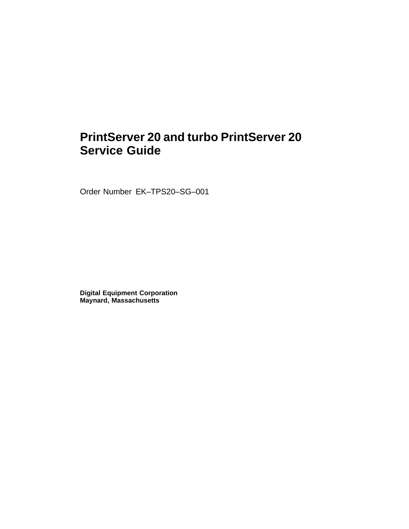# **PrintServer 20 and turbo PrintServer 20 Service Guide**

Order Number EK–TPS20–SG–001

**Digital Equipment Corporation Maynard, Massachusetts**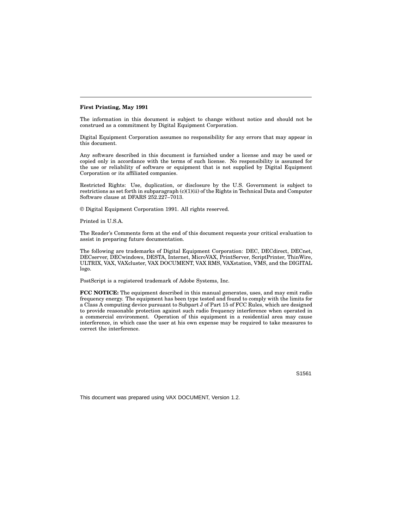#### **First Printing, May 1991**

The information in this document is subject to change without notice and should not be construed as a commitment by Digital Equipment Corporation.

Digital Equipment Corporation assumes no responsibility for any errors that may appear in this document.

Any software described in this document is furnished under a license and may be used or copied only in accordance with the terms of such license. No responsibility is assumed for the use or reliability of software or equipment that is not supplied by Digital Equipment Corporation or its affiliated companies.

Restricted Rights: Use, duplication, or disclosure by the U.S. Government is subject to restrictions as set forth in subparagraph (c)(1)(ii) of the Rights in Technical Data and Computer Software clause at DFARS 252.227–7013.

© Digital Equipment Corporation 1991. All rights reserved.

Printed in U.S.A.

The Reader's Comments form at the end of this document requests your critical evaluation to assist in preparing future documentation.

The following are trademarks of Digital Equipment Corporation: DEC, DECdirect, DECnet, DECserver, DECwindows, DESTA, Internet, MicroVAX, PrintServer, ScriptPrinter, ThinWire, ULTRIX, VAX, VAXcluster, VAX DOCUMENT, VAX RMS, VAXstation, VMS, and the DIGITAL logo.

PostScript is a registered trademark of Adobe Systems, Inc.

**FCC NOTICE:** The equipment described in this manual generates, uses, and may emit radio frequency energy. The equipment has been type tested and found to comply with the limits for a Class A computing device pursuant to Subpart J of Part 15 of FCC Rules, which are designed to provide reasonable protection against such radio frequency interference when operated in a commercial environment. Operation of this equipment in a residential area may cause interference, in which case the user at his own expense may be required to take measures to correct the interference.

S1561

This document was prepared using VAX DOCUMENT, Version 1.2.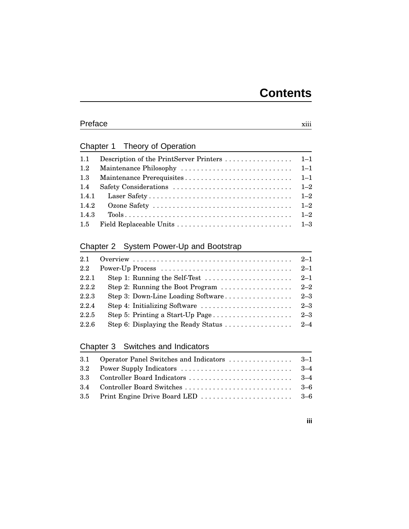#### Preface xiii

### Chapter 1 Theory of Operation

| 1.1   |                                                                                                   |  |
|-------|---------------------------------------------------------------------------------------------------|--|
| 1.2   |                                                                                                   |  |
| 1.3   |                                                                                                   |  |
| 1.4   | Safety Considerations $\ldots \ldots \ldots \ldots \ldots \ldots \ldots \ldots \ldots \qquad 1-2$ |  |
| 1.4.1 |                                                                                                   |  |
| 1.4.2 |                                                                                                   |  |
| 1.4.3 |                                                                                                   |  |
|       |                                                                                                   |  |

### Chapter 2 System Power-Up and Bootstrap

| 2.1   |                                                                           |         |
|-------|---------------------------------------------------------------------------|---------|
| 2.2   |                                                                           |         |
| 2.2.1 | Step 1: Running the Self-Test $\dots \dots \dots \dots \dots \dots \dots$ | $2 - 1$ |
| 2.2.2 |                                                                           |         |
| 2.2.3 |                                                                           |         |
| 2.2.4 |                                                                           |         |
| 2.2.5 |                                                                           |         |
| 2.2.6 |                                                                           |         |

### Chapter 3 Switches and Indicators

#### **iii**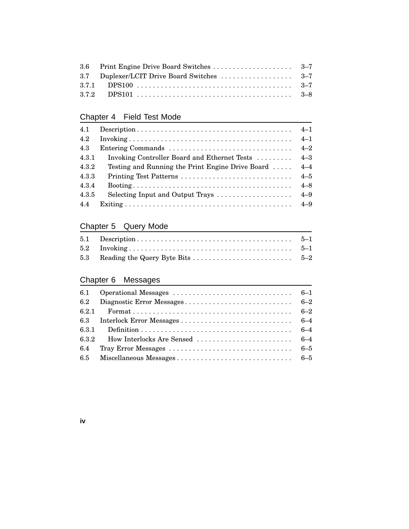# Chapter 4 Field Test Mode

| 4.1   |                                                                                                      |         |
|-------|------------------------------------------------------------------------------------------------------|---------|
| 4.2   |                                                                                                      | $4 - 1$ |
| 4.3   |                                                                                                      | $4 - 2$ |
| 4.3.1 | Invoking Controller Board and Ethernet Tests                                                         | $4 - 3$ |
| 4.3.2 | Testing and Running the Print Engine Drive Board                                                     | $4 - 4$ |
| 4.3.3 |                                                                                                      | $4 - 5$ |
| 4.3.4 | $\text{Booting} \dots \dots \dots \dots \dots \dots \dots \dots \dots \dots \dots \dots \dots \dots$ | $4 - 8$ |
| 4.3.5 | Selecting Input and Output Trays                                                                     | $4 - 9$ |
| 4.4   |                                                                                                      |         |

# Chapter 5 Query Mode

### Chapter 6 Messages

**iv**

| 6.2.1 |  |
|-------|--|
|       |  |
|       |  |
|       |  |
|       |  |
|       |  |
|       |  |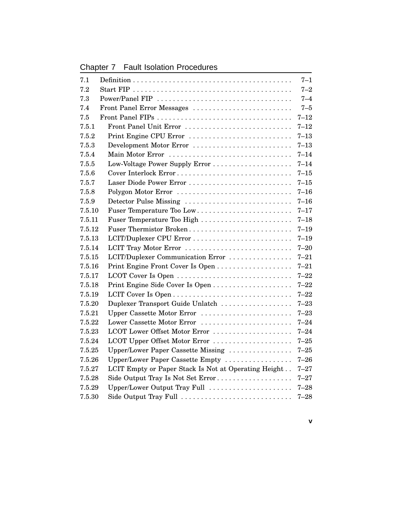Chapter 7 Fault Isolation Procedures

| 7.1    |                                                      | $7 - 1$  |
|--------|------------------------------------------------------|----------|
| 7.2    |                                                      | $7 - 2$  |
| 7.3    | Power/Panel FIP                                      | $7 - 4$  |
| 7.4    | Front Panel Error Messages                           | $7 - 5$  |
| 7.5    |                                                      | $7 - 12$ |
| 7.5.1  | Front Panel Unit Error                               | $7 - 12$ |
| 7.5.2  | Print Engine CPU Error                               | $7 - 13$ |
| 7.5.3  | Development Motor Error                              | $7 - 13$ |
| 7.5.4  |                                                      | $7 - 14$ |
| 7.5.5  | Low-Voltage Power Supply Error                       | $7 - 14$ |
| 7.5.6  |                                                      | $7 - 15$ |
| 7.5.7  | Laser Diode Power Error                              | $7 - 15$ |
| 7.5.8  | Polygon Motor Error                                  | $7 - 16$ |
| 7.5.9  | Detector Pulse Missing                               | $7 - 16$ |
| 7.5.10 | Fuser Temperature Too Low                            | $7 - 17$ |
| 7.5.11 | Fuser Temperature Too High                           | $7 - 18$ |
| 7.5.12 | Fuser Thermistor Broken                              | $7 - 19$ |
| 7.5.13 | LCIT/Duplexer CPU Error                              | $7 - 19$ |
| 7.5.14 | LCIT Tray Motor Error                                | $7 - 20$ |
| 7.5.15 | LCIT/Duplexer Communication Error                    | $7 - 21$ |
| 7.5.16 |                                                      | $7 - 21$ |
| 7.5.17 |                                                      | $7 - 22$ |
| 7.5.18 |                                                      | $7 - 22$ |
| 7.5.19 |                                                      | $7 - 22$ |
| 7.5.20 | Duplexer Transport Guide Unlatch                     | $7 - 23$ |
| 7.5.21 | Upper Cassette Motor Error                           | $7 - 23$ |
| 7.5.22 | Lower Cassette Motor Error                           | $7 - 24$ |
| 7.5.23 | LCOT Lower Offset Motor Error                        | $7 - 24$ |
| 7.5.24 | LCOT Upper Offset Motor Error                        | $7 - 25$ |
| 7.5.25 | Upper/Lower Paper Cassette Missing                   | $7 - 25$ |
| 7.5.26 | Upper/Lower Paper Cassette Empty                     | $7 - 26$ |
| 7.5.27 | LCIT Empty or Paper Stack Is Not at Operating Height | $7 - 27$ |
| 7.5.28 | Side Output Tray Is Not Set Error                    | $7 - 27$ |
| 7.5.29 | Upper/Lower Output Tray Full                         | $7 - 28$ |
| 7.5.30 | Side Output Tray Full                                | $7 - 28$ |

**v**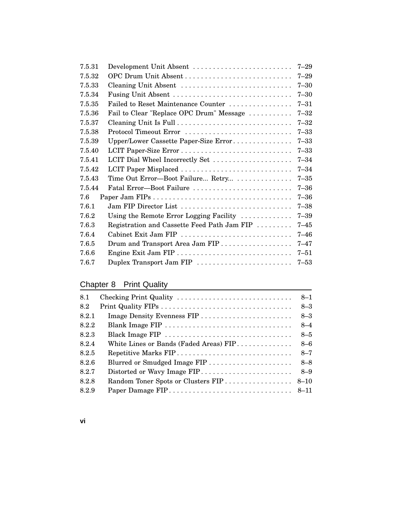| 7.5.31 | Development Unit Absent                                        | $7 - 29$ |
|--------|----------------------------------------------------------------|----------|
| 7.5.32 | OPC Drum Unit Absent                                           | $7 - 29$ |
| 7.5.33 | Cleaning Unit Absent                                           | $7 - 30$ |
| 7.5.34 | Fusing Unit Absent                                             | $7 - 30$ |
| 7.5.35 | Failed to Reset Maintenance Counter                            | $7 - 31$ |
| 7.5.36 | Fail to Clear "Replace OPC Drum" Message                       | $7 - 32$ |
| 7.5.37 |                                                                | $7 - 32$ |
| 7.5.38 | Protocol Timeout Error                                         | $7 - 33$ |
| 7.5.39 | Upper/Lower Cassette Paper-Size Error                          | $7 - 33$ |
| 7.5.40 |                                                                | $7 - 33$ |
| 7.5.41 | LCIT Dial Wheel Incorrectly Set                                | $7 - 34$ |
| 7.5.42 | LCIT Paper Misplaced                                           | $7 - 34$ |
| 7.5.43 | Time Out Error-Boot Failure Retry                              | $7 - 35$ |
| 7.5.44 | Fatal Error-Boot Failure                                       | $7 - 36$ |
| 7.6    |                                                                | $7 - 36$ |
| 7.6.1  | Jam FIP Director List                                          | $7 - 38$ |
| 7.6.2  | Using the Remote Error Logging Facility $\ldots \ldots \ldots$ | $7 - 39$ |
| 7.6.3  | Registration and Cassette Feed Path Jam FIP                    | $7 - 45$ |
| 7.6.4  | Cabinet Exit Jam FIP                                           | $7 - 46$ |
| 7.6.5  | Drum and Transport Area Jam FIP                                | $7 - 47$ |
| 7.6.6  |                                                                | $7 - 51$ |
| 7.6.7  | Duplex Transport Jam FIP                                       | $7 - 53$ |

# Chapter 8 Print Quality

| 8.1   | Checking Print Quality                 | $8 - 1$  |
|-------|----------------------------------------|----------|
| 8.2   |                                        | $8 - 3$  |
| 8.2.1 |                                        | $8 - 3$  |
| 8.2.2 | Blank Image FIP                        | $8 - 4$  |
| 8.2.3 |                                        | $8 - 5$  |
| 8.2.4 | White Lines or Bands (Faded Areas) FIP | $8 - 6$  |
| 8.2.5 | Repetitive Marks FIP                   | $8 - 7$  |
| 8.2.6 |                                        | $8 - 8$  |
| 8.2.7 | Distorted or Wavy Image FIP            | $8 - 9$  |
| 8.2.8 |                                        | $8 - 10$ |
| 8.2.9 |                                        |          |

**vi**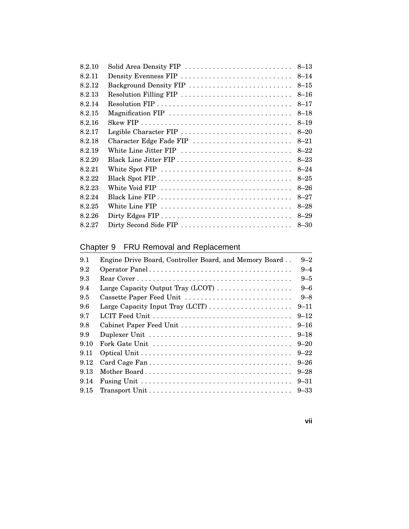| 8.2.10 |                         |          |
|--------|-------------------------|----------|
| 8.2.11 | Density Evenness FIP    | $8 - 14$ |
| 8.2.12 | Background Density FIP  | $8 - 15$ |
| 8.2.13 | Resolution Filling FIP  | $8 - 16$ |
| 8.2.14 |                         | $8 - 17$ |
| 8.2.15 | Magnification FIP       | $8 - 18$ |
| 8.2.16 |                         | $8 - 19$ |
| 8.2.17 | Legible Character FIP   | $8 - 20$ |
| 8.2.18 | Character Edge Fade FIP | $8 - 21$ |
| 8.2.19 | White Line Jitter FIP   | $8 - 22$ |
| 8.2.20 |                         | $8 - 23$ |
| 8.2.21 | White Spot FIP          | $8 - 24$ |
| 8.2.22 |                         | $8 - 25$ |
| 8.2.23 | White Void FIP          | $8 - 26$ |
| 8.2.24 |                         | $8 - 27$ |
| 8.2.25 | White Line FIP          | $8 - 28$ |
| 8.2.26 |                         | $8 - 29$ |
| 8.2.27 | Dirty Second Side FIP   | $8 - 30$ |

# Chapter 9 FRU Removal and Replacement

| 9.1  | Engine Drive Board, Controller Board, and Memory Board | $9 - 2$  |
|------|--------------------------------------------------------|----------|
| 9.2  |                                                        | $9 - 4$  |
| 9.3  |                                                        | $9 - 5$  |
| 9.4  | Large Capacity Output Tray (LCOT)                      | $9 - 6$  |
| 9.5  | Cassette Paper Feed Unit                               | $9 - 8$  |
| 9.6  | Large Capacity Input Tray (LCIT)                       | $9 - 11$ |
| 9.7  |                                                        | $9 - 12$ |
| 9.8  | Cabinet Paper Feed Unit                                | $9 - 16$ |
| 9.9  |                                                        | $9 - 18$ |
| 9.10 |                                                        | $9 - 20$ |
| 9.11 |                                                        | $9 - 22$ |
| 9.12 |                                                        | $9 - 26$ |
| 9.13 |                                                        | $9 - 28$ |
| 9.14 |                                                        | $9 - 31$ |
| 9.15 |                                                        | $9 - 33$ |

#### **vii**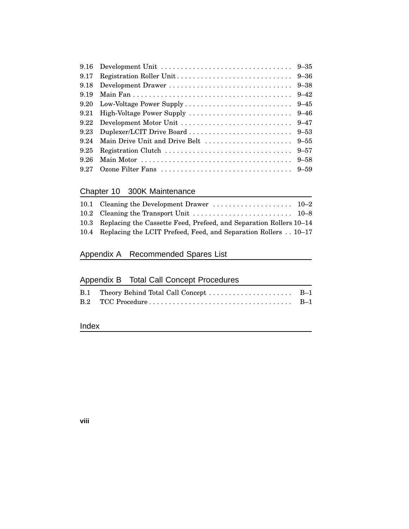| 9.16 | Development Unit $\ldots \ldots \ldots \ldots \ldots \ldots \ldots \ldots \ldots \ldots$ 9-35 |          |
|------|-----------------------------------------------------------------------------------------------|----------|
| 9.17 |                                                                                               |          |
| 9.18 |                                                                                               |          |
| 9.19 |                                                                                               |          |
| 9.20 |                                                                                               |          |
| 9.21 |                                                                                               |          |
| 9.22 |                                                                                               |          |
| 9.23 |                                                                                               |          |
| 9 24 |                                                                                               |          |
| 9.25 |                                                                                               |          |
| 9.26 |                                                                                               | $9 - 58$ |
| 9 27 |                                                                                               |          |

### Chapter 10 300K Maintenance

| 10.3 Replacing the Cassette Feed, Prefeed, and Separation Rollers 10–14 |  |
|-------------------------------------------------------------------------|--|
| 10.4 Replacing the LCIT Prefeed, Feed, and Separation Rollers 10-17     |  |

# Appendix A Recommended Spares List

### Appendix B Total Call Concept Procedures

### Index

#### **viii**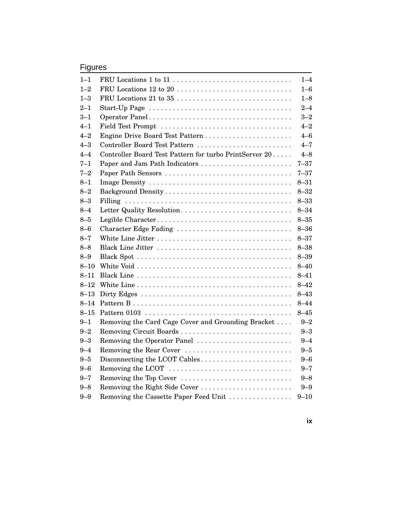### Figures

| $1 - 1$  |                                                                                              | $1 - 4$  |
|----------|----------------------------------------------------------------------------------------------|----------|
| $1 - 2$  |                                                                                              | $1 - 6$  |
| $1 - 3$  |                                                                                              | $1 - 8$  |
| $2 - 1$  | Start-Up Page $\ldots \ldots \ldots \ldots \ldots \ldots \ldots \ldots \ldots \ldots \ldots$ | $2 - 4$  |
| $3 - 1$  |                                                                                              | $3 - 2$  |
| $4 - 1$  | Field Test Prompt                                                                            | $4 - 2$  |
| $4 - 2$  |                                                                                              | $4 - 6$  |
| $4 - 3$  | Controller Board Test Pattern                                                                | $4 - 7$  |
| $4 - 4$  | Controller Board Test Pattern for turbo PrintServer 20                                       | $4 - 8$  |
| $7 - 1$  | Paper and Jam Path Indicators                                                                | $7 - 37$ |
| $7 - 2$  | Paper Path Sensors                                                                           | $7 - 37$ |
| $8 - 1$  |                                                                                              | $8 - 31$ |
| $8 - 2$  |                                                                                              | $8 - 32$ |
| $8 - 3$  |                                                                                              | $8 - 33$ |
| $8 - 4$  | Letter Quality Resolution                                                                    | $8 - 34$ |
| $8 - 5$  | Legible Character                                                                            | $8 - 35$ |
| $8 - 6$  | Character Edge Fading                                                                        | $8 - 36$ |
| $8 - 7$  |                                                                                              | $8 - 37$ |
| $8 - 8$  |                                                                                              | $8 - 38$ |
| $8 - 9$  |                                                                                              | $8 - 39$ |
| $8 - 10$ |                                                                                              | $8 - 40$ |
| $8 - 11$ |                                                                                              | $8 - 41$ |
| $8 - 12$ |                                                                                              | $8 - 42$ |
| $8 - 13$ |                                                                                              | $8 - 43$ |
| $8 - 14$ |                                                                                              | $8 - 44$ |
| $8 - 15$ |                                                                                              | $8 - 45$ |
| $9 - 1$  | Removing the Card Cage Cover and Grounding Bracket                                           | $9 - 2$  |
| $9 - 2$  | Removing Circuit Boards                                                                      | $9 - 3$  |
| $9 - 3$  | Removing the Operator Panel                                                                  | $9 - 4$  |
| $9 - 4$  | Removing the Rear Cover                                                                      | $9 - 5$  |
| $9 - 5$  | Disconnecting the LCOT Cables                                                                | $9 - 6$  |
| $9 - 6$  | Removing the LCOT                                                                            | $9 - 7$  |
| $9 - 7$  | Removing the Top Cover                                                                       | $9 - 8$  |
| $9 - 8$  | Removing the Right Side Cover                                                                | $9 - 9$  |
| $9 - 9$  | Removing the Cassette Paper Feed Unit                                                        | $9 - 10$ |

**ix**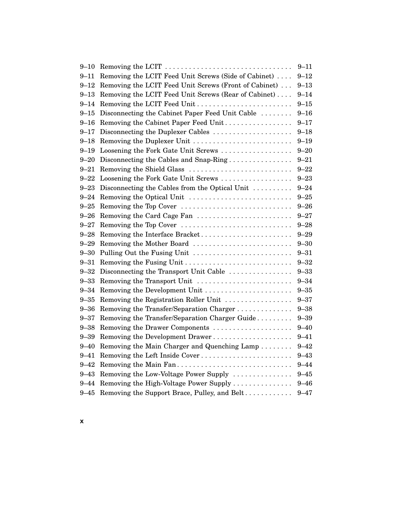| $9 - 10$ |                                                       | $9 - 11$ |
|----------|-------------------------------------------------------|----------|
| 9–11     | Removing the LCIT Feed Unit Screws (Side of Cabinet)  | $9 - 12$ |
| $9 - 12$ | Removing the LCIT Feed Unit Screws (Front of Cabinet) | $9 - 13$ |
| $9 - 13$ | Removing the LCIT Feed Unit Screws (Rear of Cabinet)  | $9 - 14$ |
| $9 - 14$ | Removing the LCIT Feed Unit                           | $9 - 15$ |
| $9 - 15$ | Disconnecting the Cabinet Paper Feed Unit Cable       | $9 - 16$ |
| $9 - 16$ | Removing the Cabinet Paper Feed Unit                  | $9 - 17$ |
| 9–17     | Disconnecting the Duplexer Cables                     | $9 - 18$ |
| 9–18     |                                                       | $9 - 19$ |
| 9–19     | Loosening the Fork Gate Unit Screws                   | $9 - 20$ |
| $9 - 20$ | Disconnecting the Cables and Snap-Ring                | $9 - 21$ |
| $9 - 21$ | Removing the Shield Glass                             | $9 - 22$ |
| $9 - 22$ | Loosening the Fork Gate Unit Screws                   | $9 - 23$ |
| $9 - 23$ | Disconnecting the Cables from the Optical Unit        | $9 - 24$ |
| $9 - 24$ | Removing the Optical Unit                             | $9 - 25$ |
| $9 - 25$ | Removing the Top Cover                                | $9 - 26$ |
| 9–26     | Removing the Card Cage Fan                            | $9 - 27$ |
| $9 - 27$ | Removing the Top Cover                                | $9 - 28$ |
| $9 - 28$ | Removing the Interface Bracket                        | $9 - 29$ |
| 9–29     | Removing the Mother Board                             | $9 - 30$ |
| $9 - 30$ | Pulling Out the Fusing Unit                           | $9 - 31$ |
| $9 - 31$ |                                                       | $9 - 32$ |
| $9 - 32$ | Disconnecting the Transport Unit Cable                | $9 - 33$ |
| $9 - 33$ | Removing the Transport Unit                           | $9 - 34$ |
| $9 - 34$ |                                                       | $9 - 35$ |
| $9 - 35$ | Removing the Registration Roller Unit                 | $9 - 37$ |
| $9 - 36$ | Removing the Transfer/Separation Charger              | $9 - 38$ |
| $9 - 37$ | Removing the Transfer/Separation Charger Guide        | $9 - 39$ |
| $9 - 38$ | Removing the Drawer Components                        | $9 - 40$ |
| $9 - 39$ | Removing the Development Drawer                       | $9 - 41$ |
| $9 - 40$ | Removing the Main Charger and Quenching Lamp          | $9 - 42$ |
| $9 - 41$ | Removing the Left Inside Cover                        | $9 - 43$ |
| $9 - 42$ | Removing the Main Fan                                 | $9 - 44$ |
| 9–43     | Removing the Low-Voltage Power Supply                 | $9 - 45$ |
| $9 - 44$ | Removing the High-Voltage Power Supply                | $9 - 46$ |
| $9 - 45$ | Removing the Support Brace, Pulley, and Belt          | $9 - 47$ |
|          |                                                       |          |

**x**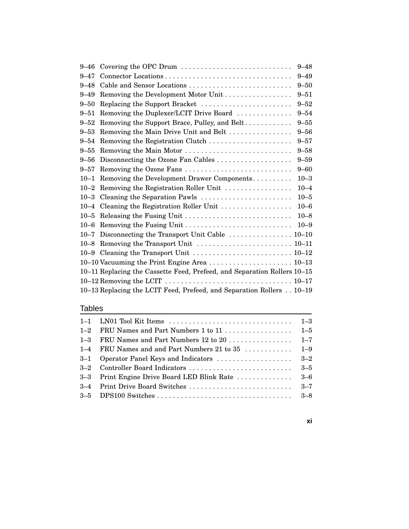|          | 9–46 Covering the OPC Drum                                                                                   | $9 - 48$ |
|----------|--------------------------------------------------------------------------------------------------------------|----------|
| $9 - 47$ |                                                                                                              | $9 - 49$ |
| $9 - 48$ | Cable and Sensor Locations                                                                                   | $9 - 50$ |
| $9 - 49$ | Removing the Development Motor Unit                                                                          | $9 - 51$ |
| $9 - 50$ | Replacing the Support Bracket                                                                                | $9 - 52$ |
| $9 - 51$ | Removing the Duplexer/LCIT Drive Board                                                                       | $9 - 54$ |
| $9 - 52$ | Removing the Support Brace, Pulley, and Belt                                                                 | $9 - 55$ |
| $9 - 53$ | Removing the Main Drive Unit and Belt                                                                        | $9 - 56$ |
| $9 - 54$ | Removing the Registration Clutch                                                                             | $9 - 57$ |
| $9 - 55$ | Removing the Main Motor                                                                                      | $9 - 58$ |
| 9–56     |                                                                                                              | $9 - 59$ |
| $9 - 57$ | Removing the Ozone Fans                                                                                      | $9 - 60$ |
| $10 - 1$ | Removing the Development Drawer Components                                                                   | $10 - 3$ |
|          | 10-2 Removing the Registration Roller Unit                                                                   | $10 - 4$ |
|          | 10-3 Cleaning the Separation Pawls                                                                           | $10 - 5$ |
|          | 10-4 Cleaning the Registration Roller Unit                                                                   | $10 - 6$ |
|          | 10-5 Releasing the Fusing Unit                                                                               | $10 - 8$ |
|          | 10–6 Removing the Fusing Unit                                                                                | $10 - 9$ |
|          | 10-7 Disconnecting the Transport Unit Cable  10-10                                                           |          |
|          |                                                                                                              |          |
|          | 10-9 Cleaning the Transport Unit  10–12                                                                      |          |
|          |                                                                                                              |          |
|          | 10-11 Replacing the Cassette Feed, Prefeed, and Separation Rollers 10-15                                     |          |
|          | 10–12 Removing the LCIT $\ldots \ldots \ldots \ldots \ldots \ldots \ldots \ldots \ldots \ldots \ldots 10-17$ |          |
|          | 10-13 Replacing the LCIT Feed, Prefeed, and Separation Rollers 10-19                                         |          |
|          |                                                                                                              |          |

#### Tables

#### **xi**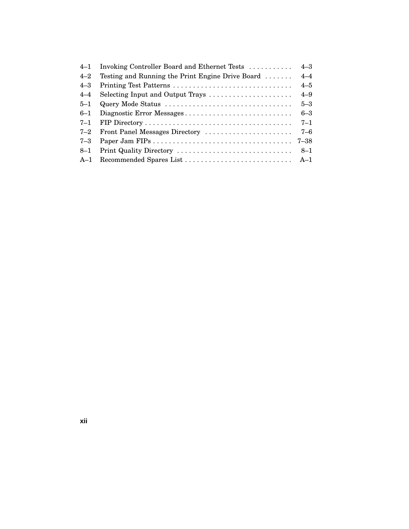| $4 - 1$ | Invoking Controller Board and Ethernet Tests                   | $4 - 3$  |
|---------|----------------------------------------------------------------|----------|
| $4 - 2$ | Testing and Running the Print Engine Drive Board $\dots \dots$ | $4 - 4$  |
| $4 - 3$ |                                                                | $4 - 5$  |
| $4 - 4$ | Selecting Input and Output Trays                               | $4 - 9$  |
| $5 - 1$ | Query Mode Status                                              | $5 - 3$  |
| $6 - 1$ | Diagnostic Error Messages                                      | $6 - 3$  |
| $7 - 1$ |                                                                | $7 - 1$  |
| $7 - 2$ | Front Panel Messages Directory                                 | $7 - 6$  |
| $7 - 3$ |                                                                | $7 - 38$ |
| $8 - 1$ | Print Quality Directory                                        | $8 - 1$  |
| $A-1$   |                                                                |          |

**xii**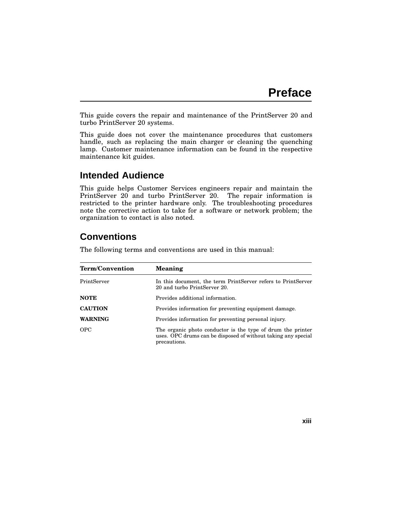This guide covers the repair and maintenance of the PrintServer 20 and turbo PrintServer 20 systems.

This guide does not cover the maintenance procedures that customers handle, such as replacing the main charger or cleaning the quenching lamp. Customer maintenance information can be found in the respective maintenance kit guides.

#### **Intended Audience**

This guide helps Customer Services engineers repair and maintain the PrintServer 20 and turbo PrintServer 20. The repair information is restricted to the printer hardware only. The troubleshooting procedures note the corrective action to take for a software or network problem; the organization to contact is also noted.

# **Conventions**

The following terms and conventions are used in this manual:

| <b>Term/Convention</b> | <b>Meaning</b>                                                                                                                               |
|------------------------|----------------------------------------------------------------------------------------------------------------------------------------------|
| PrintServer            | In this document, the term PrintServer refers to PrintServer<br>20 and turbo PrintServer 20.                                                 |
| <b>NOTE</b>            | Provides additional information.                                                                                                             |
| <b>CAUTION</b>         | Provides information for preventing equipment damage.                                                                                        |
| <b>WARNING</b>         | Provides information for preventing personal injury.                                                                                         |
| <b>OPC</b>             | The organic photo conductor is the type of drum the printer<br>uses. OPC drums can be disposed of without taking any special<br>precautions. |

**xiii**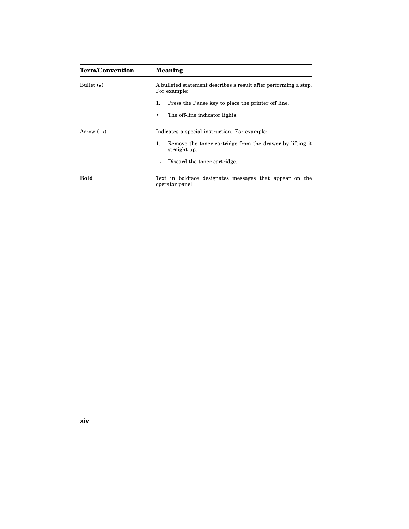| <b>Term/Convention</b>        | Meaning                                                                          |
|-------------------------------|----------------------------------------------------------------------------------|
| Bullet $\left(\bullet\right)$ | A bulleted statement describes a result after performing a step.<br>For example: |
|                               | Press the Pause key to place the printer off line.<br>1.                         |
|                               | The off-line indicator lights.                                                   |
| Arrow $(\rightarrow)$         | Indicates a special instruction. For example:                                    |
|                               | Remove the toner cartridge from the drawer by lifting it<br>1.<br>straight up.   |
|                               | Discard the toner cartridge.<br>$\rightarrow$                                    |
| <b>Bold</b>                   | Text in boldface designates messages that appear on the<br>operator panel.       |

**xiv**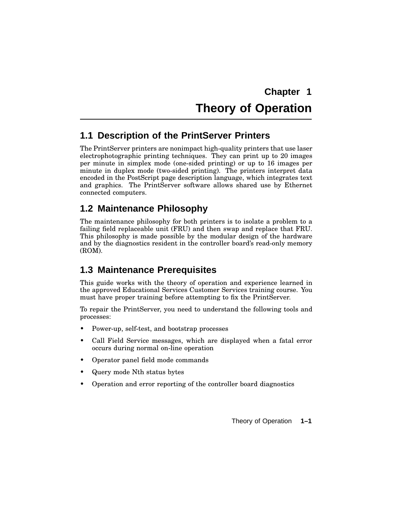# **Chapter 1 Theory of Operation**

# **1.1 Description of the PrintServer Printers**

The PrintServer printers are nonimpact high-quality printers that use laser electrophotographic printing techniques. They can print up to 20 images per minute in simplex mode (one-sided printing) or up to 16 images per minute in duplex mode (two-sided printing). The printers interpret data encoded in the PostScript page description language, which integrates text and graphics. The PrintServer software allows shared use by Ethernet connected computers.

# **1.2 Maintenance Philosophy**

The maintenance philosophy for both printers is to isolate a problem to a failing field replaceable unit (FRU) and then swap and replace that FRU. This philosophy is made possible by the modular design of the hardware and by the diagnostics resident in the controller board's read-only memory (ROM).

# **1.3 Maintenance Prerequisites**

This guide works with the theory of operation and experience learned in the approved Educational Services Customer Services training course. You must have proper training before attempting to fix the PrintServer.

To repair the PrintServer, you need to understand the following tools and processes:

- Power-up, self-test, and bootstrap processes
- Call Field Service messages, which are displayed when a fatal error occurs during normal on-line operation
- Operator panel field mode commands
- Query mode Nth status bytes
- Operation and error reporting of the controller board diagnostics

Theory of Operation **1–1**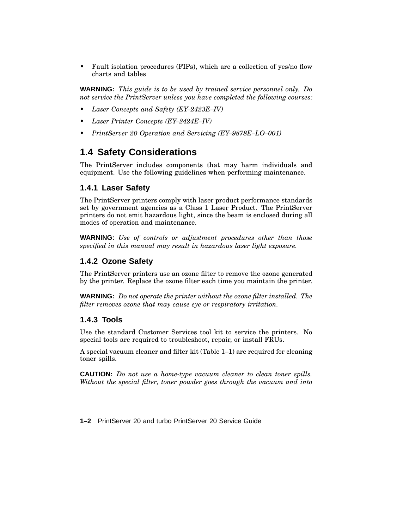• Fault isolation procedures (FIPs), which are a collection of yes/no flow charts and tables

**WARNING:** *This guide is to be used by trained service personnel only. Do not service the PrintServer unless you have completed the following courses:*

- *• Laser Concepts and Safety (EY–2423E–IV)*
- *• Laser Printer Concepts (EY–2424E–IV)*
- *• PrintServer 20 Operation and Servicing (EY–9878E–LO–001)*

#### **1.4 Safety Considerations**

The PrintServer includes components that may harm individuals and equipment. Use the following guidelines when performing maintenance.

#### **1.4.1 Laser Safety**

The PrintServer printers comply with laser product performance standards set by government agencies as a Class 1 Laser Product. The PrintServer printers do not emit hazardous light, since the beam is enclosed during all modes of operation and maintenance.

**WARNING:** *Use of controls or adjustment procedures other than those specified in this manual may result in hazardous laser light exposure.*

#### **1.4.2 Ozone Safety**

The PrintServer printers use an ozone filter to remove the ozone generated by the printer. Replace the ozone filter each time you maintain the printer.

**WARNING:** *Do not operate the printer without the ozone filter installed. The filter removes ozone that may cause eye or respiratory irritation.*

#### **1.4.3 Tools**

Use the standard Customer Services tool kit to service the printers. No special tools are required to troubleshoot, repair, or install FRUs.

A special vacuum cleaner and filter kit (Table 1–1) are required for cleaning toner spills.

**CAUTION:** *Do not use a home-type vacuum cleaner to clean toner spills. Without the special filter, toner powder goes through the vacuum and into*

**1–2** PrintServer 20 and turbo PrintServer 20 Service Guide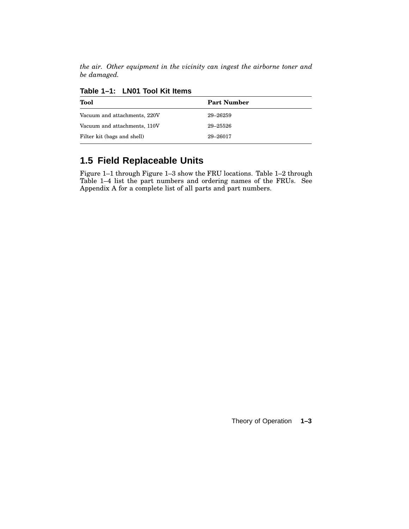*the air. Other equipment in the vicinity can ingest the airborne toner and be damaged.*

| <b>Tool</b>                  | <b>Part Number</b> |  |
|------------------------------|--------------------|--|
| Vacuum and attachments, 220V | 29-26259           |  |
| Vacuum and attachments, 110V | 29-25526           |  |
| Filter kit (bags and shell)  | 29-26017           |  |

**Table 1–1: LN01 Tool Kit Items**

# **1.5 Field Replaceable Units**

Figure 1–1 through Figure 1–3 show the FRU locations. Table 1–2 through Table 1–4 list the part numbers and ordering names of the FRUs. See Appendix A for a complete list of all parts and part numbers.

Theory of Operation **1–3**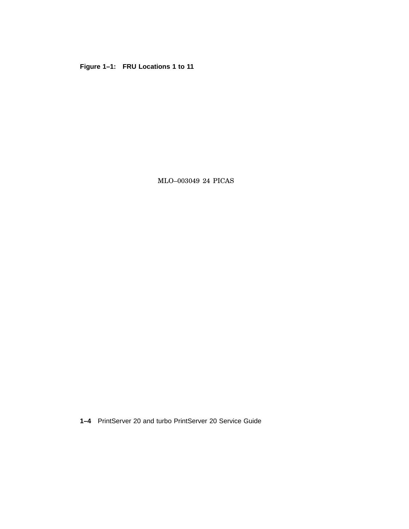**Figure 1–1: FRU Locations 1 to 11**

MLO–003049 24 PICAS

**1–4** PrintServer 20 and turbo PrintServer 20 Service Guide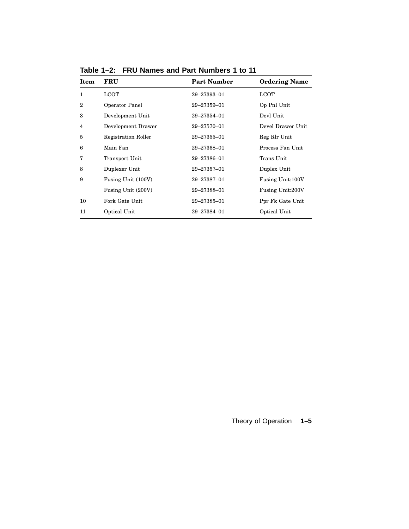| <b>Item</b>    | FRU                        | <b>Part Number</b> | <b>Ordering Name</b>    |
|----------------|----------------------------|--------------------|-------------------------|
| 1              | <b>LCOT</b>                | 29-27393-01        | LCOT                    |
| $\overline{2}$ | Operator Panel             | 29-27359-01        | Op Pnl Unit             |
| 3              | Development Unit           | 29-27354-01        | Devl Unit               |
| 4              | Development Drawer         | 29-27570-01        | Devel Drawer Unit       |
| 5              | <b>Registration Roller</b> | 29-27355-01        | Reg Rlr Unit            |
| 6              | Main Fan                   | 29-27368-01        | Process Fan Unit        |
| 7              | Transport Unit             | 29-27386-01        | Trans Unit              |
| 8              | Duplexer Unit              | 29-27357-01        | Duplex Unit             |
| 9              | Fusing Unit (100V)         | 29-27387-01        | Fusing Unit:100V        |
|                | Fusing Unit (200V)         | 29-27388-01        | <b>Fusing Unit:200V</b> |
| 10             | Fork Gate Unit             | 29-27385-01        | Ppr Fk Gate Unit        |
| 11             | Optical Unit               | 29-27384-01        | Optical Unit            |

**Table 1–2: FRU Names and Part Numbers 1 to 11**

### Theory of Operation **1–5**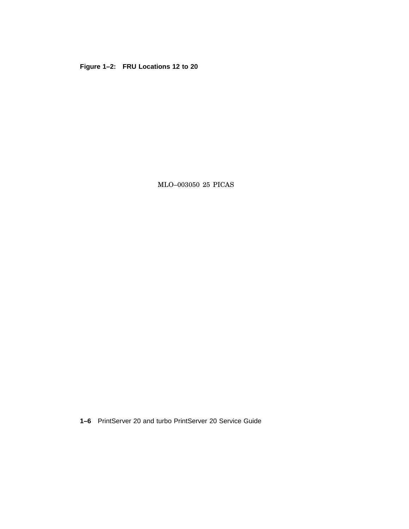**Figure 1–2: FRU Locations 12 to 20**

MLO–003050 25 PICAS

**1–6** PrintServer 20 and turbo PrintServer 20 Service Guide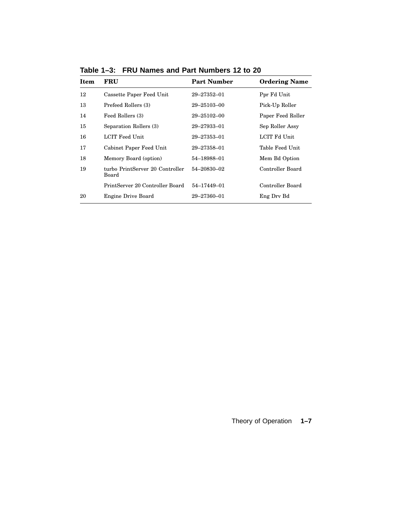| <b>Item</b> | FRU                                      | <b>Part Number</b> | <b>Ordering Name</b> |
|-------------|------------------------------------------|--------------------|----------------------|
| 12          | Cassette Paper Feed Unit                 | 29–27352–01        | Ppr Fd Unit          |
| 13          | Prefeed Rollers (3)                      | 29–25103–00        | Pick-Up Roller       |
| 14          | Feed Rollers (3)                         | 29–25102–00        | Paper Feed Roller    |
| 15          | Separation Rollers (3)                   | 29–27933–01        | Sep Roller Assy      |
| 16          | LCIT Feed Unit                           | 29–27353–01        | LCIT Fd Unit         |
| 17          | Cabinet Paper Feed Unit                  | 29–27358–01        | Table Feed Unit      |
| 18          | Memory Board (option)                    | 54-18988-01        | Mem Bd Option        |
| 19          | turbo PrintServer 20 Controller<br>Board | 54-20830-02        | Controller Board     |
|             | PrintServer 20 Controller Board          | 54-17449-01        | Controller Board     |
| 20          | Engine Drive Board                       | 29-27360-01        | Eng Dry Bd           |

**Table 1–3: FRU Names and Part Numbers 12 to 20**

Theory of Operation **1–7**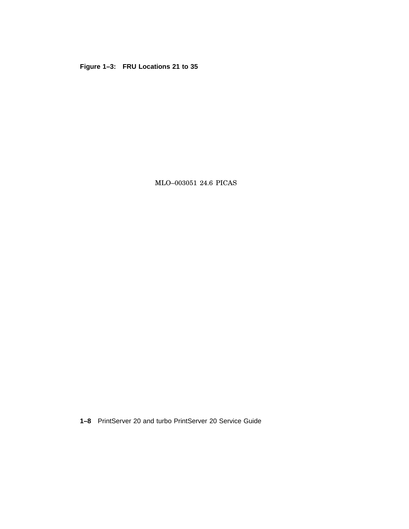**Figure 1–3: FRU Locations 21 to 35**

MLO–003051 24.6 PICAS

**1–8** PrintServer 20 and turbo PrintServer 20 Service Guide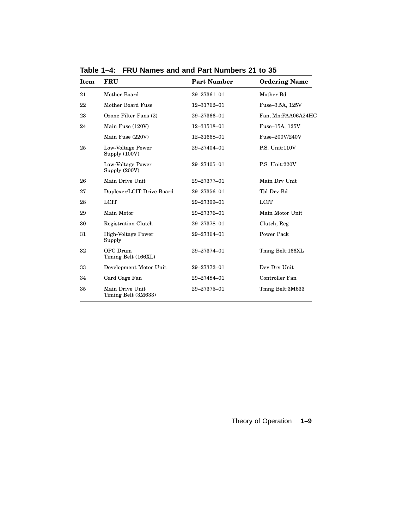| <b>Item</b> | <b>FRU</b>                             | <b>Part Number</b> | <b>Ordering Name</b> |
|-------------|----------------------------------------|--------------------|----------------------|
| 21          | Mother Board                           | 29-27361-01        | Mother Bd            |
| 22          | Mother Board Fuse                      | 12-31762-01        | Fuse-3.5A, 125V      |
| 23          | Ozone Filter Fans (2)                  | 29-27366-01        | Fan, Mn:FAA06A24HC   |
| 24          | Main Fuse (120V)                       | 12-31518-01        | Fuse-15A, 125V       |
|             | Main Fuse (220V)                       | 12-31668-01        | Fuse-200V/240V       |
| 25          | Low-Voltage Power<br>Supply (100V)     | 29-27404-01        | P.S. Unit:110V       |
|             | Low-Voltage Power<br>Supply (200V)     | 29-27405-01        | P.S. Unit:220V       |
| 26          | Main Drive Unit                        | 29-27377-01        | Main Drv Unit        |
| 27          | Duplexer/LCIT Drive Board              | 29-27356-01        | Thl Drv Bd           |
| 28          | <b>LCIT</b>                            | 29-27399-01        | <b>LCIT</b>          |
| 29          | Main Motor                             | 29-27376-01        | Main Motor Unit      |
| 30          | Registration Clutch                    | 29-27378-01        | Clutch, Reg          |
| 31          | <b>High-Voltage Power</b><br>Supply    | 29-27364-01        | Power Pack           |
| 32          | OPC Drum<br>Timing Belt (166XL)        | 29-27374-01        | Tmng Belt:166XL      |
| 33          | Development Motor Unit                 | 29-27372-01        | Dev Drv Unit         |
| 34          | Card Cage Fan                          | 29-27484-01        | Controller Fan       |
| 35          | Main Drive Unit<br>Timing Belt (3M633) | 29-27375-01        | Tmng Belt:3M633      |

**Table 1–4: FRU Names and and Part Numbers 21 to 35**

Theory of Operation **1–9**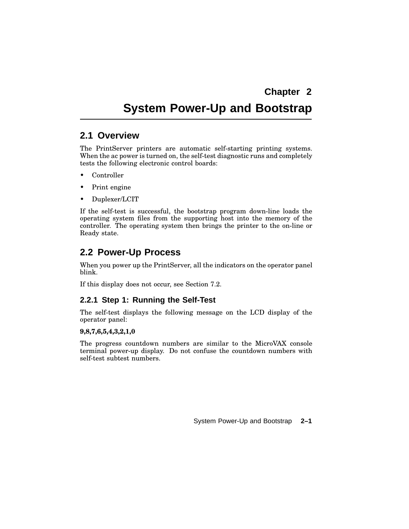# **System Power-Up and Bootstrap**

#### **2.1 Overview**

The PrintServer printers are automatic self-starting printing systems. When the ac power is turned on, the self-test diagnostic runs and completely tests the following electronic control boards:

- Controller
- Print engine
- Duplexer/LCIT

If the self-test is successful, the bootstrap program down-line loads the operating system files from the supporting host into the memory of the controller. The operating system then brings the printer to the on-line or Ready state.

# **2.2 Power-Up Process**

When you power up the PrintServer, all the indicators on the operator panel blink.

If this display does not occur, see Section 7.2.

#### **2.2.1 Step 1: Running the Self-Test**

The self-test displays the following message on the LCD display of the operator panel:

#### **9,8,7,6,5,4,3,2,1,0**

The progress countdown numbers are similar to the MicroVAX console terminal power-up display. Do not confuse the countdown numbers with self-test subtest numbers.

System Power-Up and Bootstrap **2–1**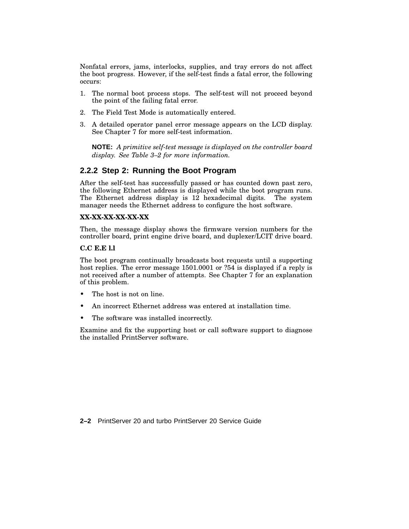Nonfatal errors, jams, interlocks, supplies, and tray errors do not affect the boot progress. However, if the self-test finds a fatal error, the following occurs:

- 1. The normal boot process stops. The self-test will not proceed beyond the point of the failing fatal error.
- 2. The Field Test Mode is automatically entered.
- 3. A detailed operator panel error message appears on the LCD display. See Chapter 7 for more self-test information.

**NOTE:** *A primitive self-test message is displayed on the controller board display. See Table 3–2 for more information.*

#### **2.2.2 Step 2: Running the Boot Program**

After the self-test has successfully passed or has counted down past zero, the following Ethernet address is displayed while the boot program runs. The Ethernet address display is 12 hexadecimal digits. The system manager needs the Ethernet address to configure the host software.

#### **XX-XX-XX-XX-XX-XX**

Then, the message display shows the firmware version numbers for the controller board, print engine drive board, and duplexer/LCIT drive board.

#### **C.C E.E l.l**

The boot program continually broadcasts boot requests until a supporting host replies. The error message 1501.0001 or ?54 is displayed if a reply is not received after a number of attempts. See Chapter 7 for an explanation of this problem.

- The host is not on line.
- An incorrect Ethernet address was entered at installation time.
- The software was installed incorrectly.

Examine and fix the supporting host or call software support to diagnose the installed PrintServer software.

**2–2** PrintServer 20 and turbo PrintServer 20 Service Guide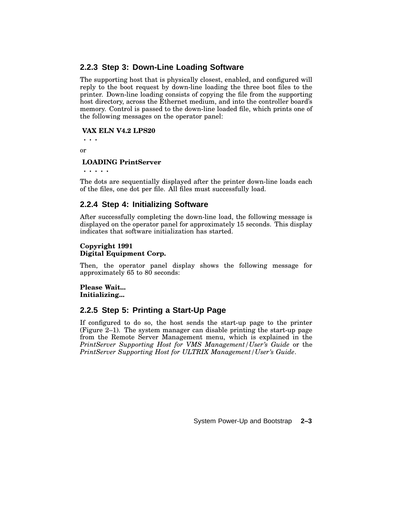#### **2.2.3 Step 3: Down-Line Loading Software**

The supporting host that is physically closest, enabled, and configured will reply to the boot request by down-line loading the three boot files to the printer. Down-line loading consists of copying the file from the supporting host directory, across the Ethernet medium, and into the controller board's memory. Control is passed to the down-line loaded file, which prints one of the following messages on the operator panel:

#### **VAX ELN V4.2 LPS20**

**. . .** or

#### **LOADING PrintServer**

**. . . . .**

The dots are sequentially displayed after the printer down-line loads each of the files, one dot per file. All files must successfully load.

#### **2.2.4 Step 4: Initializing Software**

After successfully completing the down-line load, the following message is displayed on the operator panel for approximately 15 seconds. This display indicates that software initialization has started.

#### **Copyright 1991 Digital Equipment Corp.**

Then, the operator panel display shows the following message for approximately 65 to 80 seconds:

**Please Wait... Initializing...**

#### **2.2.5 Step 5: Printing a Start-Up Page**

If configured to do so, the host sends the start-up page to the printer (Figure 2–1). The system manager can disable printing the start-up page from the Remote Server Management menu, which is explained in the *PrintServer Supporting Host for VMS Management/User's Guide* or the *PrintServer Supporting Host for ULTRIX Management/User's Guide*.

System Power-Up and Bootstrap **2–3**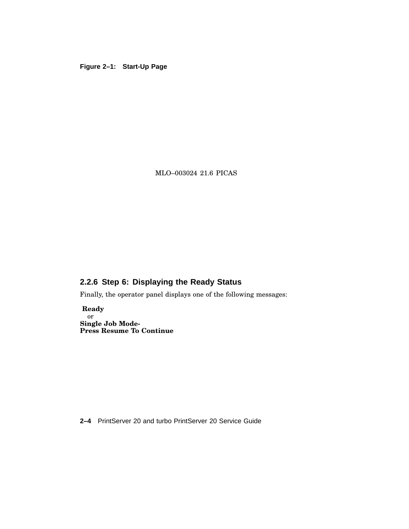#### **Figure 2–1: Start-Up Page**

MLO–003024 21.6 PICAS

### **2.2.6 Step 6: Displaying the Ready Status**

Finally, the operator panel displays one of the following messages:

**Ready** or **Single Job Mode-Press Resume To Continue**

**2–4** PrintServer 20 and turbo PrintServer 20 Service Guide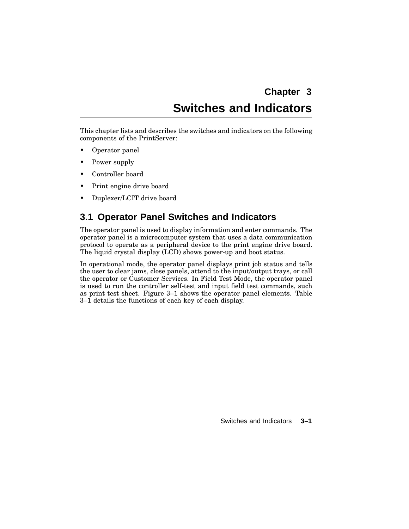# **Chapter 3 Switches and Indicators**

This chapter lists and describes the switches and indicators on the following components of the PrintServer:

- Operator panel
- Power supply
- Controller board
- Print engine drive board
- Duplexer/LCIT drive board

# **3.1 Operator Panel Switches and Indicators**

The operator panel is used to display information and enter commands. The operator panel is a microcomputer system that uses a data communication protocol to operate as a peripheral device to the print engine drive board. The liquid crystal display (LCD) shows power-up and boot status.

In operational mode, the operator panel displays print job status and tells the user to clear jams, close panels, attend to the input/output trays, or call the operator or Customer Services. In Field Test Mode, the operator panel is used to run the controller self-test and input field test commands, such as print test sheet. Figure 3–1 shows the operator panel elements. Table 3–1 details the functions of each key of each display.

Switches and Indicators **3–1**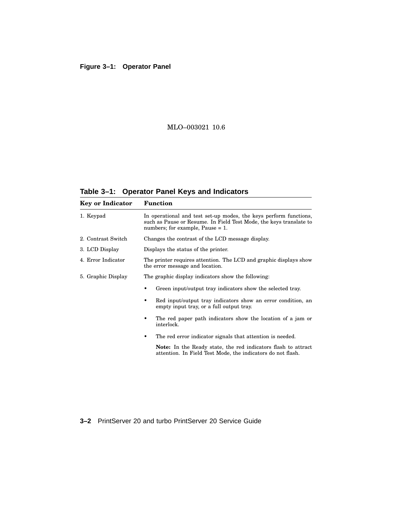#### **Figure 3–1: Operator Panel**

#### MLO–003021 10.6

**Table 3–1: Operator Panel Keys and Indicators**

| <b>Key or Indicator</b> | <b>Function</b>                                                                                                                                                                |  |  |  |
|-------------------------|--------------------------------------------------------------------------------------------------------------------------------------------------------------------------------|--|--|--|
| 1. Keypad               | In operational and test set-up modes, the keys perform functions,<br>such as Pause or Resume. In Field Test Mode, the keys translate to<br>numbers; for example, Pause $= 1$ . |  |  |  |
| 2. Contrast Switch      | Changes the contrast of the LCD message display.                                                                                                                               |  |  |  |
| 3. LCD Display          | Displays the status of the printer.                                                                                                                                            |  |  |  |
| 4. Error Indicator      | The printer requires attention. The LCD and graphic displays show<br>the error message and location.                                                                           |  |  |  |
| 5. Graphic Display      | The graphic display indicators show the following:                                                                                                                             |  |  |  |
|                         | Green input/output tray indicators show the selected tray.                                                                                                                     |  |  |  |
|                         | Red input/output tray indicators show an error condition, an<br>٠<br>empty input tray, or a full output tray.                                                                  |  |  |  |
|                         | The red paper path indicators show the location of a jam or<br>٠<br>interlock.                                                                                                 |  |  |  |
|                         | The red error indicator signals that attention is needed.<br>٠                                                                                                                 |  |  |  |
|                         | <b>Note:</b> In the Ready state, the red indicators flash to attract<br>attention. In Field Test Mode, the indicators do not flash.                                            |  |  |  |
|                         |                                                                                                                                                                                |  |  |  |

**3–2** PrintServer 20 and turbo PrintServer 20 Service Guide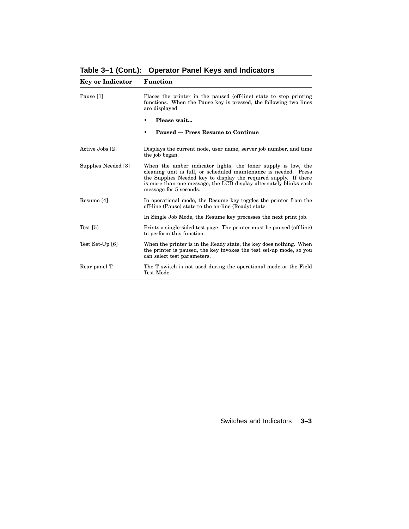**Table 3–1 (Cont.): Operator Panel Keys and Indicators**

| <b>Key or Indicator</b> | <b>Function</b>                                                                                                                                                                                                                                                                                      |
|-------------------------|------------------------------------------------------------------------------------------------------------------------------------------------------------------------------------------------------------------------------------------------------------------------------------------------------|
| Pause [1]               | Places the printer in the paused (off-line) state to stop printing<br>functions. When the Pause key is pressed, the following two lines<br>are displayed:                                                                                                                                            |
|                         | Please wait                                                                                                                                                                                                                                                                                          |
|                         | Paused – Press Resume to Continue                                                                                                                                                                                                                                                                    |
| Active Jobs [2]         | Displays the current node, user name, server job number, and time<br>the job began.                                                                                                                                                                                                                  |
| Supplies Needed [3]     | When the amber indicator lights, the toner supply is low, the<br>cleaning unit is full, or scheduled maintenance is needed. Press<br>the Supplies Needed key to display the required supply. If there<br>is more than one message, the LCD display alternately blinks each<br>message for 5 seconds. |
| Resume [4]              | In operational mode, the Resume key toggles the printer from the<br>off-line (Pause) state to the on-line (Ready) state.                                                                                                                                                                             |
|                         | In Single Job Mode, the Resume key processes the next print job.                                                                                                                                                                                                                                     |
| Test $[5]$              | Prints a single-sided test page. The printer must be paused (off line)<br>to perform this function.                                                                                                                                                                                                  |
| Test Set-Up [6]         | When the printer is in the Ready state, the key does nothing. When<br>the printer is paused, the key invokes the test set-up mode, so you<br>can select test parameters.                                                                                                                             |
| Rear panel T            | The T switch is not used during the operational mode or the Field<br>Test Mode.                                                                                                                                                                                                                      |

#### Switches and Indicators **3–3**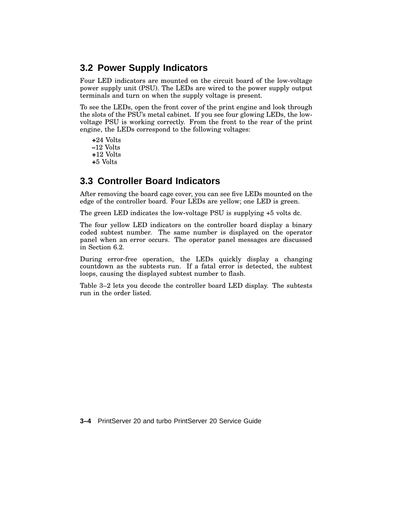# **3.2 Power Supply Indicators**

Four LED indicators are mounted on the circuit board of the low-voltage power supply unit (PSU). The LEDs are wired to the power supply output terminals and turn on when the supply voltage is present.

To see the LEDs, open the front cover of the print engine and look through the slots of the PSU's metal cabinet. If you see four glowing LEDs, the lowvoltage PSU is working correctly. From the front to the rear of the print engine, the LEDs correspond to the following voltages:

**+**24 Volts **–**12 Volts **+**12 Volts **+**5 Volts

# **3.3 Controller Board Indicators**

After removing the board cage cover, you can see five LEDs mounted on the edge of the controller board. Four LEDs are yellow; one LED is green.

The green LED indicates the low-voltage PSU is supplying +5 volts dc.

The four yellow LED indicators on the controller board display a binary coded subtest number. The same number is displayed on the operator panel when an error occurs. The operator panel messages are discussed in Section 6.2.

During error-free operation, the LEDs quickly display a changing countdown as the subtests run. If a fatal error is detected, the subtest loops, causing the displayed subtest number to flash.

Table 3–2 lets you decode the controller board LED display. The subtests run in the order listed.

**3–4** PrintServer 20 and turbo PrintServer 20 Service Guide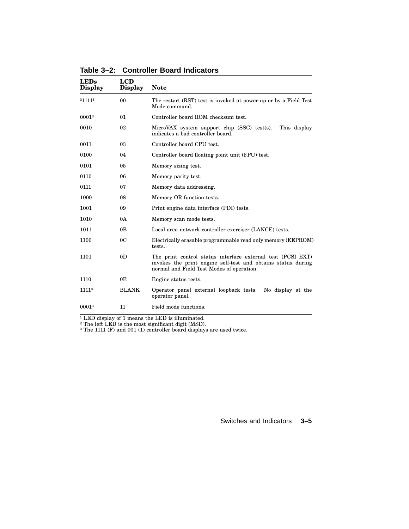| <b>LEDs</b><br><b>Display</b> | <b>LCD</b><br><b>Display</b> | <b>Note</b>                                                                                                                                                              |  |  |  |
|-------------------------------|------------------------------|--------------------------------------------------------------------------------------------------------------------------------------------------------------------------|--|--|--|
| 211111                        | 0 <sub>0</sub>               | The restart (RST) test is invoked at power-up or by a Field Test<br>Mode command.                                                                                        |  |  |  |
| 00013                         | 01                           | Controller board ROM checksum test.                                                                                                                                      |  |  |  |
| 0010                          | 02                           | MicroVAX system support chip (SSC) test(s).<br>This display<br>indicates a bad controller board.                                                                         |  |  |  |
| 0011                          | 03                           | Controller board CPU test.                                                                                                                                               |  |  |  |
| 0100                          | 04                           | Controller board floating point unit (FPU) test.                                                                                                                         |  |  |  |
| 0101                          | 0 <sub>5</sub>               | Memory sizing test.                                                                                                                                                      |  |  |  |
| 0110                          | 06                           | Memory parity test.                                                                                                                                                      |  |  |  |
| 0111                          | 07                           | Memory data addressing.                                                                                                                                                  |  |  |  |
| 1000                          | 08                           | Memory OR function tests.                                                                                                                                                |  |  |  |
| 1001                          | 09                           | Print engine data interface (PDI) tests.                                                                                                                                 |  |  |  |
| 1010                          | 0A                           | Memory scan mode tests.                                                                                                                                                  |  |  |  |
| 1011                          | 0 <sub>B</sub>               | Local area network controller exerciser (LANCE) tests.                                                                                                                   |  |  |  |
| 1100                          | 0C                           | Electrically erasable programmable read only memory (EEPROM)<br>tests.                                                                                                   |  |  |  |
| 1101                          | 0 <sub>D</sub>               | The print control status interface external test (PCSI_EXT)<br>invokes the print engine self-test and obtains status during<br>normal and Field Test Modes of operation. |  |  |  |
| 1110                          | 0E                           | Engine status tests.                                                                                                                                                     |  |  |  |
| 11113                         | <b>BLANK</b>                 | Operator panel external loopback tests.<br>No display at the<br>operator panel.                                                                                          |  |  |  |
| 00013                         | 11                           | Field mode functions.                                                                                                                                                    |  |  |  |

**Table 3–2: Controller Board Indicators**

 $1$  LED display of 1 means the LED is illuminated.

² The left LED is the most significant digit (MSD).

<sup>3</sup> The 1111 (F) and 001 (1) controller board displays are used twice.

Switches and Indicators **3–5**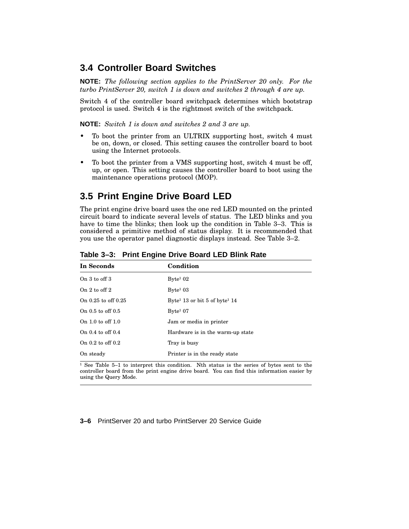#### **3.4 Controller Board Switches**

**NOTE:** *The following section applies to the PrintServer 20 only. For the turbo PrintServer 20, switch 1 is down and switches 2 through 4 are up.*

Switch 4 of the controller board switchpack determines which bootstrap protocol is used. Switch 4 is the rightmost switch of the switchpack.

**NOTE:** *Switch 1 is down and switches 2 and 3 are up.*

- To boot the printer from an ULTRIX supporting host, switch 4 must be on, down, or closed. This setting causes the controller board to boot using the Internet protocols.
- To boot the printer from a VMS supporting host, switch 4 must be off, up, or open. This setting causes the controller board to boot using the maintenance operations protocol (MOP).

### **3.5 Print Engine Drive Board LED**

The print engine drive board uses the one red LED mounted on the printed circuit board to indicate several levels of status. The LED blinks and you have to time the blinks; then look up the condition in Table 3–3. This is considered a primitive method of status display. It is recommended that you use the operator panel diagnostic displays instead. See Table 3–2.

| In Seconds              | Condition                                             |
|-------------------------|-------------------------------------------------------|
| On $3$ to off $3$       | $B$ yte <sup>1</sup> 02                               |
| On $2$ to off $2$       | $Bvte^1$ 03                                           |
| On $0.25$ to off $0.25$ | Byte <sup>1</sup> 13 or bit 5 of byte <sup>1</sup> 14 |
| On $0.5$ to off $0.5$   | $B$ yte <sup>1</sup> 07                               |
| On $1.0$ to off $1.0$   | Jam or media in printer                               |
| On $0.4$ to off $0.4$   | Hardware is in the warm-up state                      |
| On $0.2$ to off $0.2$   | Tray is busy                                          |
| On steady               | Printer is in the ready state                         |

**Table 3–3: Print Engine Drive Board LED Blink Rate**

 $1$  See Table 5–1 to interpret this condition. Nth status is the series of bytes sent to the controller board from the print engine drive board. You can find this information easier by using the Query Mode.

**3–6** PrintServer 20 and turbo PrintServer 20 Service Guide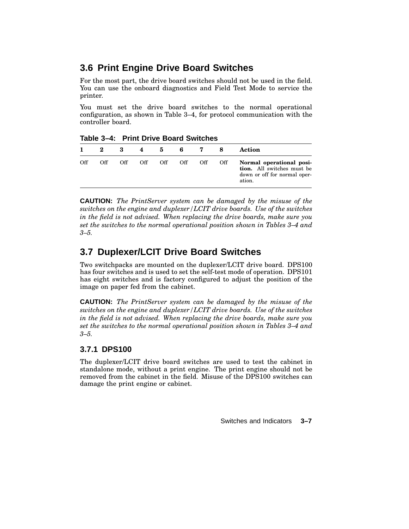# **3.6 Print Engine Drive Board Switches**

For the most part, the drive board switches should not be used in the field. You can use the onboard diagnostics and Field Test Mode to service the printer.

You must set the drive board switches to the normal operational configuration, as shown in Table 3–4, for protocol communication with the controller board.

| $1805$ $-1$ $-1$ $-1111$ $-1110$ $-100$ $-100$ |     |     |     |  |         |               |     |                                                                                                  |
|------------------------------------------------|-----|-----|-----|--|---------|---------------|-----|--------------------------------------------------------------------------------------------------|
|                                                | 2   | 3   | 4   |  |         | $5 \t 6 \t 7$ |     | Action                                                                                           |
| Off                                            | Off | Off | Off |  | Off Off | Off           | Off | Normal operational posi-<br>tion. All switches must be<br>down or off for normal oper-<br>ation. |

**Table 3–4: Print Drive Board Switches**

**CAUTION:** *The PrintServer system can be damaged by the misuse of the switches on the engine and duplexer/LCIT drive boards. Use of the switches in the field is not advised. When replacing the drive boards, make sure you set the switches to the normal operational position shown in Tables 3–4 and 3–5.*

# **3.7 Duplexer/LCIT Drive Board Switches**

Two switchpacks are mounted on the duplexer/LCIT drive board. DPS100 has four switches and is used to set the self-test mode of operation. DPS101 has eight switches and is factory configured to adjust the position of the image on paper fed from the cabinet.

**CAUTION:** *The PrintServer system can be damaged by the misuse of the switches on the engine and duplexer/LCIT drive boards. Use of the switches in the field is not advised. When replacing the drive boards, make sure you set the switches to the normal operational position shown in Tables 3–4 and 3–5.*

#### **3.7.1 DPS100**

The duplexer/LCIT drive board switches are used to test the cabinet in standalone mode, without a print engine. The print engine should not be removed from the cabinet in the field. Misuse of the DPS100 switches can damage the print engine or cabinet.

Switches and Indicators **3–7**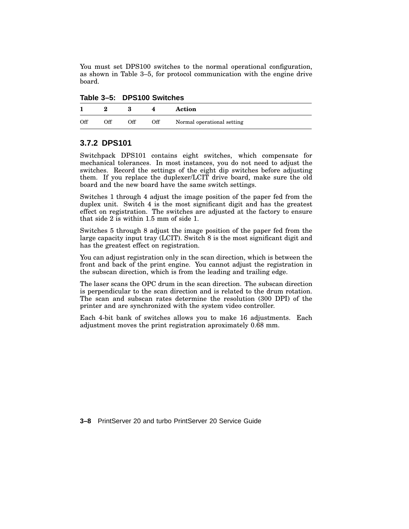You must set DPS100 switches to the normal operational configuration, as shown in Table 3–5, for protocol communication with the engine drive board.

| Table 3-5: DPS100 Switches |  |  |
|----------------------------|--|--|
|----------------------------|--|--|

|     | ഩ   |     |     | Action                     |
|-----|-----|-----|-----|----------------------------|
| Off | Off | Off | Off | Normal operational setting |

#### **3.7.2 DPS101**

Switchpack DPS101 contains eight switches, which compensate for mechanical tolerances. In most instances, you do not need to adjust the switches. Record the settings of the eight dip switches before adjusting them. If you replace the duplexer/LCIT drive board, make sure the old board and the new board have the same switch settings.

Switches 1 through 4 adjust the image position of the paper fed from the duplex unit. Switch 4 is the most significant digit and has the greatest effect on registration. The switches are adjusted at the factory to ensure that side 2 is within 1.5 mm of side 1.

Switches 5 through 8 adjust the image position of the paper fed from the large capacity input tray (LCIT). Switch 8 is the most significant digit and has the greatest effect on registration.

You can adjust registration only in the scan direction, which is between the front and back of the print engine. You cannot adjust the registration in the subscan direction, which is from the leading and trailing edge.

The laser scans the OPC drum in the scan direction. The subscan direction is perpendicular to the scan direction and is related to the drum rotation. The scan and subscan rates determine the resolution (300 DPI) of the printer and are synchronized with the system video controller.

Each 4-bit bank of switches allows you to make 16 adjustments. Each adjustment moves the print registration aproximately 0.68 mm.

**3–8** PrintServer 20 and turbo PrintServer 20 Service Guide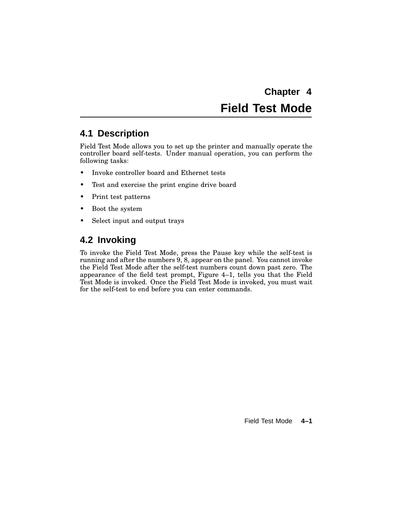**Chapter 4 Field Test Mode**

# **4.1 Description**

Field Test Mode allows you to set up the printer and manually operate the controller board self-tests. Under manual operation, you can perform the following tasks:

- Invoke controller board and Ethernet tests
- Test and exercise the print engine drive board
- Print test patterns
- Boot the system
- Select input and output trays

# **4.2 Invoking**

To invoke the Field Test Mode, press the Pause key while the self-test is running and after the numbers 9, 8, appear on the panel. You cannot invoke the Field Test Mode after the self-test numbers count down past zero. The appearance of the field test prompt, Figure 4–1, tells you that the Field Test Mode is invoked. Once the Field Test Mode is invoked, you must wait for the self-test to end before you can enter commands.

Field Test Mode **4–1**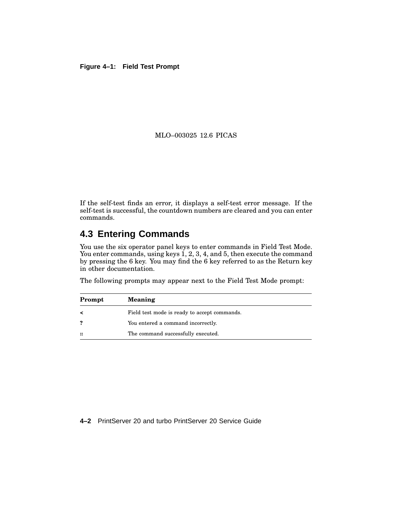#### **Figure 4–1: Field Test Prompt**

#### MLO–003025 12.6 PICAS

If the self-test finds an error, it displays a self-test error message. If the self-test is successful, the countdown numbers are cleared and you can enter commands.

# **4.3 Entering Commands**

You use the six operator panel keys to enter commands in Field Test Mode. You enter commands, using keys 1, 2, 3, 4, and 5, then execute the command by pressing the 6 key. You may find the 6 key referred to as the Return key in other documentation.

The following prompts may appear next to the Field Test Mode prompt:

| Prompt              | <b>Meaning</b>                               |
|---------------------|----------------------------------------------|
|                     | Field test mode is ready to accept commands. |
|                     | You entered a command incorrectly.           |
| $\ddot{\mathbf{r}}$ | The command successfully executed.           |

#### **4–2** PrintServer 20 and turbo PrintServer 20 Service Guide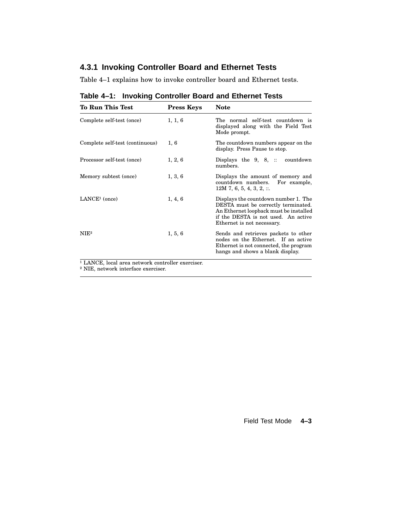# **4.3.1 Invoking Controller Board and Ethernet Tests**

Table 4–1 explains how to invoke controller board and Ethernet tests.

| <b>To Run This Test</b>                                      | <b>Press Keys</b> | <b>Note</b>                                                                                                                                                                                |
|--------------------------------------------------------------|-------------------|--------------------------------------------------------------------------------------------------------------------------------------------------------------------------------------------|
| Complete self-test (once)                                    | 1, 1, 6           | The normal self-test countdown is<br>displayed along with the Field Test<br>Mode prompt.                                                                                                   |
| Complete self-test (continuous)                              | 1,6               | The countdown numbers appear on the<br>display. Press Pause to stop.                                                                                                                       |
| Processor self-test (once)                                   | 1, 2, 6           | Displays the $9, 8, ::$<br>countdown<br>numbers.                                                                                                                                           |
| Memory subtest (once)                                        | 1, 3, 6           | Displays the amount of memory and<br>countdown numbers.<br>For example,<br>$12M$ 7, 6, 5, 4, 3, 2, $\ldots$                                                                                |
| LANCE <sup>1</sup> (once)                                    | 1, 4, 6           | Displays the countdown number 1. The<br>DESTA must be correctly terminated.<br>An Ethernet loopback must be installed<br>if the DESTA is not used. An active<br>Ethernet is not necessary. |
| NIE <sup>2</sup>                                             | 1, 5, 6           | Sends and retrieves packets to other<br>nodes on the Ethernet. If an active<br>Ethernet is not connected, the program<br>hangs and shows a blank display.                                  |
| <sup>1</sup> LANCE, local area network controller exerciser. |                   |                                                                                                                                                                                            |

**Table 4–1: Invoking Controller Board and Ethernet Tests**

<sup>1</sup> LANCE, local area network controller exerciser.

² NIE, network interface exerciser.

Field Test Mode **4–3**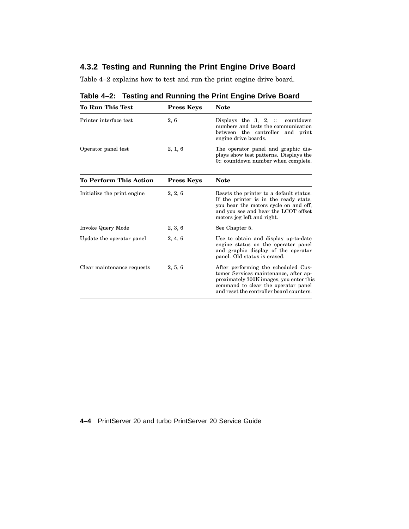## **4.3.2 Testing and Running the Print Engine Drive Board**

Table 4–2 explains how to test and run the print engine drive board.

| <b>To Run This Test</b>      | <b>Press Keys</b> | <b>Note</b>                                                                                                                                                                                     |
|------------------------------|-------------------|-------------------------------------------------------------------------------------------------------------------------------------------------------------------------------------------------|
| Printer interface test       | 2, 6              | Displays the $3, 2, \dots$ countdown<br>numbers and tests the communication<br>between the controller and print<br>engine drive boards.                                                         |
| Operator panel test          | 2, 1, 6           | The operator panel and graphic dis-<br>plays show test patterns. Displays the<br>0: count down number when complete.                                                                            |
| To Perform This Action       | <b>Press Keys</b> | <b>Note</b>                                                                                                                                                                                     |
| Initialize the print engine. | 2, 2, 6           | Resets the printer to a default status.<br>If the printer is in the ready state,<br>you hear the motors cycle on and off,<br>and you see and hear the LCOT offset<br>motors jog left and right. |
| Invoke Query Mode            | 2, 3, 6           | See Chapter 5.                                                                                                                                                                                  |
| Update the operator panel    | 2, 4, 6           | Use to obtain and display up-to-date<br>engine status on the operator panel<br>and graphic display of the operator<br>panel. Old status is erased.                                              |
| Clear maintenance requests   | 2, 5, 6           | After performing the scheduled Cus-<br>tomer Services maintenance, after ap-<br>proximately 300K images, you enter this<br>command to clear the operator panel                                  |

and reset the controller board counters.

**Table 4–2: Testing and Running the Print Engine Drive Board**

**4–4** PrintServer 20 and turbo PrintServer 20 Service Guide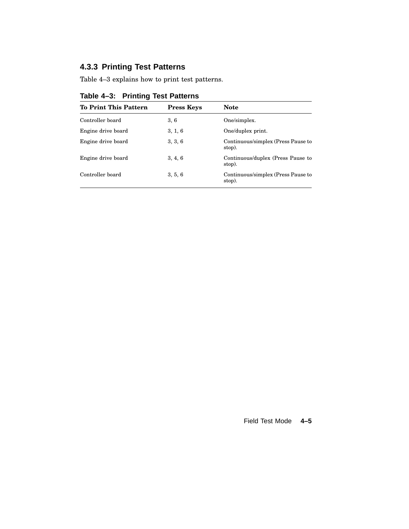# **4.3.3 Printing Test Patterns**

Table 4–3 explains how to print test patterns.

| <b>To Print This Pattern</b> | <b>Press Keys</b> | <b>Note</b>                                  |
|------------------------------|-------------------|----------------------------------------------|
| Controller board             | 3,6               | One/simplex.                                 |
| Engine drive board           | 3, 1, 6           | One/duplex print.                            |
| Engine drive board           | 3, 3, 6           | Continuous/simplex (Press Pause to<br>stop). |
| Engine drive board           | 3, 4, 6           | Continuous/duplex (Press Pause to<br>stop).  |
| Controller board             | 3, 5, 6           | Continuous/simplex (Press Pause to<br>stop). |
|                              |                   |                                              |

## **Table 4–3: Printing Test Patterns**

Field Test Mode **4–5**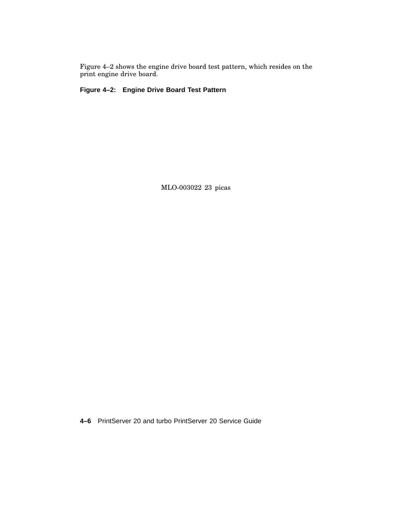Figure 4–2 shows the engine drive board test pattern, which resides on the print engine drive board.

**Figure 4–2: Engine Drive Board Test Pattern**

MLO-003022 23 picas

**4–6** PrintServer 20 and turbo PrintServer 20 Service Guide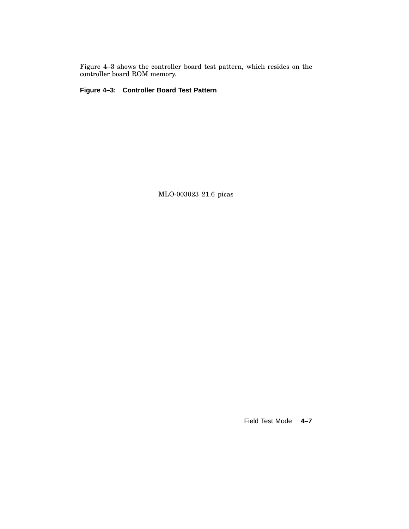Figure 4–3 shows the controller board test pattern, which resides on the controller board ROM memory.

**Figure 4–3: Controller Board Test Pattern**

MLO-003023 21.6 picas

Field Test Mode **4–7**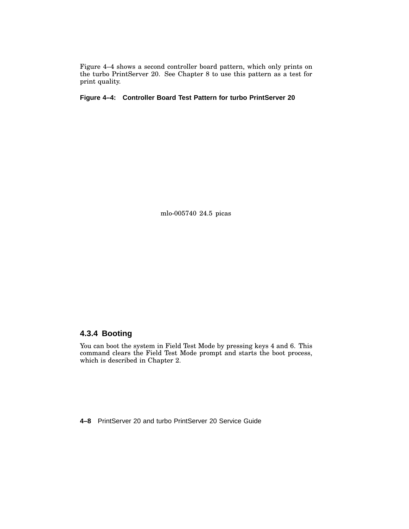Figure 4–4 shows a second controller board pattern, which only prints on the turbo PrintServer 20. See Chapter 8 to use this pattern as a test for print quality.

**Figure 4–4: Controller Board Test Pattern for turbo PrintServer 20**

mlo-005740 24.5 picas

### **4.3.4 Booting**

You can boot the system in Field Test Mode by pressing keys 4 and 6. This command clears the Field Test Mode prompt and starts the boot process, which is described in Chapter 2.

**4–8** PrintServer 20 and turbo PrintServer 20 Service Guide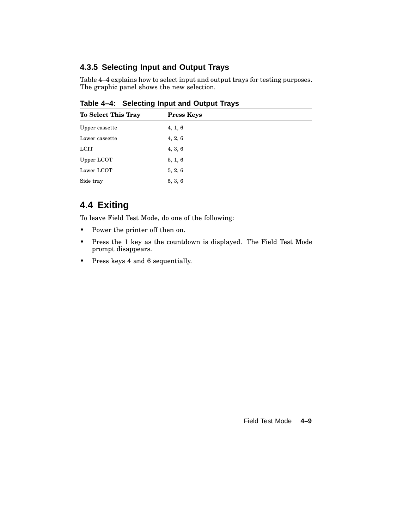## **4.3.5 Selecting Input and Output Trays**

Table 4–4 explains how to select input and output trays for testing purposes. The graphic panel shows the new selection.

| To Select This Tray<br><b>Press Keys</b> |         |  |
|------------------------------------------|---------|--|
| Upper cassette                           | 4, 1, 6 |  |
| Lower cassette                           | 4, 2, 6 |  |
| <b>LCIT</b>                              | 4, 3, 6 |  |
| Upper LCOT                               | 5, 1, 6 |  |
| Lower LCOT                               | 5, 2, 6 |  |
| Side tray                                | 5, 3, 6 |  |
|                                          |         |  |

**Table 4–4: Selecting Input and Output Trays**

# **4.4 Exiting**

To leave Field Test Mode, do one of the following:

- Power the printer off then on.
- Press the 1 key as the countdown is displayed. The Field Test Mode prompt disappears.
- Press keys 4 and 6 sequentially.

Field Test Mode **4–9**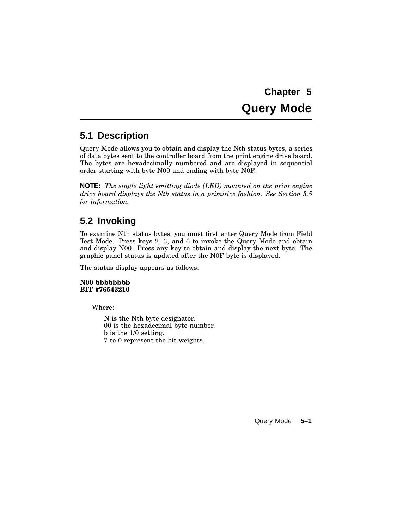# **Chapter 5 Query Mode**

# **5.1 Description**

Query Mode allows you to obtain and display the Nth status bytes, a series of data bytes sent to the controller board from the print engine drive board. The bytes are hexadecimally numbered and are displayed in sequential order starting with byte N00 and ending with byte N0F.

**NOTE:** *The single light emitting diode (LED) mounted on the print engine drive board displays the Nth status in a primitive fashion. See Section 3.5 for information.*

# **5.2 Invoking**

To examine Nth status bytes, you must first enter Query Mode from Field Test Mode. Press keys 2, 3, and 6 to invoke the Query Mode and obtain and display N00. Press any key to obtain and display the next byte. The graphic panel status is updated after the N0F byte is displayed.

The status display appears as follows:

**N00 bbbbbbbb BIT #76543210**

Where:

N is the Nth byte designator. 00 is the hexadecimal byte number. b is the 1/0 setting. 7 to 0 represent the bit weights.

Query Mode **5–1**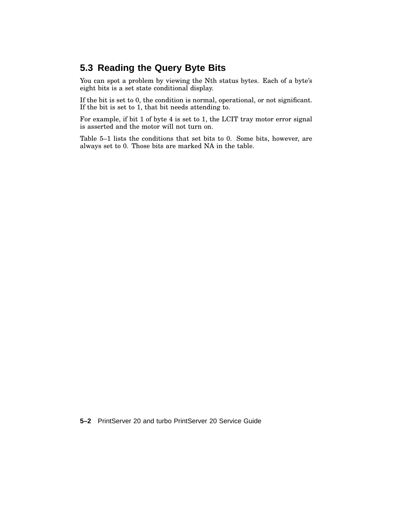# **5.3 Reading the Query Byte Bits**

You can spot a problem by viewing the Nth status bytes. Each of a byte's eight bits is a set state conditional display.

If the bit is set to 0, the condition is normal, operational, or not significant. If the bit is set to 1, that bit needs attending to.

For example, if bit 1 of byte 4 is set to 1, the LCIT tray motor error signal is asserted and the motor will not turn on.

Table 5–1 lists the conditions that set bits to 0. Some bits, however, are always set to 0. Those bits are marked NA in the table.

**5–2** PrintServer 20 and turbo PrintServer 20 Service Guide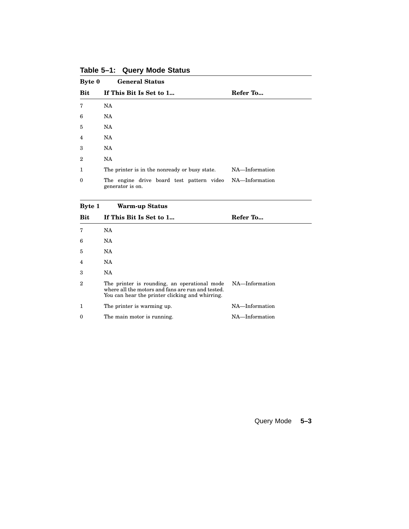| Byte 0       | <b>General Status</b>                                         |                |
|--------------|---------------------------------------------------------------|----------------|
| <b>Bit</b>   | If This Bit Is Set to 1                                       | Refer To       |
| 7            | NA                                                            |                |
| 6            | NA.                                                           |                |
| 5            | NA.                                                           |                |
| 4            | NA                                                            |                |
| 3            | NA.                                                           |                |
| $\mathbf{2}$ | NA                                                            |                |
| 1            | The printer is in the nonready or busy state.                 | NA-Information |
| $\theta$     | The engine drive board test pattern video<br>generator is on. | NA—Information |

**Table 5–1: Query Mode Status**

#### **Byte 1 Warm-up Status**

| <b>Bit</b> | If This Bit Is Set to 1                                                                                                                              | Refer To       |
|------------|------------------------------------------------------------------------------------------------------------------------------------------------------|----------------|
| 7          | NA.                                                                                                                                                  |                |
| 6          | NA.                                                                                                                                                  |                |
| 5          | NA.                                                                                                                                                  |                |
| 4          | NA.                                                                                                                                                  |                |
| 3          | NA.                                                                                                                                                  |                |
| 2          | The printer is rounding, an operational mode<br>where all the motors and fans are run and tested.<br>You can hear the printer clicking and whirring. | NA—Information |
|            | The printer is warming up.                                                                                                                           | NA-Information |
| $\theta$   | The main motor is running.                                                                                                                           | NA-Information |

Query Mode **5–3**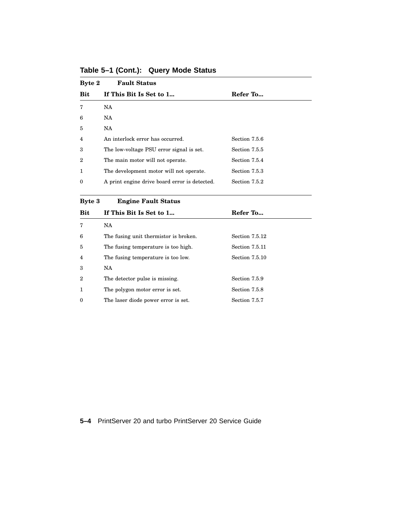| Byte 2           | <b>Fault Status</b>                           |               |
|------------------|-----------------------------------------------|---------------|
| <b>Bit</b>       | If This Bit Is Set to 1                       | Refer To      |
| 7                | NA.                                           |               |
| 6                | NA.                                           |               |
| 5                | NA.                                           |               |
| $\overline{4}$   | An interlock error has occurred.              | Section 7.5.6 |
| 3                | The low-voltage PSU error signal is set.      | Section 7.5.5 |
| $\boldsymbol{2}$ | The main motor will not operate.              | Section 7.5.4 |
| 1                | The development motor will not operate.       | Section 7.5.3 |
| $\Omega$         | A print engine drive board error is detected. | Section 7.5.2 |
|                  |                                               |               |

**Table 5–1 (Cont.): Query Mode Status**

**Byte 3 Engine Fault Status**

| Bit              | If This Bit Is Set to 1               | Refer To              |  |
|------------------|---------------------------------------|-----------------------|--|
| 7                | NA.                                   |                       |  |
| 6                | The fusing unit thermistor is broken. | Section 7.5.12        |  |
| 5                | The fusing temperature is too high.   | Section 7.5.11        |  |
| $\overline{4}$   | The fusing temperature is too low.    | <b>Section 7.5.10</b> |  |
| 3                | NA.                                   |                       |  |
| $\boldsymbol{2}$ | The detector pulse is missing.        | Section 7.5.9         |  |
|                  | The polygon motor error is set.       | Section 7.5.8         |  |
| $\theta$         | The laser diode power error is set.   | Section 7.5.7         |  |

**5–4** PrintServer 20 and turbo PrintServer 20 Service Guide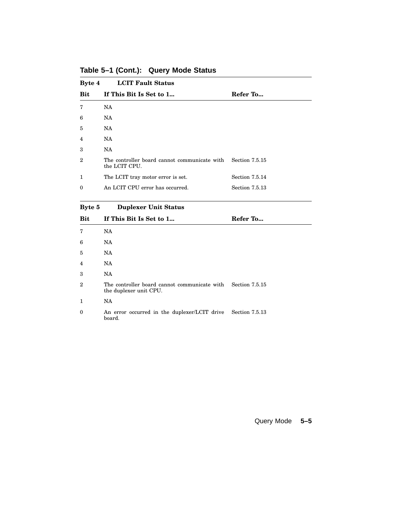| Byte 4            | <b>LCIT Fault Status</b>                                      |                |
|-------------------|---------------------------------------------------------------|----------------|
| <b>Bit</b>        | If This Bit Is Set to 1                                       | Refer To       |
| 7                 | NA                                                            |                |
| 6                 | NA                                                            |                |
| 5                 | NA.                                                           |                |
| $\overline{4}$    | NA.                                                           |                |
| 3                 | NA                                                            |                |
| $\mathcal{D}_{1}$ | The controller board cannot communicate with<br>the LCIT CPU. | Section 7.5.15 |
| 1                 | The LCIT tray motor error is set.                             | Section 7.5.14 |
| $\Omega$          | An LCIT CPU error has occurred.                               | Section 7.5.13 |

**Table 5–1 (Cont.): Query Mode Status**

**Byte 5 Duplexer Unit Status**

| Bit            | If This Bit Is Set to 1                                                               | Refer To       |
|----------------|---------------------------------------------------------------------------------------|----------------|
| 7              | NA                                                                                    |                |
| 6              | NA                                                                                    |                |
| 5              | NA                                                                                    |                |
| 4              | NA                                                                                    |                |
| 3              | NA                                                                                    |                |
| $\overline{2}$ | The controller board cannot communicate with Section 7.5.15<br>the duplexer unit CPU. |                |
| 1              | NA                                                                                    |                |
| $\theta$       | An error occurred in the duplexer/LCIT drive<br>board.                                | Section 7.5.13 |

Query Mode **5–5**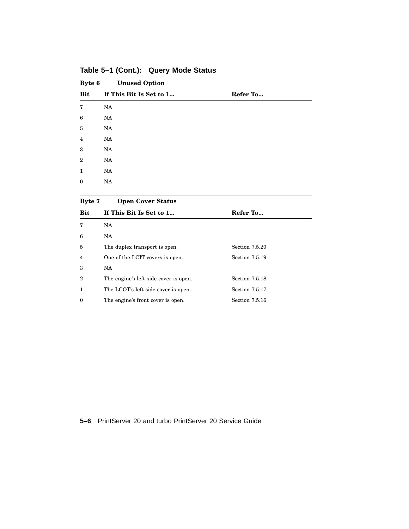| Byte 6         | <b>Unused Option</b>    |          |
|----------------|-------------------------|----------|
| Bit            | If This Bit Is Set to 1 | Refer To |
| 7              | NA                      |          |
| 6              | NA                      |          |
| $\bf 5$        | NA                      |          |
| $\overline{4}$ | NA                      |          |
| 3              | NA                      |          |
| $\mathbf{2}$   | NA                      |          |
| $\mathbf{1}$   | NA                      |          |
| $\mathbf{0}$   | NA                      |          |
|                |                         |          |

**Table 5–1 (Cont.): Query Mode Status**

| <b>Byte 7</b>    | <b>Open Cover Status</b>              |                |
|------------------|---------------------------------------|----------------|
| <b>Bit</b>       | If This Bit Is Set to 1               | Refer To       |
| 7                | NA.                                   |                |
| 6                | NA.                                   |                |
| 5                | The duplex transport is open.         | Section 7.5.20 |
| 4                | One of the LCIT covers is open.       | Section 7.5.19 |
| 3                | NA.                                   |                |
| $\boldsymbol{2}$ | The engine's left side cover is open. | Section 7.5.18 |
| 1                | The LCOT's left side cover is open.   | Section 7.5.17 |
| $\theta$         | The engine's front cover is open.     | Section 7.5.16 |

**5–6** PrintServer 20 and turbo PrintServer 20 Service Guide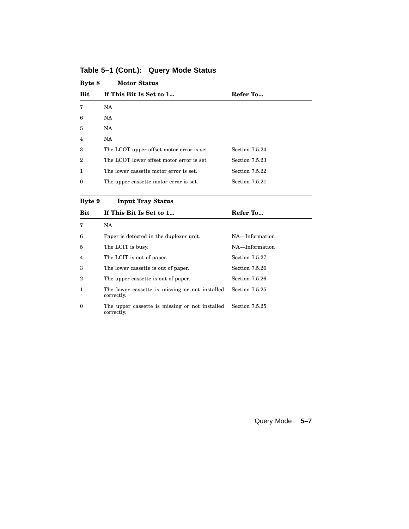| Byte 8           | <b>Motor Status</b>                       |                |
|------------------|-------------------------------------------|----------------|
| <b>Bit</b>       | If This Bit Is Set to 1                   | Refer To       |
| 7                | NA.                                       |                |
| 6                | NA.                                       |                |
| $\overline{5}$   | NA.                                       |                |
| 4                | NA.                                       |                |
| 3                | The LCOT upper offset motor error is set. | Section 7.5.24 |
| $\boldsymbol{2}$ | The LCOT lower offset motor error is set. | Section 7.5.23 |
| 1                | The lower cassette motor error is set.    | Section 7.5.22 |
| $\bf{0}$         | The upper cassette motor error is set.    | Section 7.5.21 |

**Table 5–1 (Cont.): Query Mode Status**

**Byte 9 Input Tray Status**

| <b>Bit</b> | If This Bit Is Set to 1                                      | Refer To       |
|------------|--------------------------------------------------------------|----------------|
|            | NA.                                                          |                |
| 6          | Paper is detected in the duplexer unit.                      | NA-Information |
| 5          | The LCIT is busy.                                            | NA-Information |
| 4          | The LCIT is out of paper.                                    | Section 7.5.27 |
| 3          | The lower cassette is out of paper.                          | Section 7.5.26 |
| 2          | The upper cassette is out of paper.                          | Section 7.5.26 |
|            | The lower cassette is missing or not installed<br>correctly. | Section 7.5.25 |
| $\theta$   | The upper cassette is missing or not installed<br>correctly. | Section 7.5.25 |

Query Mode **5–7**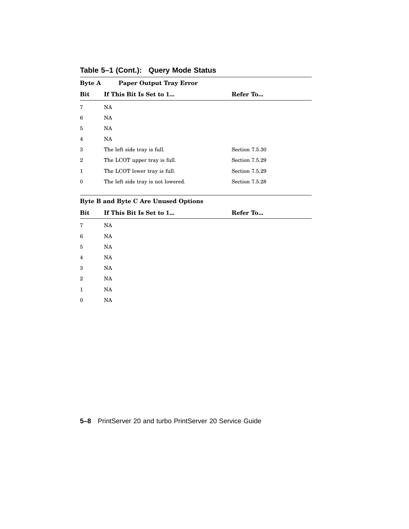| <b>Paper Output Tray Error</b><br><b>Byte A</b> |                |
|-------------------------------------------------|----------------|
| If This Bit Is Set to 1                         | Refer To       |
| NA                                              |                |
| NA.                                             |                |
| NA.                                             |                |
| NA                                              |                |
| The left side tray is full.                     | Section 7.5.30 |
| The LCOT upper tray is full.                    | Section 7.5.29 |
| The LCOT lower tray is full.                    | Section 7.5.29 |
| The left side tray is not lowered.              | Section 7.5.28 |
|                                                 |                |

**Table 5–1 (Cont.): Query Mode Status**

## **Byte B and Byte C Are Unused Options**

| <b>Bit</b>     | If This Bit Is Set to 1 | Refer To |  |
|----------------|-------------------------|----------|--|
| 7              | NA                      |          |  |
| 6              | NA                      |          |  |
| $\bf 5$        | NA                      |          |  |
| $\overline{4}$ | NA                      |          |  |
| 3              | NA                      |          |  |
| $\overline{2}$ | NA                      |          |  |
| 1              | NA                      |          |  |
| $\bf{0}$       | NA                      |          |  |

**5–8** PrintServer 20 and turbo PrintServer 20 Service Guide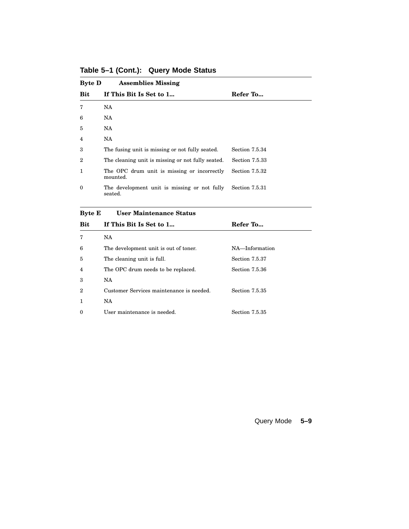| <b>Byte D</b> | <b>Assemblies Missing</b>                               |                |
|---------------|---------------------------------------------------------|----------------|
| <b>Bit</b>    | If This Bit Is Set to 1                                 | Refer To       |
| 7             | NA                                                      |                |
| 6             | NA                                                      |                |
| 5             | NA.                                                     |                |
| 4             | NA.                                                     |                |
| 3             | The fusing unit is missing or not fully seated.         | Section 7.5.34 |
| 2             | The cleaning unit is missing or not fully seated.       | Section 7.5.33 |
| 1             | The OPC drum unit is missing or incorrectly<br>mounted. | Section 7.5.32 |
| $\Omega$      | The development unit is missing or not fully<br>seated. | Section 7.5.31 |

**Table 5–1 (Cont.): Query Mode Status**

| <b>Byte E</b> |  | <b>User Maintenance Status</b> |  |
|---------------|--|--------------------------------|--|
|---------------|--|--------------------------------|--|

| Bit              | If This Bit Is Set to 1                  | Refer To              |
|------------------|------------------------------------------|-----------------------|
| 7                | <b>NA</b>                                |                       |
| 6                | The development unit is out of toner.    | NA-Information        |
| 5                | The cleaning unit is full.               | Section 7.5.37        |
| 4                | The OPC drum needs to be replaced.       | Section 7.5.36        |
| 3                | NA.                                      |                       |
| $\boldsymbol{2}$ | Customer Services maintenance is needed. | Section 7.5.35        |
| 1                | NA.                                      |                       |
| $\theta$         | User maintenance is needed.              | <b>Section 7.5.35</b> |

Query Mode **5–9**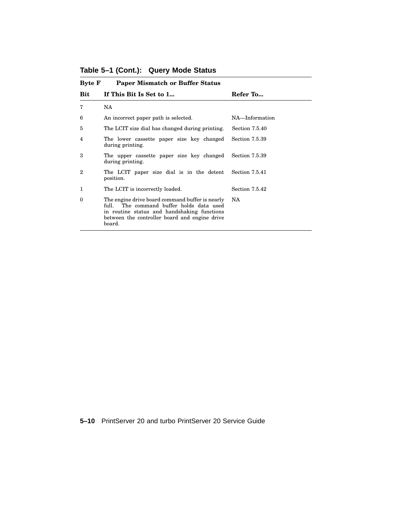| <b>Byte F</b>     | <b>Paper Mismatch or Buffer Status</b>                                                                                                                                                                   |                |
|-------------------|----------------------------------------------------------------------------------------------------------------------------------------------------------------------------------------------------------|----------------|
| <b>Bit</b>        | If This Bit Is Set to 1                                                                                                                                                                                  | Refer To       |
| 7                 | NA.                                                                                                                                                                                                      |                |
| 6                 | An incorrect paper path is selected.                                                                                                                                                                     | NA-Information |
| 5                 | The LCIT size dial has changed during printing.                                                                                                                                                          | Section 7.5.40 |
| 4                 | The lower cassette paper size key changed<br>during printing.                                                                                                                                            | Section 7.5.39 |
| 3                 | The upper cassette paper size key changed<br>during printing.                                                                                                                                            | Section 7.5.39 |
| $\mathcal{D}_{1}$ | The LCIT paper size dial is in the detent<br>position.                                                                                                                                                   | Section 7.5.41 |
| 1                 | The LCIT is incorrectly loaded.                                                                                                                                                                          | Section 7.5.42 |
| $\Omega$          | The engine drive board command buffer is nearly<br>The command buffer holds data used<br>full.<br>in routine status and handshaking functions<br>between the controller board and engine drive<br>board. | NA             |

**Table 5–1 (Cont.): Query Mode Status**

**5–10** PrintServer 20 and turbo PrintServer 20 Service Guide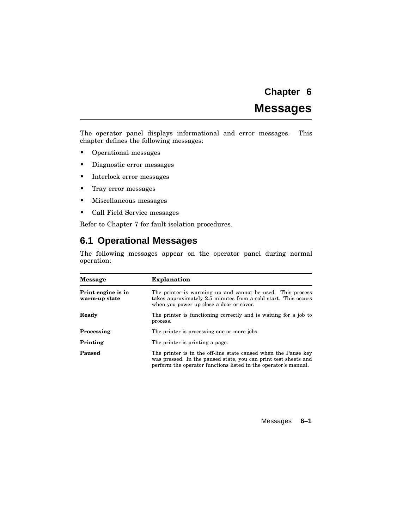# **Messages**

The operator panel displays informational and error messages. This chapter defines the following messages:

- Operational messages
- Diagnostic error messages
- Interlock error messages
- Tray error messages
- Miscellaneous messages
- Call Field Service messages

Refer to Chapter 7 for fault isolation procedures.

## **6.1 Operational Messages**

The following messages appear on the operator panel during normal operation:

| <b>Message</b>                      | <b>Explanation</b>                                                                                                                                                                                   |
|-------------------------------------|------------------------------------------------------------------------------------------------------------------------------------------------------------------------------------------------------|
| Print engine is in<br>warm-up state | The printer is warming up and cannot be used. This process<br>takes approximately 2.5 minutes from a cold start. This occurs<br>when you power up close a door or cover.                             |
| Ready                               | The printer is functioning correctly and is waiting for a job to<br>process.                                                                                                                         |
| Processing                          | The printer is processing one or more jobs.                                                                                                                                                          |
| Printing                            | The printer is printing a page.                                                                                                                                                                      |
| Paused                              | The printer is in the off-line state caused when the Pause key<br>was pressed. In the paused state, you can print test sheets and<br>perform the operator functions listed in the operator's manual. |

Messages **6–1**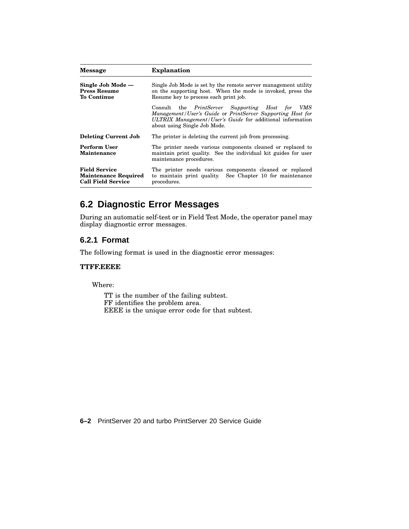| <b>Message</b>                                                                   | <b>Explanation</b>                                                                                                                                                                                         |
|----------------------------------------------------------------------------------|------------------------------------------------------------------------------------------------------------------------------------------------------------------------------------------------------------|
| Single Job Mode -<br><b>Press Resume</b><br>To Continue                          | Single Job Mode is set by the remote server management utility<br>on the supporting host. When the mode is invoked, press the<br>Resume key to process each print job.                                     |
|                                                                                  | Consult the PrintServer Supporting Host for VMS<br>Management/User's Guide or PrintServer Supporting Host for<br>ULTRIX Management/User's Guide for additional information<br>about using Single Job Mode. |
| <b>Deleting Current Job</b>                                                      | The printer is deleting the current job from processing.                                                                                                                                                   |
| Perform User<br>Maintenance                                                      | The printer needs various components cleaned or replaced to<br>maintain print quality. See the individual kit guides for user<br>maintenance procedures.                                                   |
| <b>Field Service</b><br><b>Maintenance Required</b><br><b>Call Field Service</b> | The printer needs various components cleaned or replaced<br>to maintain print quality. See Chapter 10 for maintenance<br>procedures.                                                                       |

# **6.2 Diagnostic Error Messages**

During an automatic self-test or in Field Test Mode, the operator panel may display diagnostic error messages.

#### **6.2.1 Format**

The following format is used in the diagnostic error messages:

#### **TTFF.EEEE**

Where:

TT is the number of the failing subtest. FF identifies the problem area. EEEE is the unique error code for that subtest.

**6–2** PrintServer 20 and turbo PrintServer 20 Service Guide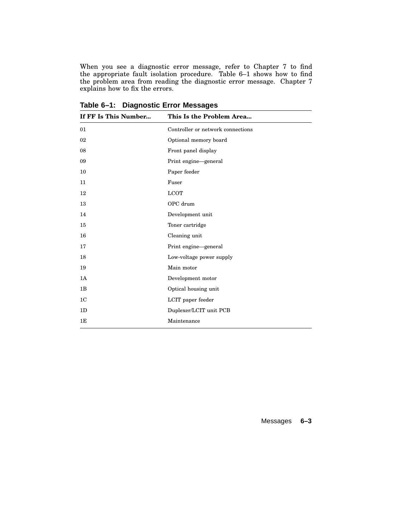When you see a diagnostic error message, refer to Chapter 7 to find the appropriate fault isolation procedure. Table 6–1 shows how to find the problem area from reading the diagnostic error message. Chapter 7 explains how to fix the errors.

| If FF Is This Number | This Is the Problem Area          |
|----------------------|-----------------------------------|
| 01                   | Controller or network connections |
| 02                   | Optional memory board             |
| 08                   | Front panel display               |
| 09                   | Print engine-general              |
| 10                   | Paper feeder                      |
| $11\,$               | Fuser                             |
| 12                   | <b>LCOT</b>                       |
| 13                   | OPC drum                          |
| 14                   | Development unit                  |
| 15                   | Toner cartridge                   |
| 16                   | Cleaning unit                     |
| 17                   | Print engine-general              |
| 18                   | Low-voltage power supply          |
| 19                   | Main motor                        |
| 1A                   | Development motor                 |
| 1B                   | Optical housing unit              |
| 1 <sup>C</sup>       | LCIT paper feeder                 |
| 1D                   | Duplexer/LCIT unit PCB            |
| 1E                   | Maintenance                       |

**Table 6–1: Diagnostic Error Messages**

Messages **6–3**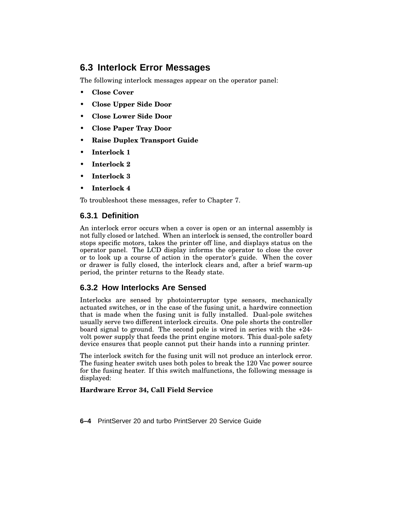# **6.3 Interlock Error Messages**

The following interlock messages appear on the operator panel:

- **Close Cover**
- **Close Upper Side Door**
- **Close Lower Side Door**
- **Close Paper Tray Door**
- **Raise Duplex Transport Guide**
- **Interlock 1**
- **Interlock 2**
- **Interlock 3**
- **Interlock 4**

To troubleshoot these messages, refer to Chapter 7.

## **6.3.1 Definition**

An interlock error occurs when a cover is open or an internal assembly is not fully closed or latched. When an interlock is sensed, the controller board stops specific motors, takes the printer off line, and displays status on the operator panel. The LCD display informs the operator to close the cover or to look up a course of action in the operator's guide. When the cover or drawer is fully closed, the interlock clears and, after a brief warm-up period, the printer returns to the Ready state.

## **6.3.2 How Interlocks Are Sensed**

Interlocks are sensed by photointerruptor type sensors, mechanically actuated switches, or in the case of the fusing unit, a hardwire connection that is made when the fusing unit is fully installed. Dual-pole switches usually serve two different interlock circuits. One pole shorts the controller board signal to ground. The second pole is wired in series with the +24 volt power supply that feeds the print engine motors. This dual-pole safety device ensures that people cannot put their hands into a running printer.

The interlock switch for the fusing unit will not produce an interlock error. The fusing heater switch uses both poles to break the 120 Vac power source for the fusing heater. If this switch malfunctions, the following message is displayed:

#### **Hardware Error 34, Call Field Service**

**6–4** PrintServer 20 and turbo PrintServer 20 Service Guide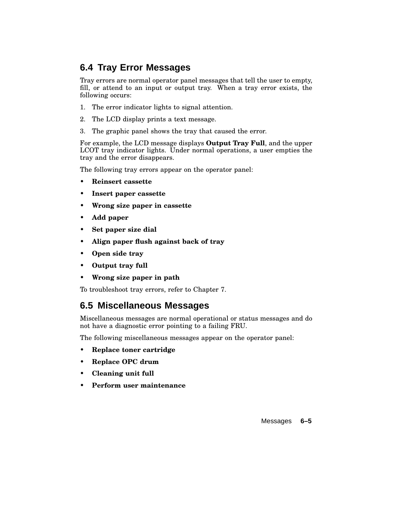# **6.4 Tray Error Messages**

Tray errors are normal operator panel messages that tell the user to empty, fill, or attend to an input or output tray. When a tray error exists, the following occurs:

- 1. The error indicator lights to signal attention.
- 2. The LCD display prints a text message.
- 3. The graphic panel shows the tray that caused the error.

For example, the LCD message displays **Output Tray Full**, and the upper LCOT tray indicator lights. Under normal operations, a user empties the tray and the error disappears.

The following tray errors appear on the operator panel:

- **Reinsert cassette**
- **Insert paper cassette**
- **Wrong size paper in cassette**
- **Add paper**
- **Set paper size dial**
- **Align paper flush against back of tray**
- **Open side tray**
- **Output tray full**
- **Wrong size paper in path**

To troubleshoot tray errors, refer to Chapter 7.

# **6.5 Miscellaneous Messages**

Miscellaneous messages are normal operational or status messages and do not have a diagnostic error pointing to a failing FRU.

The following miscellaneous messages appear on the operator panel:

- **Replace toner cartridge**
- **Replace OPC drum**
- **Cleaning unit full**
- **Perform user maintenance**

Messages **6–5**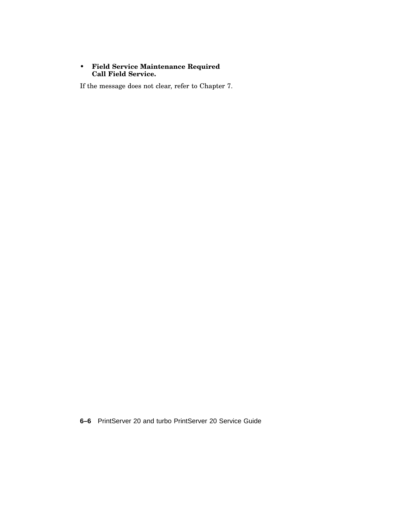#### • **Field Service Maintenance Required Call Field Service.**

If the message does not clear, refer to Chapter 7.

**6–6** PrintServer 20 and turbo PrintServer 20 Service Guide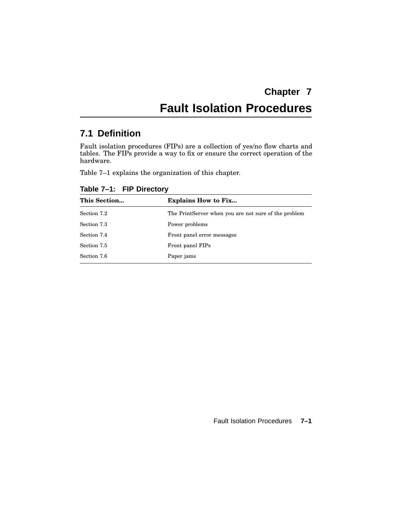# **Fault Isolation Procedures**

# **7.1 Definition**

Fault isolation procedures (FIPs) are a collection of yes/no flow charts and tables. The FIPs provide a way to fix or ensure the correct operation of the hardware.

Table 7–1 explains the organization of this chapter.

| This Section | <b>Explains How to Fix</b>                           |
|--------------|------------------------------------------------------|
| Section 7.2  | The PrintServer when you are not sure of the problem |
| Section 7.3  | Power problems                                       |
| Section 7.4  | Front panel error messages                           |
| Section 7.5  | Front panel FIPs                                     |
| Section 7.6  | Paper jams                                           |

**Table 7–1: FIP Directory**

Fault Isolation Procedures **7–1**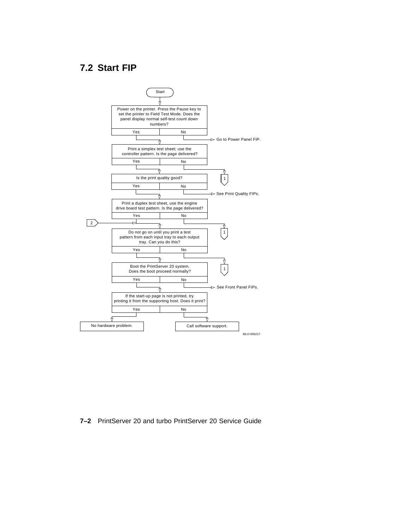# **7.2 Start FIP**



#### **7–2** PrintServer 20 and turbo PrintServer 20 Service Guide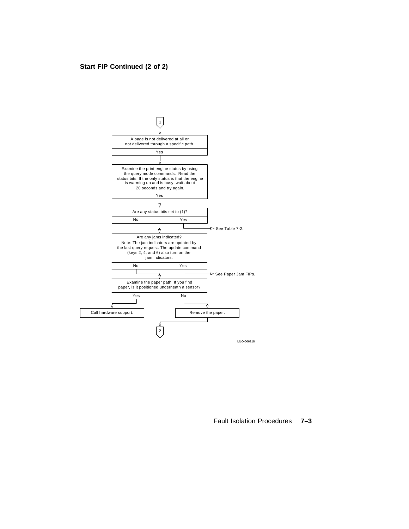### **Start FIP Continued (2 of 2)**



Fault Isolation Procedures **7–3**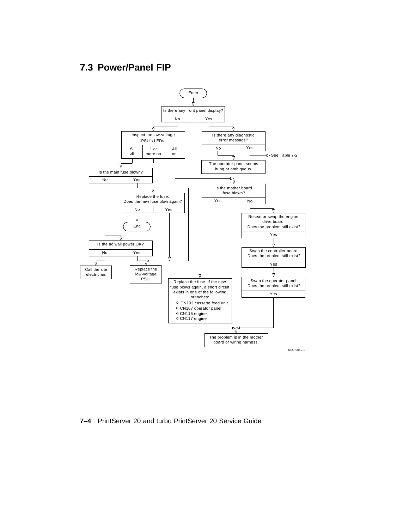# **7.3 Power/Panel FIP**



**7–4** PrintServer 20 and turbo PrintServer 20 Service Guide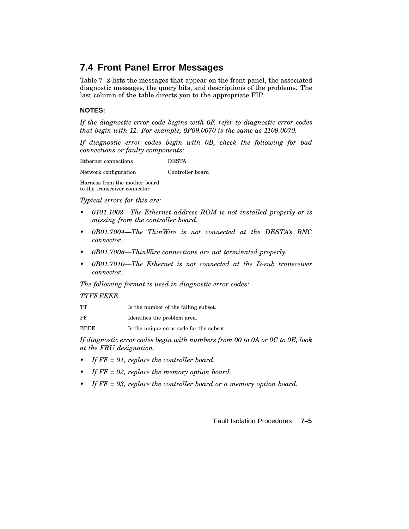# **7.4 Front Panel Error Messages**

Table 7–2 lists the messages that appear on the front panel, the associated diagnostic messages, the query bits, and descriptions of the problems. The last column of the table directs you to the appropriate FIP.

#### **NOTES:**

*If the diagnostic error code begins with 0F, refer to diagnostic error codes that begin with 11. For example, 0F09.0070 is the same as 1109.0070.*

*If diagnostic error codes begin with 0B, check the following for bad connections or faulty components:*

Ethernet connections DESTA

Network configuration Controller board

Harness from the mother board to the transceiver connector

*Typical errors for this are:*

- *• 0101.1002—The Ethernet address ROM is not installed properly or is missing from the controller board.*
- *• 0B01.7004—The ThinWire is not connected at the DESTA's BNC connector.*
- *• 0B01.7008—ThinWire connections are not terminated properly.*
- *• 0B01.7010—The Ethernet is not connected at the D-sub transceiver connector.*

*The following format is used in diagnostic error codes:*

#### *TTFF.EEEE*

- FF Identifies the problem area.
- EEEE Is the unique error code for the subset.

*If diagnostic error codes begin with numbers from 00 to 0A or 0C to 0E, look at the FRU designation.*

- *• If FF = 01, replace the controller board.*
- *• If FF = 02, replace the memory option board.*
- *• If FF = 03, replace the controller board or a memory option board.*

Fault Isolation Procedures **7–5**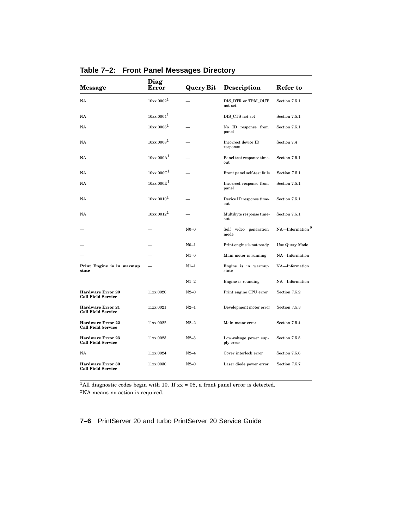| <b>Message</b>                                        | Diag<br>Error          | <b>Query Bit</b> | <b>Description</b>                  | Refer to            |
|-------------------------------------------------------|------------------------|------------------|-------------------------------------|---------------------|
| NA                                                    | 10xx.0002 <sup>1</sup> |                  | DIS_DTR or TRM_OUT<br>not set       | Section 7.5.1       |
| NA                                                    | $10xx.0004^1$          |                  | DIS CTS not set                     | Section 7.5.1       |
| NA                                                    | 10xx.0006 <sup>1</sup> |                  | No ID response from<br>panel        | Section 7.5.1       |
| NA                                                    | 10xx.0008 <sup>1</sup> |                  | Incorrect device ID<br>response     | Section 7.4         |
| NA                                                    | 10xx.000A <sup>1</sup> |                  | Panel test response time-<br>out.   | Section 7.5.1       |
| NA                                                    | 10xx.000C <sup>1</sup> |                  | Front panel self-test fails         | Section 7.5.1       |
| NA                                                    | 10xx.000E <sup>1</sup> |                  | Incorrect response from<br>panel    | Section 7.5.1       |
| NA                                                    | $10xx.0010^1$          |                  | Device ID response time-<br>out     | Section 7.5.1       |
| NA                                                    | $10xy0012^1$           |                  | Multibyte response time-<br>out     | Section 7.5.1       |
|                                                       |                        | $N0-0$           | Self video<br>generation<br>mode    | NA-Information $^2$ |
|                                                       |                        | $N0-1$           | Print engine is not ready           | Use Query Mode.     |
|                                                       |                        | $N1-0$           | Main motor is running               | NA-Information      |
| Print Engine is in warmup<br>state                    |                        | $N1-1$           | Engine is in warmup<br>state        | NA-Information      |
|                                                       |                        | $N1-2$           | Engine is rounding                  | NA-Information      |
| <b>Hardware Error 20</b><br><b>Call Field Service</b> | 11xx.0020              | $N2-0$           | Print engine CPU error              | Section 7.5.2       |
| <b>Hardware Error 21</b><br><b>Call Field Service</b> | 11xx.0021              | $N2-1$           | Development motor error             | Section 7.5.3       |
| <b>Hardware Error 22</b><br><b>Call Field Service</b> | 11xx.0022              | $N2-2$           | Main motor error                    | Section 7.5.4       |
| <b>Hardware Error 23</b><br><b>Call Field Service</b> | 11xx.0023              | $N2-3$           | Low-voltage power sup-<br>ply error | Section 7.5.5       |
| <b>NA</b>                                             | 11xx.0024              | $N2-4$           | Cover interlock error               | Section 7.5.6       |
| <b>Hardware Error 30</b><br><b>Call Field Service</b> | 11xx.0030              | $N2-0$           | Laser diode power error             | Section 7.5.7       |

**Table 7–2: Front Panel Messages Directory**

<sup>1</sup>All diagnostic codes begin with 10. If  $xx = 08$ , a front panel error is detected.

<sup>2</sup>NA means no action is required.

**7–6** PrintServer 20 and turbo PrintServer 20 Service Guide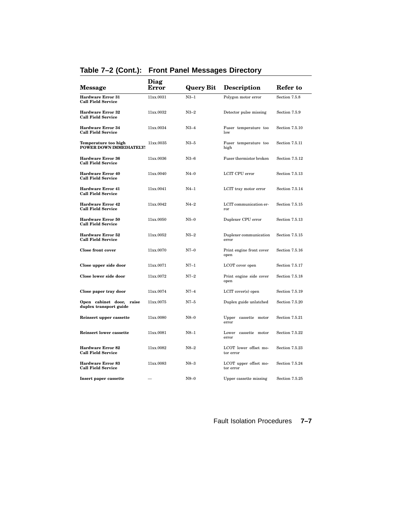| <b>Message</b>                                         | Diag<br>Error | <b>Query Bit</b> | <b>Description</b>                 | Refer to       |
|--------------------------------------------------------|---------------|------------------|------------------------------------|----------------|
| <b>Hardware Error 31</b><br><b>Call Field Service</b>  | 11xx.0031     | $N3-1$           | Polygon motor error                | Section 7.5.8  |
| <b>Hardware Error 32</b><br><b>Call Field Service</b>  | 11xx.0032     | $N3-2$           | Detector pulse missing             | Section 7.5.9  |
| <b>Hardware Error 34</b><br><b>Call Field Service</b>  | 11xx.0034     | $N3-4$           | Fuser temperature too<br>low       | Section 7.5.10 |
| Temperature too high<br><b>POWER DOWN IMMEDIATELY!</b> | 11xx.0035     | $N3-5$           | Fuser temperature too<br>high      | Section 7.5.11 |
| <b>Hardware Error 36</b><br><b>Call Field Service</b>  | 11xx.0036     | $N3-6$           | Fuser thermistor broken            | Section 7.5.12 |
| <b>Hardware Error 40</b><br><b>Call Field Service</b>  | 11xx.0040     | $N4-0$           | LCIT CPU error                     | Section 7.5.13 |
| <b>Hardware Error 41</b><br><b>Call Field Service</b>  | 11xx.0041     | $N4-1$           | LCIT tray motor error              | Section 7.5.14 |
| <b>Hardware Error 42</b><br><b>Call Field Service</b>  | 11xx.0042     | $N4-2$           | LCIT communication er-<br>ror      | Section 7.5.15 |
| <b>Hardware Error 50</b><br><b>Call Field Service</b>  | 11xx.0050     | $N5-0$           | Duplexer CPU error                 | Section 7.5.13 |
| Hardware Error 52<br><b>Call Field Service</b>         | 11xx.0052     | $N5-2$           | Duplexer communication<br>error    | Section 7.5.15 |
| <b>Close front cover</b>                               | 11xx.0070     | $N7-0$           | Print engine front cover<br>open   | Section 7.5.16 |
| Close upper side door                                  | 11xx.0071     | $N7-1$           | LCOT cover open                    | Section 7.5.17 |
| Close lower side door                                  | 11xx.0072     | $N7-2$           | Print engine side cover<br>open    | Section 7.5.18 |
| Close paper tray door                                  | 11xx.0074     | $N7-4$           | $LCIT$ cover(s) open               | Section 7.5.19 |
| Open cabinet door, raise<br>duplex transport guide     | 11xx.0075     | N7–5             | Duplex guide unlatched             | Section 7.5.20 |
| Reinsert upper cassette                                | 11xx.0080     | $N8-0$           | Upper cassette motor<br>error      | Section 7.5.21 |
| <b>Reinsert lower cassette</b>                         | 11xx.0081     | $N8-1$           | Lower cassette motor<br>error      | Section 7.5.22 |
| <b>Hardware Error 82</b><br><b>Call Field Service</b>  | 11xx.0082     | $N8-2$           | LCOT lower offset mo-<br>tor error | Section 7.5.23 |
| <b>Hardware Error 83</b><br><b>Call Field Service</b>  | 11xx.0083     | $N8-3$           | LCOT upper offset mo-<br>tor error | Section 7.5.24 |
| Insert paper cassette                                  |               | $N9-0$           | Upper cassette missing             | Section 7.5.25 |

## **Table 7–2 (Cont.): Front Panel Messages Directory**

Fault Isolation Procedures **7–7**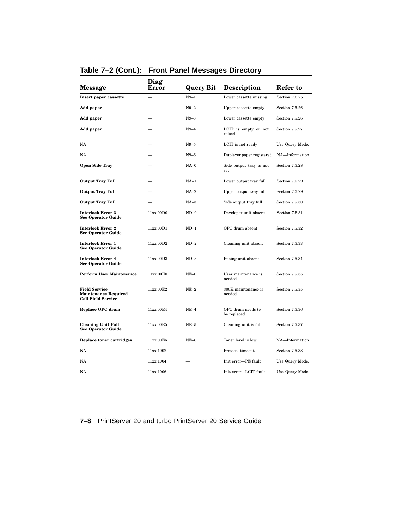| <b>Message</b>                                                                   | Diag<br>Error | <b>Query Bit</b> | <b>Description</b>               | Refer to        |
|----------------------------------------------------------------------------------|---------------|------------------|----------------------------------|-----------------|
| Insert paper cassette                                                            |               | $N9-1$           | Lower cassette missing           | Section 7.5.25  |
| Add paper                                                                        |               | $N9-2$           | Upper cassette empty             | Section 7.5.26  |
| Add paper                                                                        |               | $N9-3$           | Lower cassette empty             | Section 7.5.26  |
| Add paper                                                                        |               | $N9-4$           | LCIT is empty or not<br>raised   | Section 7.5.27  |
| NA                                                                               |               | $N9-5$           | LCIT is not ready                | Use Query Mode. |
| NA                                                                               |               | N9–6             | Duplexer paper registered        | NA-Information  |
| <b>Open Side Tray</b>                                                            |               | $NA-0$           | Side output tray is not<br>set   | Section 7.5.28  |
| <b>Output Tray Full</b>                                                          |               | $NA-1$           | Lower output tray full           | Section 7.5.29  |
| <b>Output Tray Full</b>                                                          |               | $NA-2$           | Upper output tray full           | Section 7.5.29  |
| <b>Output Tray Full</b>                                                          |               | NA-3             | Side output tray full            | Section 7.5.30  |
| <b>Interlock Error 3</b><br><b>See Operator Guide</b>                            | 11xx.00D0     | $ND-0$           | Developer unit absent            | Section 7.5.31  |
| <b>Interlock Error 2</b><br><b>See Operator Guide</b>                            | 11xx.00D1     | $ND-1$           | OPC drum absent                  | Section 7.5.32  |
| <b>Interlock Error 1</b><br><b>See Operator Guide</b>                            | 11xx.00D2     | $ND-2$           | Cleaning unit absent             | Section 7.5.33  |
| <b>Interlock Error 4</b><br>See Operator Guide                                   | 11xx.00D3     | $ND-3$           | Fusing unit absent               | Section 7.5.34  |
| <b>Perform User Maintenance</b>                                                  | 11xx.00E0     | $NE-0$           | User maintenance is<br>needed    | Section 7.5.35  |
| <b>Field Service</b><br><b>Maintenance Required</b><br><b>Call Field Service</b> | 11xx.00E2     | $NE-2$           | 300K maintenance is<br>needed    | Section 7.5.35  |
| Replace OPC drum                                                                 | 11xx.00E4     | $NE-4$           | OPC drum needs to<br>be replaced | Section 7.5.36  |
| <b>Cleaning Unit Full</b><br>See Operator Guide                                  | 11xx.00E5     | $NE-5$           | Cleaning unit is full            | Section 7.5.37  |
| Replace toner cartridges                                                         | 11xx.00E6     | $NE-6$           | Toner level is low               | NA-Information  |
| NA                                                                               | 11xx.1002     |                  | Protocol timeout                 | Section 7.5.38  |
| NA                                                                               | 11xx.1004     |                  | Init error-PE fault              | Use Query Mode. |
| NA                                                                               | 11xx.1006     |                  | Init error-LCIT fault            | Use Query Mode. |

## **Table 7–2 (Cont.): Front Panel Messages Directory**

**7–8** PrintServer 20 and turbo PrintServer 20 Service Guide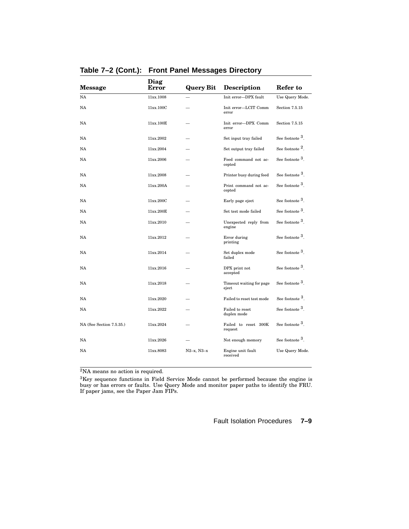| <b>Message</b>           | Diag<br>Error | <b>Query Bit</b> | <b>Description</b>                | Refer to                    |
|--------------------------|---------------|------------------|-----------------------------------|-----------------------------|
| NA                       | 11xx.1008     |                  | Init error-DPX fault              | Use Query Mode.             |
| NA                       | 11xx.100C     |                  | Init error-LCIT Comm<br>error     | Section 7.5.15              |
| NA                       | 11xx.100E     |                  | Init error-DPX Comm<br>error      | Section 7.5.15              |
| <b>NA</b>                | 11xx.2002     |                  | Set input tray failed             | See footnote <sup>3</sup> . |
| NA                       | 11xx.2004     |                  | Set output tray failed            | See footnote $^2$ .         |
| NA                       | 11xx.2006     |                  | Feed command not ac-<br>cepted    | See footnote $^3$ .         |
| NA                       | 11xx.2008     |                  | Printer busy during feed          | See footnote <sup>3</sup> . |
| NA                       | 11xx.200A     |                  | Print command not ac-<br>cepted   | See footnote 3.             |
| NA                       | 11xx.200C     |                  | Early page eject                  | See footnote 3.             |
| NA                       | 11xx.200E     |                  | Set test mode failed              | See footnote 3.             |
| NA                       | 11xx.2010     |                  | Unexpected reply from<br>engine   | See footnote <sup>3</sup> . |
| NA                       | 11xx.2012     |                  | Error during<br>printing          | See footnote <sup>3</sup> . |
| NA                       | 11xx.2014     |                  | Set duplex mode<br>failed         | See footnote <sup>3</sup> . |
| NA                       | 11xx.2016     |                  | DPX print not<br>accepted         | See footnote 3.             |
| NA                       | 11xx.2018     |                  | Timeout waiting for page<br>eject | See footnote $^3$ .         |
| NA                       | 11xx.2020     |                  | Failed to reset test mode         | See footnote 3.             |
| NA                       | 11xx.2022     |                  | Failed to reset<br>duplex mode    | See footnote 3.             |
| NA (See Section 7.5.35.) | 11xx.2024     |                  | Failed to reset 300K<br>request   | See footnote <sup>3</sup> . |
| NA                       | 11xx.2026     |                  | Not enough memory                 | See footnote 3.             |
| NA                       | 11xx.8083     | $N2-x, N3-x$     | Engine unit fault<br>received     | Use Query Mode.             |

**Table 7–2 (Cont.): Front Panel Messages Directory**

<sup>2</sup>NA means no action is required.

 ${}^{3}$ Key sequence functions in Field Service Mode cannot be performed because the engine is busy or has errors or faults. Use Query Mode and monitor paper paths to identify the FRU. If paper jams, see the Paper Jam FIPs.

Fault Isolation Procedures **7–9**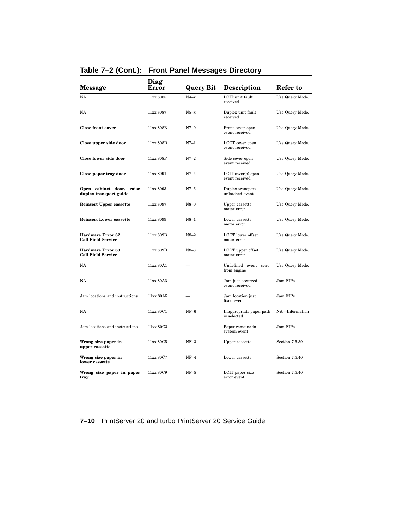| <b>Message</b>                                        | Diag<br>Error | <b>Query Bit</b> | <b>Description</b>                      | Refer to        |
|-------------------------------------------------------|---------------|------------------|-----------------------------------------|-----------------|
| NA                                                    | 11xx.8085     | $N4-x$           | LCIT unit fault<br>received             | Use Query Mode. |
| NA                                                    | 11xx.8087     | $N5-x$           | Duplex unit fault<br>received           | Use Query Mode. |
| <b>Close front cover</b>                              | 11xx.808B     | $N7-0$           | Front cover open<br>event received      | Use Query Mode. |
| Close upper side door                                 | 11xx.808D     | N7-1             | LCOT cover open<br>event received       | Use Query Mode. |
| Close lower side door                                 | 11xx.808F     | $N7-2$           | Side cover open<br>event received       | Use Query Mode. |
| Close paper tray door                                 | 11xx.8091     | $N7-4$           | LCIT cover(s) open<br>event received    | Use Query Mode. |
| Open cabinet door, raise<br>duplex transport guide    | 11xx.8093     | $N7-5$           | Duplex transport<br>unlatched event     | Use Query Mode. |
| <b>Reinsert Upper cassette</b>                        | 11xx.8097     | $N8-0$           | Upper cassette<br>motor error           | Use Query Mode. |
| <b>Reinsert Lower cassette</b>                        | 11xx.8099     | $N8-1$           | Lower cassette<br>motor error           | Use Query Mode. |
| <b>Hardware Error 82</b><br><b>Call Field Service</b> | 11xx.809B     | $N8-2$           | LCOT lower offset<br>motor error        | Use Query Mode. |
| <b>Hardware Error 83</b><br><b>Call Field Service</b> | 11xx.809D     | $N8-3$           | LCOT upper offset<br>motor error        | Use Query Mode. |
| NA                                                    | 11xx.80A1     |                  | Undefined event sent<br>from engine     | Use Query Mode. |
| NA                                                    | 11xx.80A3     |                  | Jam just occurred<br>event received     | Jam FIPs        |
| Jam locations and instructions                        | 11xx.80A5     |                  | Jam location just<br>fixed event        | Jam FIPs        |
| NA                                                    | 11xx.80C1     | $NF-6$           | Inappropriate paper path<br>is selected | NA-Information  |
| Jam locations and instructions                        | 11xx.80C3     |                  | Paper remains in<br>system event        | Jam FIPs        |
| Wrong size paper in<br>upper cassette                 | 11xx.80C5     | $NF-3$           | Upper cassette                          | Section 7.5.39  |
| Wrong size paper in<br>lower cassette                 | 11xx.80C7     | $NF-4$           | Lower cassette                          | Section 7.5.40  |
| Wrong size paper in paper<br>tray                     | 11xx.80C9     | $NF-5$           | LCIT paper size<br>error event          | Section 7.5.40  |

## **Table 7–2 (Cont.): Front Panel Messages Directory**

**7–10** PrintServer 20 and turbo PrintServer 20 Service Guide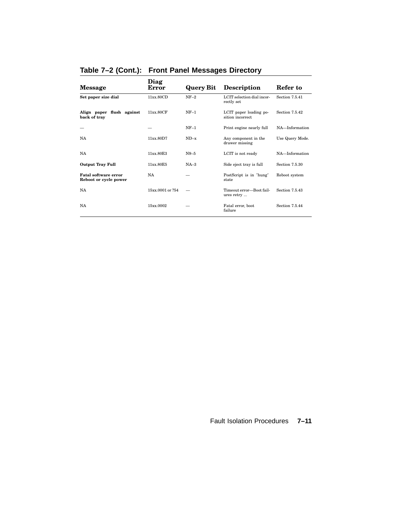| <b>Message</b>                                       | Diag<br>Error    | <b>Query Bit</b> | <b>Description</b>                          | Refer to        |
|------------------------------------------------------|------------------|------------------|---------------------------------------------|-----------------|
| Set paper size dial                                  | 11xx.80CD        | $NF-2$           | LCIT selection dial incor-<br>rectly set    | Section 7.5.41  |
| Align paper flush against<br>back of tray            | 11xx.80CF        | $NF-1$           | LCIT paper loading po-<br>sition incorrect. | Section 7.5.42  |
|                                                      |                  | $NF-1$           | Print engine nearly full                    | NA-Information  |
| <b>NA</b>                                            | 11xx.80D7        | $ND-x$           | Any component in the<br>drawer missing      | Use Query Mode. |
| NA                                                   | 11xx.80E3        | $N9 - 5$         | LCIT is not ready                           | NA-Information  |
| <b>Output Tray Full</b>                              | 11xx.80E5        | $NA-3$           | Side eject tray is full                     | Section 7.5.30  |
| <b>Fatal software error</b><br>Reboot or cycle power | <b>NA</b>        |                  | PostScript is in "hung"<br>state            | Reboot system   |
| <b>NA</b>                                            | 15xx 0001 or 254 |                  | Timeout error-Boot fail-<br>ures retry      | Section 7.5.43  |
| <b>NA</b>                                            | 15xx.0002        |                  | Fatal error, boot<br>failure                | Section 7.5.44  |

## **Table 7–2 (Cont.): Front Panel Messages Directory**

Fault Isolation Procedures **7–11**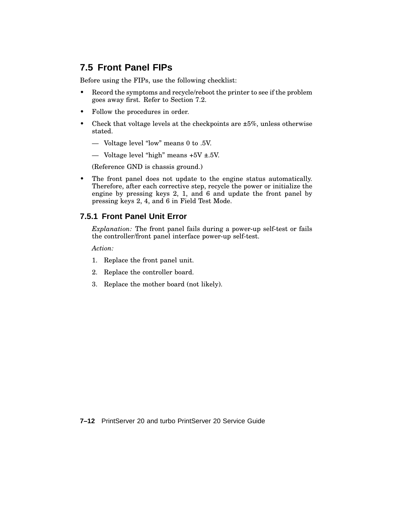# **7.5 Front Panel FIPs**

Before using the FIPs, use the following checklist:

- Record the symptoms and recycle/reboot the printer to see if the problem goes away first. Refer to Section 7.2.
- Follow the procedures in order.
- Check that voltage levels at the checkpoints are  $\pm 5\%$ , unless otherwise stated.
	- Voltage level "low" means 0 to .5V.
	- Voltage level "high" means  $+5V \pm .5V$ .

(Reference GND is chassis ground.)

• The front panel does not update to the engine status automatically. Therefore, after each corrective step, recycle the power or initialize the engine by pressing keys 2, 1, and 6 and update the front panel by pressing keys 2, 4, and 6 in Field Test Mode.

#### **7.5.1 Front Panel Unit Error**

*Explanation:* The front panel fails during a power-up self-test or fails the controller/front panel interface power-up self-test.

*Action:*

- 1. Replace the front panel unit.
- 2. Replace the controller board.
- 3. Replace the mother board (not likely).

**7–12** PrintServer 20 and turbo PrintServer 20 Service Guide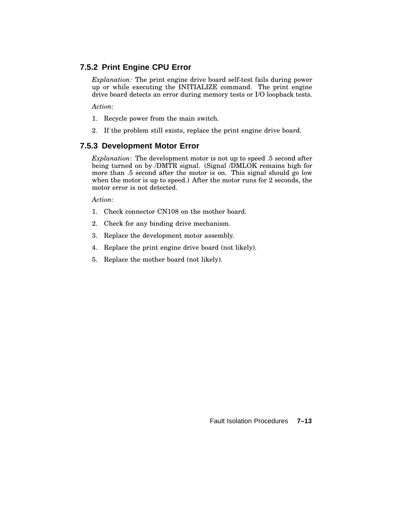# **7.5.2 Print Engine CPU Error**

*Explanation:* The print engine drive board self-test fails during power up or while executing the INITIALIZE command. The print engine drive board detects an error during memory tests or I/O loopback tests.

*Action:*

- 1. Recycle power from the main switch.
- 2. If the problem still exists, replace the print engine drive board.

### **7.5.3 Development Motor Error**

*Explanation:* The development motor is not up to speed .5 second after being turned on by /DMTR signal. (Signal /DMLOK remains high for more than .5 second after the motor is on. This signal should go low when the motor is up to speed.) After the motor runs for 2 seconds, the motor error is not detected.

*Action:*

- 1. Check connector CN108 on the mother board.
- 2. Check for any binding drive mechanism.
- 3. Replace the development motor assembly.
- 4. Replace the print engine drive board (not likely).
- 5. Replace the mother board (not likely).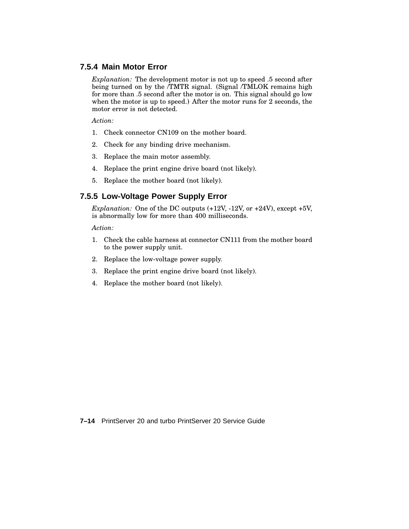### **7.5.4 Main Motor Error**

*Explanation:* The development motor is not up to speed .5 second after being turned on by the *TMTR* signal. (Signal */TMLOK remains high* for more than .5 second after the motor is on. This signal should go low when the motor is up to speed.) After the motor runs for 2 seconds, the motor error is not detected.

*Action:*

- 1. Check connector CN109 on the mother board.
- 2. Check for any binding drive mechanism.
- 3. Replace the main motor assembly.
- 4. Replace the print engine drive board (not likely).
- 5. Replace the mother board (not likely).

### **7.5.5 Low-Voltage Power Supply Error**

*Explanation:* One of the DC outputs (+12V, -12V, or +24V), except +5V, is abnormally low for more than 400 milliseconds.

*Action:*

- 1. Check the cable harness at connector CN111 from the mother board to the power supply unit.
- 2. Replace the low-voltage power supply.
- 3. Replace the print engine drive board (not likely).
- 4. Replace the mother board (not likely).

**7–14** PrintServer 20 and turbo PrintServer 20 Service Guide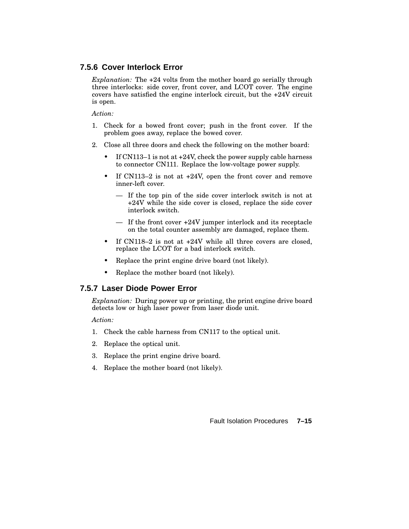## **7.5.6 Cover Interlock Error**

*Explanation:* The +24 volts from the mother board go serially through three interlocks: side cover, front cover, and LCOT cover. The engine covers have satisfied the engine interlock circuit, but the +24V circuit is open.

*Action:*

- 1. Check for a bowed front cover; push in the front cover. If the problem goes away, replace the bowed cover.
- 2. Close all three doors and check the following on the mother board:
	- If CN113–1 is not at +24V, check the power supply cable harness to connector CN111. Replace the low-voltage power supply.
	- If CN113–2 is not at +24V, open the front cover and remove inner-left cover.
		- If the top pin of the side cover interlock switch is not at +24V while the side cover is closed, replace the side cover interlock switch.
		- If the front cover +24V jumper interlock and its receptacle on the total counter assembly are damaged, replace them.
	- If CN118-2 is not at  $+24V$  while all three covers are closed, replace the LCOT for a bad interlock switch.
	- Replace the print engine drive board (not likely).
	- Replace the mother board (not likely).

### **7.5.7 Laser Diode Power Error**

*Explanation:* During power up or printing, the print engine drive board detects low or high laser power from laser diode unit.

*Action:*

- 1. Check the cable harness from CN117 to the optical unit.
- 2. Replace the optical unit.
- 3. Replace the print engine drive board.
- 4. Replace the mother board (not likely).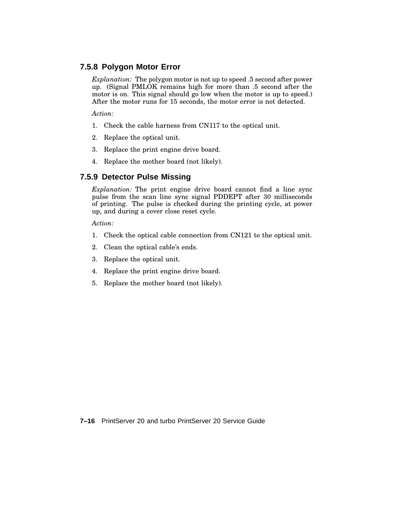## **7.5.8 Polygon Motor Error**

*Explanation:* The polygon motor is not up to speed .5 second after power up. (Signal PMLOK remains high for more than .5 second after the motor is on. This signal should go low when the motor is up to speed.) After the motor runs for 15 seconds, the motor error is not detected.

*Action:*

- 1. Check the cable harness from CN117 to the optical unit.
- 2. Replace the optical unit.
- 3. Replace the print engine drive board.
- 4. Replace the mother board (not likely).

## **7.5.9 Detector Pulse Missing**

*Explanation:* The print engine drive board cannot find a line sync pulse from the scan line sync signal PDDEPT after 30 milliseconds of printing. The pulse is checked during the printing cycle, at power up, and during a cover close reset cycle.

*Action:*

- 1. Check the optical cable connection from CN121 to the optical unit.
- 2. Clean the optical cable's ends.
- 3. Replace the optical unit.
- 4. Replace the print engine drive board.
- 5. Replace the mother board (not likely).

**7–16** PrintServer 20 and turbo PrintServer 20 Service Guide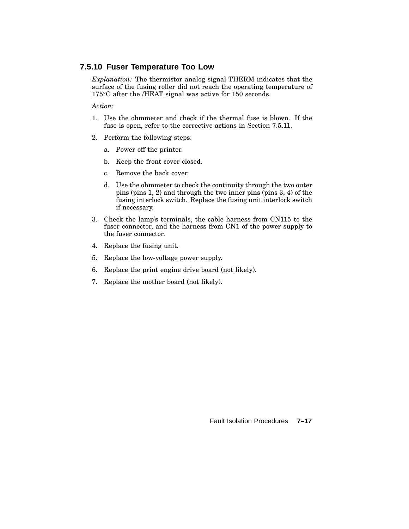#### **7.5.10 Fuser Temperature Too Low**

*Explanation:* The thermistor analog signal THERM indicates that the surface of the fusing roller did not reach the operating temperature of 175°C after the /HEAT signal was active for 150 seconds.

*Action:*

- 1. Use the ohmmeter and check if the thermal fuse is blown. If the fuse is open, refer to the corrective actions in Section 7.5.11.
- 2. Perform the following steps:
	- a. Power off the printer.
	- b. Keep the front cover closed.
	- c. Remove the back cover.
	- d. Use the ohmmeter to check the continuity through the two outer pins (pins 1, 2) and through the two inner pins (pins 3, 4) of the fusing interlock switch. Replace the fusing unit interlock switch if necessary.
- 3. Check the lamp's terminals, the cable harness from CN115 to the fuser connector, and the harness from CN1 of the power supply to the fuser connector.
- 4. Replace the fusing unit.
- 5. Replace the low-voltage power supply.
- 6. Replace the print engine drive board (not likely).
- 7. Replace the mother board (not likely).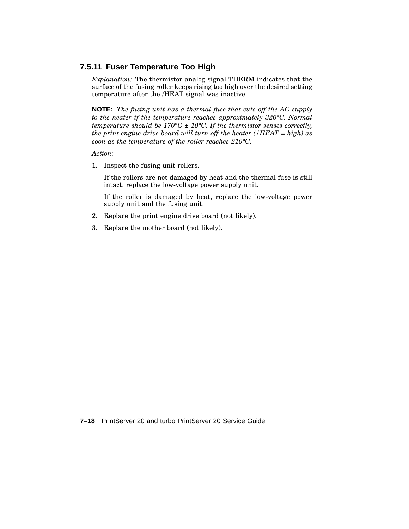### **7.5.11 Fuser Temperature Too High**

*Explanation:* The thermistor analog signal THERM indicates that the surface of the fusing roller keeps rising too high over the desired setting temperature after the /HEAT signal was inactive.

**NOTE:** *The fusing unit has a thermal fuse that cuts off the AC supply to the heater if the temperature reaches approximately 320°C. Normal temperature should be 170°C ± 10°C. If the thermistor senses correctly, the print engine drive board will turn off the heater (/HEAT = high) as soon as the temperature of the roller reaches 210°C.*

*Action:*

1. Inspect the fusing unit rollers.

If the rollers are not damaged by heat and the thermal fuse is still intact, replace the low-voltage power supply unit.

If the roller is damaged by heat, replace the low-voltage power supply unit and the fusing unit.

- 2. Replace the print engine drive board (not likely).
- 3. Replace the mother board (not likely).

**7–18** PrintServer 20 and turbo PrintServer 20 Service Guide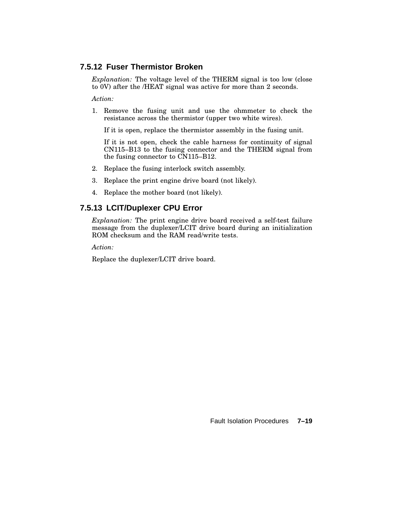# **7.5.12 Fuser Thermistor Broken**

*Explanation:* The voltage level of the THERM signal is too low (close to 0V) after the /HEAT signal was active for more than 2 seconds.

*Action:*

1. Remove the fusing unit and use the ohmmeter to check the resistance across the thermistor (upper two white wires).

If it is open, replace the thermistor assembly in the fusing unit.

If it is not open, check the cable harness for continuity of signal CN115–B13 to the fusing connector and the THERM signal from the fusing connector to CN115–B12.

- 2. Replace the fusing interlock switch assembly.
- 3. Replace the print engine drive board (not likely).
- 4. Replace the mother board (not likely).

### **7.5.13 LCIT/Duplexer CPU Error**

*Explanation:* The print engine drive board received a self-test failure message from the duplexer/LCIT drive board during an initialization ROM checksum and the RAM read/write tests.

*Action:*

Replace the duplexer/LCIT drive board.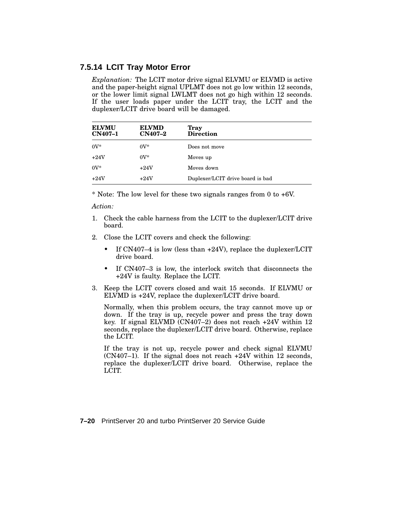#### **7.5.14 LCIT Tray Motor Error**

*Explanation:* The LCIT motor drive signal ELVMU or ELVMD is active and the paper-height signal UPLMT does not go low within 12 seconds, or the lower limit signal LWLMT does not go high within 12 seconds. If the user loads paper under the LCIT tray, the LCIT and the duplexer/LCIT drive board will be damaged.

| <b>ELVMU</b><br><b>CN407-1</b> | <b>ELVMD</b><br><b>CN407-2</b> | <b>Tray</b><br><b>Direction</b>  |
|--------------------------------|--------------------------------|----------------------------------|
| $0V^*$                         | $0V^*$                         | Does not move                    |
| $+24V$                         | $0V^*$                         | Moves up                         |
| $0V^*$                         | $+24V$                         | Moves down                       |
| $+24V$                         | $+24V$                         | Duplexer/LCIT drive board is bad |

\* Note: The low level for these two signals ranges from 0 to +6V.

*Action:*

- 1. Check the cable harness from the LCIT to the duplexer/LCIT drive board.
- 2. Close the LCIT covers and check the following:
	- If CN407-4 is low (less than +24V), replace the duplexer/LCIT drive board.
	- If CN407–3 is low, the interlock switch that disconnects the +24V is faulty. Replace the LCIT.
- 3. Keep the LCIT covers closed and wait 15 seconds. If ELVMU or ELVMD is +24V, replace the duplexer/LCIT drive board.

Normally, when this problem occurs, the tray cannot move up or down. If the tray is up, recycle power and press the tray down key. If signal ELVMD (CN407–2) does not reach +24V within 12 seconds, replace the duplexer/LCIT drive board. Otherwise, replace the LCIT.

If the tray is not up, recycle power and check signal ELVMU (CN407–1). If the signal does not reach +24V within 12 seconds, replace the duplexer/LCIT drive board. Otherwise, replace the LCIT.

**7–20** PrintServer 20 and turbo PrintServer 20 Service Guide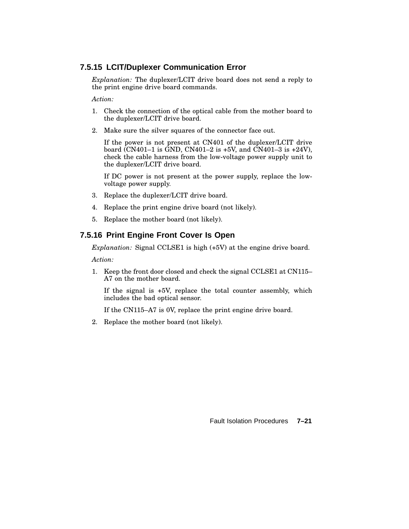# **7.5.15 LCIT/Duplexer Communication Error**

*Explanation:* The duplexer/LCIT drive board does not send a reply to the print engine drive board commands.

*Action:*

- 1. Check the connection of the optical cable from the mother board to the duplexer/LCIT drive board.
- 2. Make sure the silver squares of the connector face out.

If the power is not present at CN401 of the duplexer/LCIT drive board (CN401–1 is GND, CN401–2 is +5V, and CN401–3 is +24V), check the cable harness from the low-voltage power supply unit to the duplexer/LCIT drive board.

If DC power is not present at the power supply, replace the lowvoltage power supply.

- 3. Replace the duplexer/LCIT drive board.
- 4. Replace the print engine drive board (not likely).
- 5. Replace the mother board (not likely).

### **7.5.16 Print Engine Front Cover Is Open**

*Explanation:* Signal CCLSE1 is high (+5V) at the engine drive board.

*Action:*

1. Keep the front door closed and check the signal CCLSE1 at CN115– A7 on the mother board.

If the signal is +5V, replace the total counter assembly, which includes the bad optical sensor.

If the CN115–A7 is 0V, replace the print engine drive board.

2. Replace the mother board (not likely).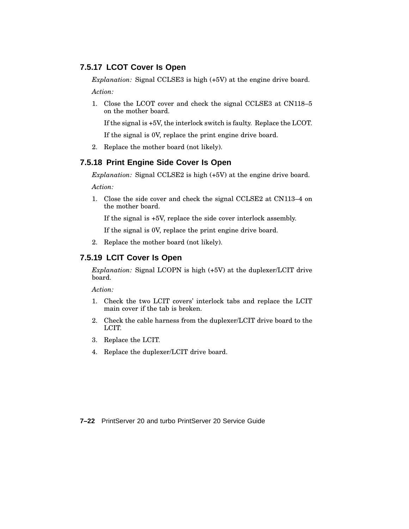# **7.5.17 LCOT Cover Is Open**

*Explanation:* Signal CCLSE3 is high (+5V) at the engine drive board. *Action:*

1. Close the LCOT cover and check the signal CCLSE3 at CN118–5 on the mother board.

If the signal is +5V, the interlock switch is faulty. Replace the LCOT.

If the signal is 0V, replace the print engine drive board.

2. Replace the mother board (not likely).

### **7.5.18 Print Engine Side Cover Is Open**

*Explanation:* Signal CCLSE2 is high (+5V) at the engine drive board.

*Action:*

1. Close the side cover and check the signal CCLSE2 at CN113–4 on the mother board.

If the signal is +5V, replace the side cover interlock assembly.

If the signal is 0V, replace the print engine drive board.

2. Replace the mother board (not likely).

### **7.5.19 LCIT Cover Is Open**

*Explanation:* Signal LCOPN is high (+5V) at the duplexer/LCIT drive board.

*Action:*

- 1. Check the two LCIT covers' interlock tabs and replace the LCIT main cover if the tab is broken.
- 2. Check the cable harness from the duplexer/LCIT drive board to the LCIT.
- 3. Replace the LCIT.
- 4. Replace the duplexer/LCIT drive board.

**7–22** PrintServer 20 and turbo PrintServer 20 Service Guide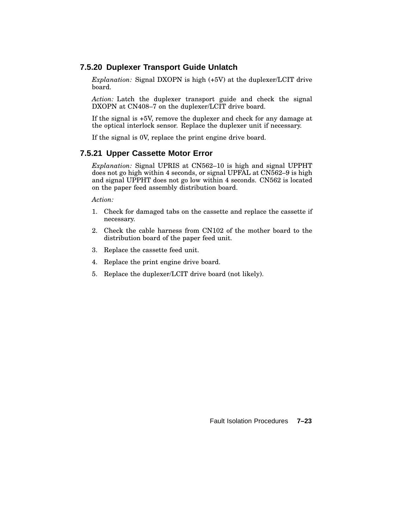### **7.5.20 Duplexer Transport Guide Unlatch**

*Explanation:* Signal DXOPN is high (+5V) at the duplexer/LCIT drive board.

*Action:* Latch the duplexer transport guide and check the signal DXOPN at CN408–7 on the duplexer/LCIT drive board.

If the signal is +5V, remove the duplexer and check for any damage at the optical interlock sensor. Replace the duplexer unit if necessary.

If the signal is 0V, replace the print engine drive board.

#### **7.5.21 Upper Cassette Motor Error**

*Explanation:* Signal UPRIS at CN562–10 is high and signal UPPHT does not go high within 4 seconds, or signal UPFAL at CN562–9 is high and signal UPPHT does not go low within 4 seconds. CN562 is located on the paper feed assembly distribution board.

*Action:*

- 1. Check for damaged tabs on the cassette and replace the cassette if necessary.
- 2. Check the cable harness from CN102 of the mother board to the distribution board of the paper feed unit.
- 3. Replace the cassette feed unit.
- 4. Replace the print engine drive board.
- 5. Replace the duplexer/LCIT drive board (not likely).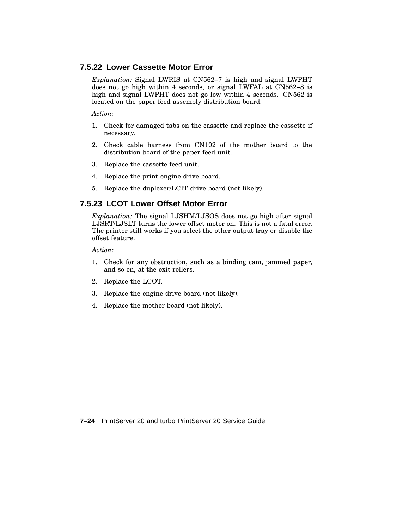### **7.5.22 Lower Cassette Motor Error**

*Explanation:* Signal LWRIS at CN562–7 is high and signal LWPHT does not go high within 4 seconds, or signal LWFAL at CN562–8 is high and signal LWPHT does not go low within 4 seconds. CN562 is located on the paper feed assembly distribution board.

*Action:*

- 1. Check for damaged tabs on the cassette and replace the cassette if necessary.
- 2. Check cable harness from CN102 of the mother board to the distribution board of the paper feed unit.
- 3. Replace the cassette feed unit.
- 4. Replace the print engine drive board.
- 5. Replace the duplexer/LCIT drive board (not likely).

# **7.5.23 LCOT Lower Offset Motor Error**

*Explanation:* The signal LJSHM/LJSOS does not go high after signal LJSRT/LJSLT turns the lower offset motor on. This is not a fatal error. The printer still works if you select the other output tray or disable the offset feature.

*Action:*

- 1. Check for any obstruction, such as a binding cam, jammed paper, and so on, at the exit rollers.
- 2. Replace the LCOT.
- 3. Replace the engine drive board (not likely).
- 4. Replace the mother board (not likely).

**7–24** PrintServer 20 and turbo PrintServer 20 Service Guide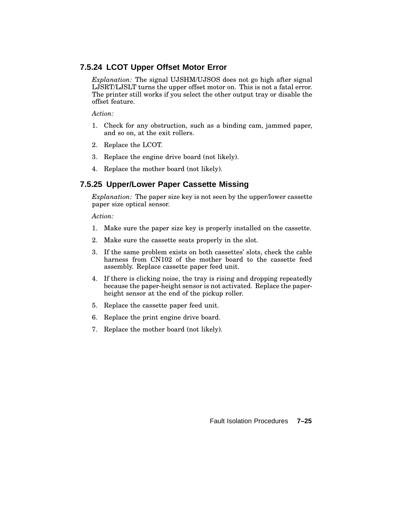# **7.5.24 LCOT Upper Offset Motor Error**

*Explanation:* The signal UJSHM/UJSOS does not go high after signal LJSRT/LJSLT turns the upper offset motor on. This is not a fatal error. The printer still works if you select the other output tray or disable the offset feature.

*Action:*

- 1. Check for any obstruction, such as a binding cam, jammed paper, and so on, at the exit rollers.
- 2. Replace the LCOT.
- 3. Replace the engine drive board (not likely).
- 4. Replace the mother board (not likely).

# **7.5.25 Upper/Lower Paper Cassette Missing**

*Explanation:* The paper size key is not seen by the upper/lower cassette paper size optical sensor.

*Action:*

- 1. Make sure the paper size key is properly installed on the cassette.
- 2. Make sure the cassette seats properly in the slot.
- 3. If the same problem exists on both cassettes' slots, check the cable harness from CN102 of the mother board to the cassette feed assembly. Replace cassette paper feed unit.
- 4. If there is clicking noise, the tray is rising and dropping repeatedly because the paper-height sensor is not activated. Replace the paperheight sensor at the end of the pickup roller.
- 5. Replace the cassette paper feed unit.
- 6. Replace the print engine drive board.
- 7. Replace the mother board (not likely).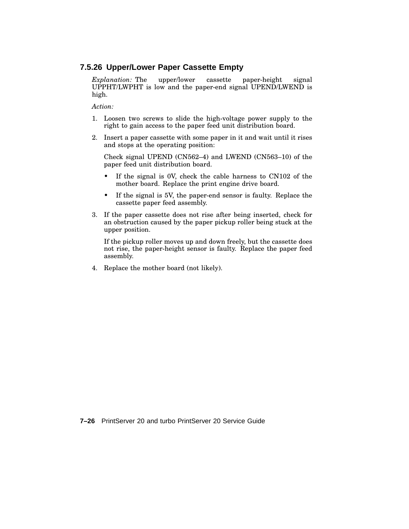### **7.5.26 Upper/Lower Paper Cassette Empty**

*Explanation:* The upper/lower cassette paper-height signal UPPHT/LWPHT is low and the paper-end signal UPEND/LWEND is high.

*Action:*

- 1. Loosen two screws to slide the high-voltage power supply to the right to gain access to the paper feed unit distribution board.
- 2. Insert a paper cassette with some paper in it and wait until it rises and stops at the operating position:

Check signal UPEND (CN562–4) and LWEND (CN563–10) of the paper feed unit distribution board.

- If the signal is 0V, check the cable harness to CN102 of the mother board. Replace the print engine drive board.
- If the signal is 5V, the paper-end sensor is faulty. Replace the cassette paper feed assembly.
- 3. If the paper cassette does not rise after being inserted, check for an obstruction caused by the paper pickup roller being stuck at the upper position.

If the pickup roller moves up and down freely, but the cassette does not rise, the paper-height sensor is faulty. Replace the paper feed assembly.

4. Replace the mother board (not likely).

**7–26** PrintServer 20 and turbo PrintServer 20 Service Guide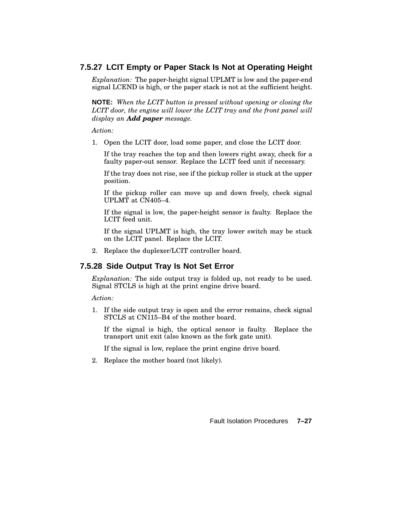# **7.5.27 LCIT Empty or Paper Stack Is Not at Operating Height**

*Explanation:* The paper-height signal UPLMT is low and the paper-end signal LCEND is high, or the paper stack is not at the sufficient height.

**NOTE:** *When the LCIT button is pressed without opening or closing the LCIT door, the engine will lower the LCIT tray and the front panel will display an Add paper message.*

*Action:*

1. Open the LCIT door, load some paper, and close the LCIT door.

If the tray reaches the top and then lowers right away, check for a faulty paper-out sensor. Replace the LCIT feed unit if necessary.

If the tray does not rise, see if the pickup roller is stuck at the upper position.

If the pickup roller can move up and down freely, check signal UPLMT at CN405–4.

If the signal is low, the paper-height sensor is faulty. Replace the LCIT feed unit.

If the signal UPLMT is high, the tray lower switch may be stuck on the LCIT panel. Replace the LCIT.

2. Replace the duplexer/LCIT controller board.

# **7.5.28 Side Output Tray Is Not Set Error**

*Explanation:* The side output tray is folded up, not ready to be used. Signal STCLS is high at the print engine drive board.

*Action:*

1. If the side output tray is open and the error remains, check signal STCLS at CN115–B4 of the mother board.

If the signal is high, the optical sensor is faulty. Replace the transport unit exit (also known as the fork gate unit).

If the signal is low, replace the print engine drive board.

2. Replace the mother board (not likely).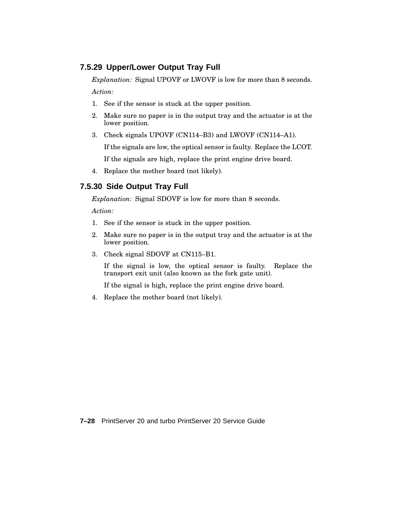# **7.5.29 Upper/Lower Output Tray Full**

*Explanation:* Signal UPOVF or LWOVF is low for more than 8 seconds.

*Action:*

- 1. See if the sensor is stuck at the upper position.
- 2. Make sure no paper is in the output tray and the actuator is at the lower position.
- 3. Check signals UPOVF (CN114–B3) and LWOVF (CN114–A1).

If the signals are low, the optical sensor is faulty. Replace the LCOT.

If the signals are high, replace the print engine drive board.

4. Replace the mother board (not likely).

# **7.5.30 Side Output Tray Full**

*Explanation:* Signal SDOVF is low for more than 8 seconds.

*Action:*

- 1. See if the sensor is stuck in the upper position.
- 2. Make sure no paper is in the output tray and the actuator is at the lower position.
- 3. Check signal SDOVF at CN115–B1.

If the signal is low, the optical sensor is faulty. Replace the transport exit unit (also known as the fork gate unit).

If the signal is high, replace the print engine drive board.

4. Replace the mother board (not likely).

**7–28** PrintServer 20 and turbo PrintServer 20 Service Guide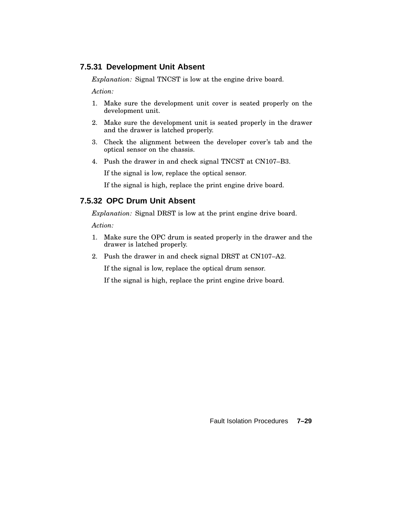#### **7.5.31 Development Unit Absent**

*Explanation:* Signal TNCST is low at the engine drive board.

*Action:*

- 1. Make sure the development unit cover is seated properly on the development unit.
- 2. Make sure the development unit is seated properly in the drawer and the drawer is latched properly.
- 3. Check the alignment between the developer cover's tab and the optical sensor on the chassis.
- 4. Push the drawer in and check signal TNCST at CN107–B3.

If the signal is low, replace the optical sensor.

If the signal is high, replace the print engine drive board.

# **7.5.32 OPC Drum Unit Absent**

*Explanation:* Signal DRST is low at the print engine drive board.

*Action:*

- 1. Make sure the OPC drum is seated properly in the drawer and the drawer is latched properly.
- 2. Push the drawer in and check signal DRST at CN107–A2.

If the signal is low, replace the optical drum sensor.

If the signal is high, replace the print engine drive board.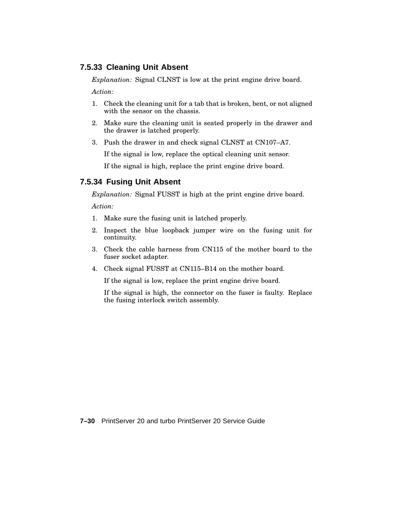### **7.5.33 Cleaning Unit Absent**

*Explanation:* Signal CLNST is low at the print engine drive board.

*Action:*

- 1. Check the cleaning unit for a tab that is broken, bent, or not aligned with the sensor on the chassis.
- 2. Make sure the cleaning unit is seated properly in the drawer and the drawer is latched properly.
- 3. Push the drawer in and check signal CLNST at CN107–A7.

If the signal is low, replace the optical cleaning unit sensor.

If the signal is high, replace the print engine drive board.

## **7.5.34 Fusing Unit Absent**

*Explanation:* Signal FUSST is high at the print engine drive board.

*Action:*

- 1. Make sure the fusing unit is latched properly.
- 2. Inspect the blue loopback jumper wire on the fusing unit for continuity.
- 3. Check the cable harness from CN115 of the mother board to the fuser socket adapter.
- 4. Check signal FUSST at CN115–B14 on the mother board.

If the signal is low, replace the print engine drive board.

If the signal is high, the connector on the fuser is faulty. Replace the fusing interlock switch assembly.

**7–30** PrintServer 20 and turbo PrintServer 20 Service Guide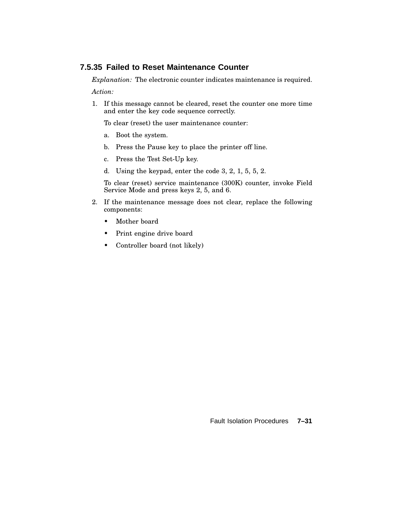# **7.5.35 Failed to Reset Maintenance Counter**

*Explanation:* The electronic counter indicates maintenance is required.

*Action:*

1. If this message cannot be cleared, reset the counter one more time and enter the key code sequence correctly.

To clear (reset) the user maintenance counter:

- a. Boot the system.
- b. Press the Pause key to place the printer off line.
- c. Press the Test Set-Up key.
- d. Using the keypad, enter the code 3, 2, 1, 5, 5, 2.

To clear (reset) service maintenance (300K) counter, invoke Field Service Mode and press keys 2, 5, and 6.

- 2. If the maintenance message does not clear, replace the following components:
	- Mother board
	- Print engine drive board
	- Controller board (not likely)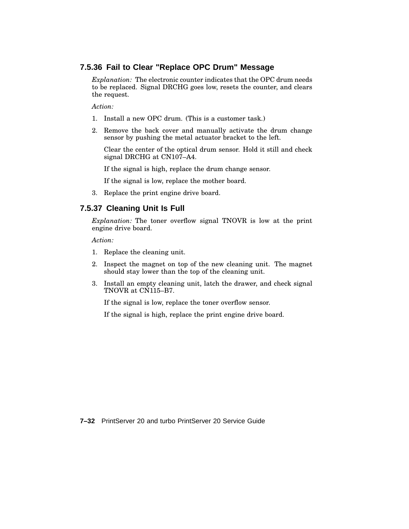### **7.5.36 Fail to Clear "Replace OPC Drum" Message**

*Explanation:* The electronic counter indicates that the OPC drum needs to be replaced. Signal DRCHG goes low, resets the counter, and clears the request.

*Action:*

- 1. Install a new OPC drum. (This is a customer task.)
- 2. Remove the back cover and manually activate the drum change sensor by pushing the metal actuator bracket to the left.

Clear the center of the optical drum sensor. Hold it still and check signal DRCHG at CN107–A4.

If the signal is high, replace the drum change sensor.

If the signal is low, replace the mother board.

3. Replace the print engine drive board.

### **7.5.37 Cleaning Unit Is Full**

*Explanation:* The toner overflow signal TNOVR is low at the print engine drive board.

*Action:*

- 1. Replace the cleaning unit.
- 2. Inspect the magnet on top of the new cleaning unit. The magnet should stay lower than the top of the cleaning unit.
- 3. Install an empty cleaning unit, latch the drawer, and check signal TNOVR at CN115–B7.

If the signal is low, replace the toner overflow sensor.

If the signal is high, replace the print engine drive board.

**7–32** PrintServer 20 and turbo PrintServer 20 Service Guide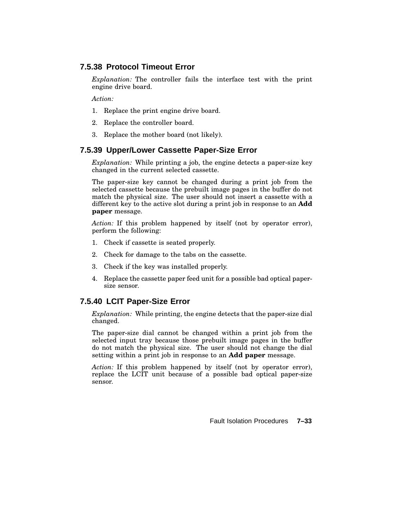### **7.5.38 Protocol Timeout Error**

*Explanation:* The controller fails the interface test with the print engine drive board.

*Action:*

- 1. Replace the print engine drive board.
- 2. Replace the controller board.
- 3. Replace the mother board (not likely).

## **7.5.39 Upper/Lower Cassette Paper-Size Error**

*Explanation:* While printing a job, the engine detects a paper-size key changed in the current selected cassette.

The paper-size key cannot be changed during a print job from the selected cassette because the prebuilt image pages in the buffer do not match the physical size. The user should not insert a cassette with a different key to the active slot during a print job in response to an **Add paper** message.

*Action:* If this problem happened by itself (not by operator error), perform the following:

- 1. Check if cassette is seated properly.
- 2. Check for damage to the tabs on the cassette.
- 3. Check if the key was installed properly.
- 4. Replace the cassette paper feed unit for a possible bad optical papersize sensor.

# **7.5.40 LCIT Paper-Size Error**

*Explanation:* While printing, the engine detects that the paper-size dial changed.

The paper-size dial cannot be changed within a print job from the selected input tray because those prebuilt image pages in the buffer do not match the physical size. The user should not change the dial setting within a print job in response to an **Add paper** message.

*Action:* If this problem happened by itself (not by operator error), replace the LCIT unit because of a possible bad optical paper-size sensor.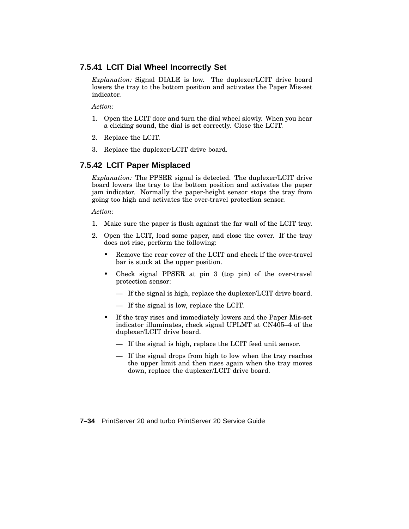### **7.5.41 LCIT Dial Wheel Incorrectly Set**

*Explanation:* Signal DIALE is low. The duplexer/LCIT drive board lowers the tray to the bottom position and activates the Paper Mis-set indicator.

*Action:*

- 1. Open the LCIT door and turn the dial wheel slowly. When you hear a clicking sound, the dial is set correctly. Close the LCIT.
- 2. Replace the LCIT.
- 3. Replace the duplexer/LCIT drive board.

## **7.5.42 LCIT Paper Misplaced**

*Explanation:* The PPSER signal is detected. The duplexer/LCIT drive board lowers the tray to the bottom position and activates the paper jam indicator. Normally the paper-height sensor stops the tray from going too high and activates the over-travel protection sensor.

*Action:*

- 1. Make sure the paper is flush against the far wall of the LCIT tray.
- 2. Open the LCIT, load some paper, and close the cover. If the tray does not rise, perform the following:
	- Remove the rear cover of the LCIT and check if the over-travel bar is stuck at the upper position.
	- Check signal PPSER at pin 3 (top pin) of the over-travel protection sensor:
		- If the signal is high, replace the duplexer/LCIT drive board.
		- If the signal is low, replace the LCIT.
	- If the tray rises and immediately lowers and the Paper Mis-set indicator illuminates, check signal UPLMT at CN405–4 of the duplexer/LCIT drive board.
		- If the signal is high, replace the LCIT feed unit sensor.
		- If the signal drops from high to low when the tray reaches the upper limit and then rises again when the tray moves down, replace the duplexer/LCIT drive board.

**7–34** PrintServer 20 and turbo PrintServer 20 Service Guide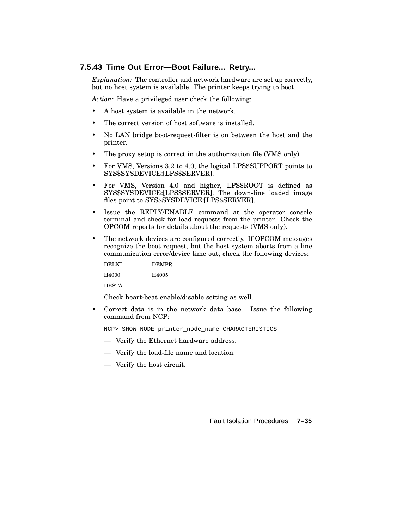#### **7.5.43 Time Out Error—Boot Failure... Retry...**

*Explanation:* The controller and network hardware are set up correctly, but no host system is available. The printer keeps trying to boot.

*Action:* Have a privileged user check the following:

- A host system is available in the network.
- The correct version of host software is installed.
- No LAN bridge boot-request-filter is on between the host and the printer.
- The proxy setup is correct in the authorization file (VMS only).
- For VMS, Versions 3.2 to 4.0, the logical LPS\$SUPPORT points to SYS\$SYSDEVICE:[LPS\$SERVER].
- For VMS, Version 4.0 and higher, LPS\$ROOT is defined as SYS\$SYSDEVICE:[LPS\$SERVER]. The down-line loaded image files point to SYS\$SYSDEVICE:[LPS\$SERVER].
- Issue the REPLY/ENABLE command at the operator console terminal and check for load requests from the printer. Check the OPCOM reports for details about the requests (VMS only).
- The network devices are configured correctly. If OPCOM messages recognize the boot request, but the host system aborts from a line communication error/device time out, check the following devices:

| <b>DELNI</b> | <b>DEMPR</b> |
|--------------|--------------|
| H4000        | H4005        |

DESTA

Check heart-beat enable/disable setting as well.

• Correct data is in the network data base. Issue the following command from NCP:

NCP> SHOW NODE printer\_node\_name CHARACTERISTICS

- Verify the Ethernet hardware address.
- Verify the load-file name and location.
- Verify the host circuit.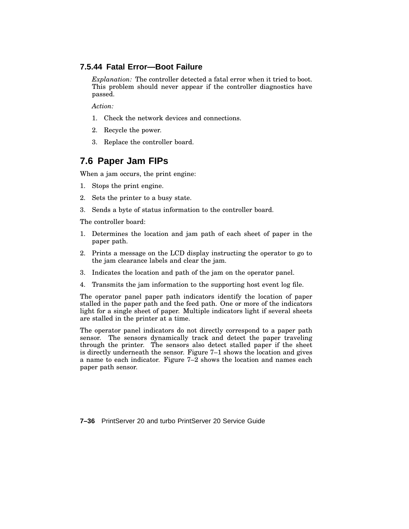#### **7.5.44 Fatal Error—Boot Failure**

*Explanation:* The controller detected a fatal error when it tried to boot. This problem should never appear if the controller diagnostics have passed.

*Action:*

- 1. Check the network devices and connections.
- 2. Recycle the power.
- 3. Replace the controller board.

# **7.6 Paper Jam FIPs**

When a jam occurs, the print engine:

- 1. Stops the print engine.
- 2. Sets the printer to a busy state.
- 3. Sends a byte of status information to the controller board.

The controller board:

- 1. Determines the location and jam path of each sheet of paper in the paper path.
- 2. Prints a message on the LCD display instructing the operator to go to the jam clearance labels and clear the jam.
- 3. Indicates the location and path of the jam on the operator panel.
- 4. Transmits the jam information to the supporting host event log file.

The operator panel paper path indicators identify the location of paper stalled in the paper path and the feed path. One or more of the indicators light for a single sheet of paper. Multiple indicators light if several sheets are stalled in the printer at a time.

The operator panel indicators do not directly correspond to a paper path sensor. The sensors dynamically track and detect the paper traveling through the printer. The sensors also detect stalled paper if the sheet is directly underneath the sensor. Figure 7–1 shows the location and gives a name to each indicator. Figure 7–2 shows the location and names each paper path sensor.

**7–36** PrintServer 20 and turbo PrintServer 20 Service Guide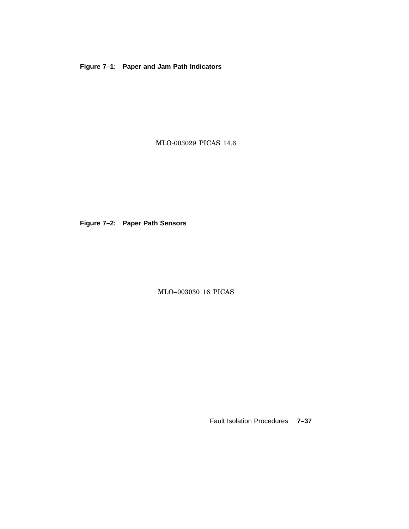**Figure 7–1: Paper and Jam Path Indicators**

MLO-003029 PICAS 14.6

**Figure 7–2: Paper Path Sensors**

MLO–003030 16 PICAS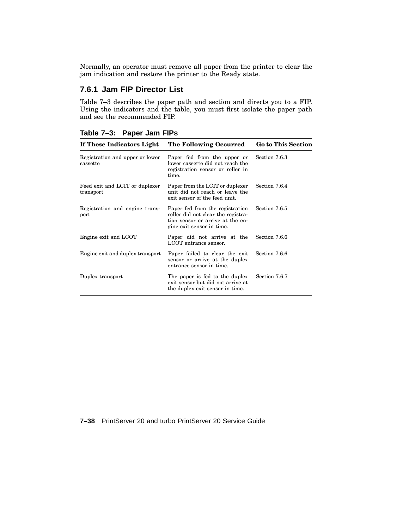Normally, an operator must remove all paper from the printer to clear the jam indication and restore the printer to the Ready state.

# **7.6.1 Jam FIP Director List**

Table 7–3 describes the paper path and section and directs you to a FIP. Using the indicators and the table, you must first isolate the paper path and see the recommended FIP.

| Table 7-3: Paper Jam FIPs |  |  |  |
|---------------------------|--|--|--|
|---------------------------|--|--|--|

| The Following Occurred                                                                                                                 | <b>Go to This Section</b><br>Section 7.6.3 |  |
|----------------------------------------------------------------------------------------------------------------------------------------|--------------------------------------------|--|
| Paper fed from the upper or<br>lower cassette did not reach the<br>registration sensor or roller in<br>time.                           |                                            |  |
| Paper from the LCIT or duplexer<br>unit did not reach or leave the<br>exit sensor of the feed unit.                                    | Section 7.6.4                              |  |
| Paper fed from the registration<br>roller did not clear the registra-<br>tion sensor or arrive at the en-<br>gine exit sensor in time. | Section 7.6.5                              |  |
| Paper did not arrive at the<br>LCOT entrance sensor.                                                                                   | Section 7.6.6                              |  |
| Paper failed to clear the exit<br>sensor or arrive at the duplex<br>entrance sensor in time.                                           | Section 7.6.6                              |  |
| The paper is fed to the duplex<br>exit sensor but did not arrive at<br>the duplex exit sensor in time.                                 | Section 7.6.7                              |  |
|                                                                                                                                        |                                            |  |

**7–38** PrintServer 20 and turbo PrintServer 20 Service Guide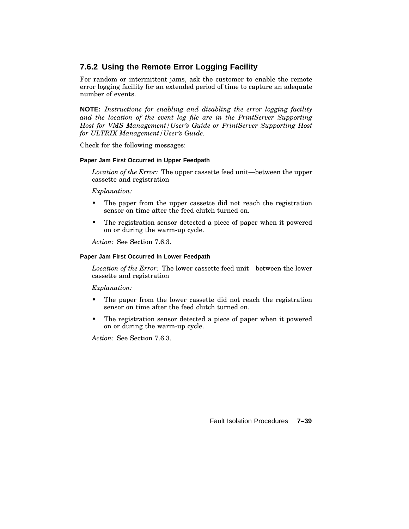# **7.6.2 Using the Remote Error Logging Facility**

For random or intermittent jams, ask the customer to enable the remote error logging facility for an extended period of time to capture an adequate number of events.

**NOTE:** *Instructions for enabling and disabling the error logging facility and the location of the event log file are in the PrintServer Supporting Host for VMS Management/User's Guide or PrintServer Supporting Host for ULTRIX Management/User's Guide.*

Check for the following messages:

#### **Paper Jam First Occurred in Upper Feedpath**

*Location of the Error:* The upper cassette feed unit—between the upper cassette and registration

#### *Explanation:*

- The paper from the upper cassette did not reach the registration sensor on time after the feed clutch turned on.
- The registration sensor detected a piece of paper when it powered on or during the warm-up cycle.

*Action:* See Section 7.6.3.

#### **Paper Jam First Occurred in Lower Feedpath**

*Location of the Error:* The lower cassette feed unit—between the lower cassette and registration

#### *Explanation:*

- The paper from the lower cassette did not reach the registration sensor on time after the feed clutch turned on.
- The registration sensor detected a piece of paper when it powered on or during the warm-up cycle.

*Action:* See Section 7.6.3.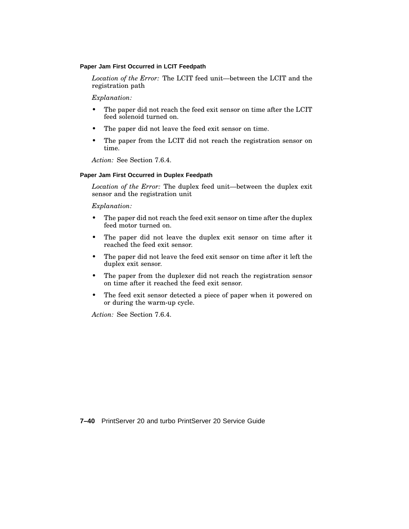#### **Paper Jam First Occurred in LCIT Feedpath**

*Location of the Error:* The LCIT feed unit—between the LCIT and the registration path

#### *Explanation:*

- The paper did not reach the feed exit sensor on time after the LCIT feed solenoid turned on.
- The paper did not leave the feed exit sensor on time.
- The paper from the LCIT did not reach the registration sensor on time.

*Action:* See Section 7.6.4.

#### **Paper Jam First Occurred in Duplex Feedpath**

*Location of the Error:* The duplex feed unit—between the duplex exit sensor and the registration unit

#### *Explanation:*

- The paper did not reach the feed exit sensor on time after the duplex feed motor turned on.
- The paper did not leave the duplex exit sensor on time after it reached the feed exit sensor.
- The paper did not leave the feed exit sensor on time after it left the duplex exit sensor.
- The paper from the duplexer did not reach the registration sensor on time after it reached the feed exit sensor.
- The feed exit sensor detected a piece of paper when it powered on or during the warm-up cycle.

*Action:* See Section 7.6.4.

**7–40** PrintServer 20 and turbo PrintServer 20 Service Guide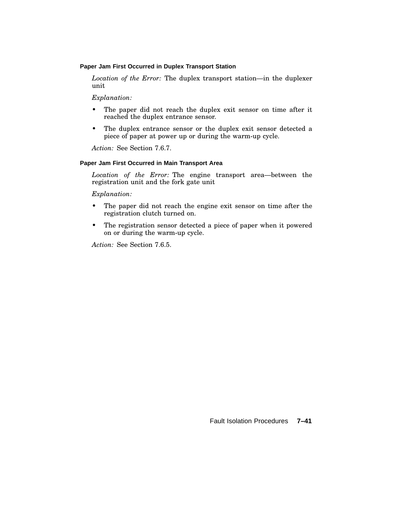#### **Paper Jam First Occurred in Duplex Transport Station**

*Location of the Error:* The duplex transport station—in the duplexer unit

#### *Explanation:*

- The paper did not reach the duplex exit sensor on time after it reached the duplex entrance sensor.
- The duplex entrance sensor or the duplex exit sensor detected a piece of paper at power up or during the warm-up cycle.

*Action:* See Section 7.6.7.

#### **Paper Jam First Occurred in Main Transport Area**

*Location of the Error:* The engine transport area—between the registration unit and the fork gate unit

*Explanation:*

- The paper did not reach the engine exit sensor on time after the registration clutch turned on.
- The registration sensor detected a piece of paper when it powered on or during the warm-up cycle.

*Action:* See Section 7.6.5.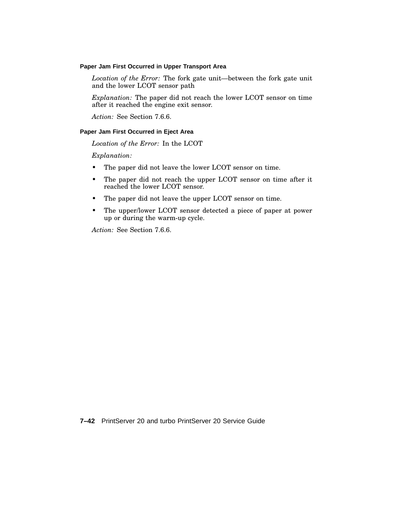#### **Paper Jam First Occurred in Upper Transport Area**

*Location of the Error:* The fork gate unit—between the fork gate unit and the lower LCOT sensor path

*Explanation:* The paper did not reach the lower LCOT sensor on time after it reached the engine exit sensor.

*Action:* See Section 7.6.6.

#### **Paper Jam First Occurred in Eject Area**

*Location of the Error:* In the LCOT

*Explanation:*

- The paper did not leave the lower LCOT sensor on time.
- The paper did not reach the upper LCOT sensor on time after it reached the lower LCOT sensor.
- The paper did not leave the upper LCOT sensor on time.
- The upper/lower LCOT sensor detected a piece of paper at power up or during the warm-up cycle.

*Action:* See Section 7.6.6.

**7–42** PrintServer 20 and turbo PrintServer 20 Service Guide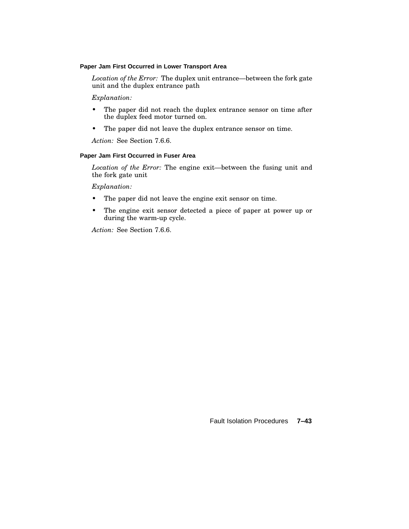#### **Paper Jam First Occurred in Lower Transport Area**

*Location of the Error:* The duplex unit entrance—between the fork gate unit and the duplex entrance path

*Explanation:*

- The paper did not reach the duplex entrance sensor on time after the duplex feed motor turned on.
- The paper did not leave the duplex entrance sensor on time.

*Action:* See Section 7.6.6.

#### **Paper Jam First Occurred in Fuser Area**

*Location of the Error:* The engine exit—between the fusing unit and the fork gate unit

*Explanation:*

- The paper did not leave the engine exit sensor on time.
- The engine exit sensor detected a piece of paper at power up or during the warm-up cycle.

*Action:* See Section 7.6.6.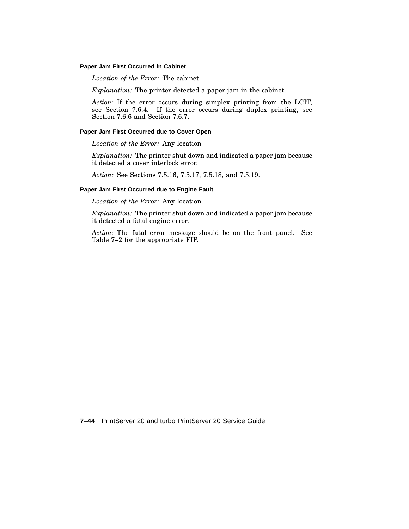#### **Paper Jam First Occurred in Cabinet**

*Location of the Error:* The cabinet

*Explanation:* The printer detected a paper jam in the cabinet.

*Action:* If the error occurs during simplex printing from the LCIT, see Section 7.6.4. If the error occurs during duplex printing, see Section 7.6.6 and Section 7.6.7.

#### **Paper Jam First Occurred due to Cover Open**

*Location of the Error:* Any location

*Explanation:* The printer shut down and indicated a paper jam because it detected a cover interlock error.

*Action:* See Sections 7.5.16, 7.5.17, 7.5.18, and 7.5.19.

#### **Paper Jam First Occurred due to Engine Fault**

*Location of the Error:* Any location.

*Explanation:* The printer shut down and indicated a paper jam because it detected a fatal engine error.

*Action:* The fatal error message should be on the front panel. See Table 7–2 for the appropriate FIP.

**7–44** PrintServer 20 and turbo PrintServer 20 Service Guide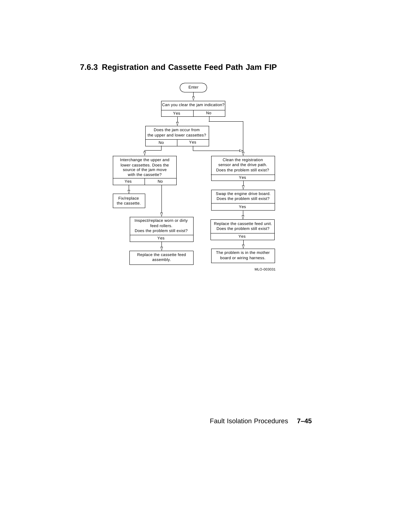

# **7.6.3 Registration and Cassette Feed Path Jam FIP**

Fault Isolation Procedures **7–45**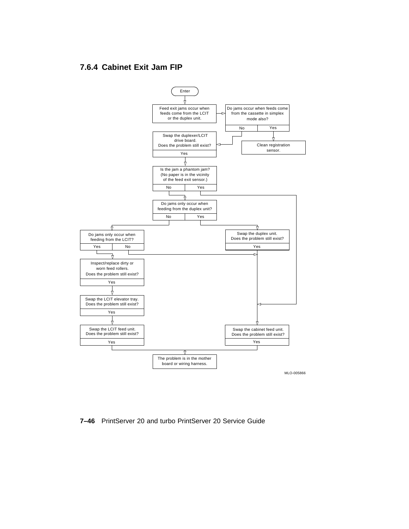# **7.6.4 Cabinet Exit Jam FIP**



#### **7–46** PrintServer 20 and turbo PrintServer 20 Service Guide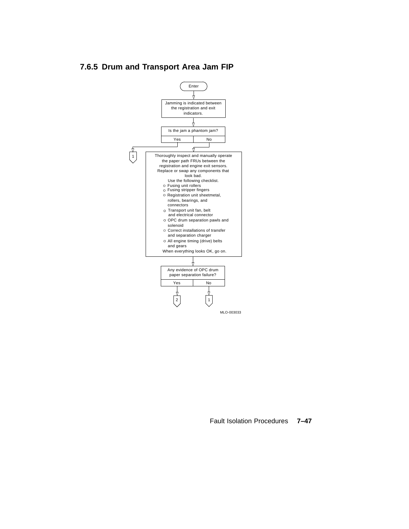# **7.6.5 Drum and Transport Area Jam FIP**



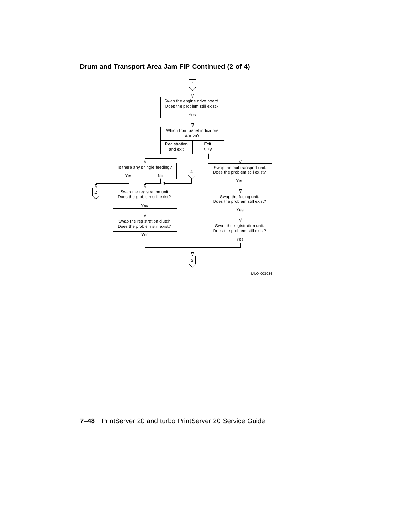

**Drum and Transport Area Jam FIP Continued (2 of 4)**

**7–48** PrintServer 20 and turbo PrintServer 20 Service Guide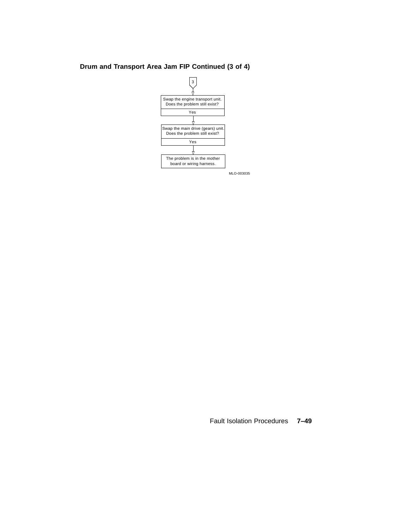### **Drum and Transport Area Jam FIP Continued (3 of 4)**



Fault Isolation Procedures **7–49**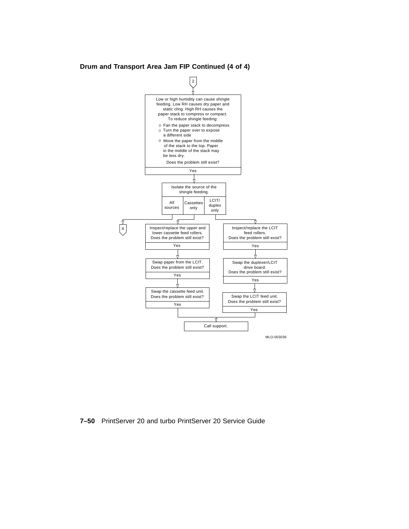**Drum and Transport Area Jam FIP Continued (4 of 4)**



**7–50** PrintServer 20 and turbo PrintServer 20 Service Guide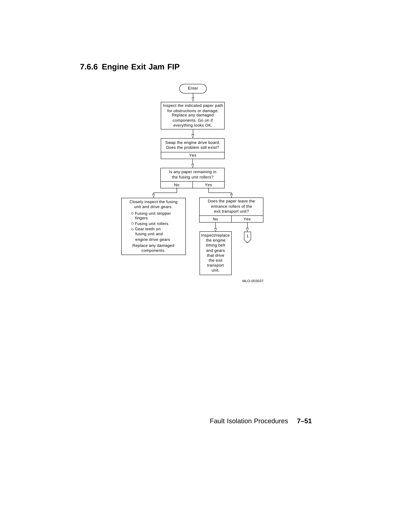## **7.6.6 Engine Exit Jam FIP**



MLO-003037

Fault Isolation Procedures **7–51**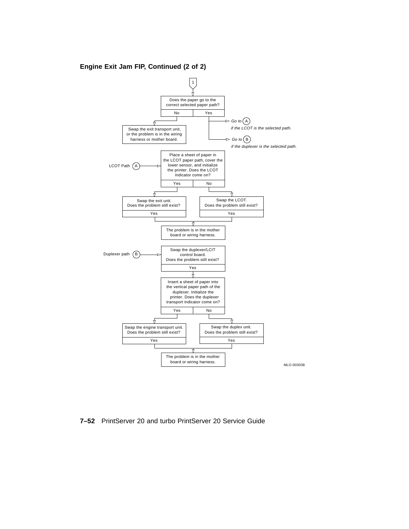### **Engine Exit Jam FIP, Continued (2 of 2)**



**7–52** PrintServer 20 and turbo PrintServer 20 Service Guide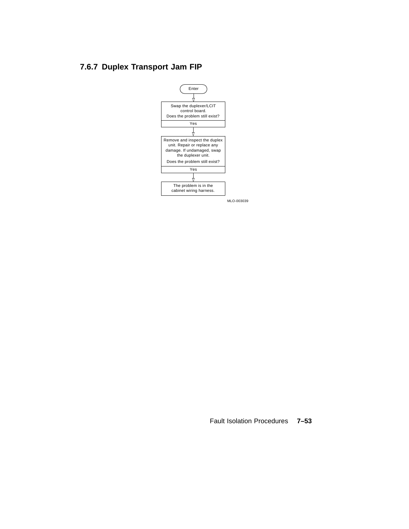## **7.6.7 Duplex Transport Jam FIP**



MLO-003039

Fault Isolation Procedures **7–53**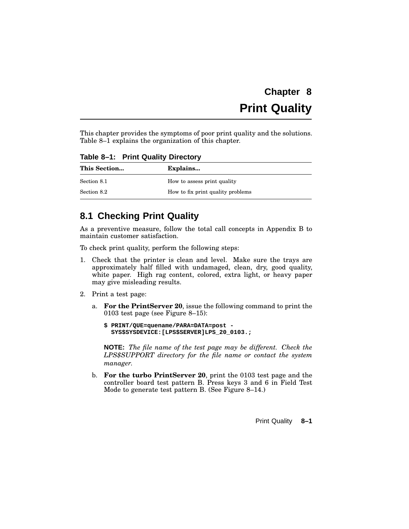# **Chapter 8 Print Quality**

This chapter provides the symptoms of poor print quality and the solutions. Table 8–1 explains the organization of this chapter.

**Table 8–1: Print Quality Directory**

| This Section | Explains                          |
|--------------|-----------------------------------|
| Section 8.1  | How to assess print quality       |
| Section 8.2  | How to fix print quality problems |

## **8.1 Checking Print Quality**

As a preventive measure, follow the total call concepts in Appendix B to maintain customer satisfaction.

To check print quality, perform the following steps:

- 1. Check that the printer is clean and level. Make sure the trays are approximately half filled with undamaged, clean, dry, good quality, white paper. High rag content, colored, extra light, or heavy paper may give misleading results.
- 2. Print a test page:
	- a. **For the PrintServer 20**, issue the following command to print the 0103 test page (see Figure 8–15):
		- **\$ PRINT/QUE=quename/PARA=DATA=post - SYS\$SYSDEVICE:[LPS\$SERVER]LPS\_20\_0103.;**

**NOTE:** *The file name of the test page may be different. Check the LPS\$SUPPORT directory for the file name or contact the system manager.*

b. **For the turbo PrintServer 20**, print the 0103 test page and the controller board test pattern B. Press keys 3 and 6 in Field Test Mode to generate test pattern B. (See Figure 8–14.)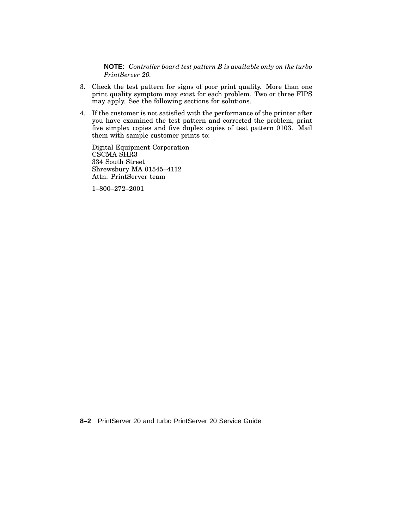**NOTE:** *Controller board test pattern B is available only on the turbo PrintServer 20.*

- 3. Check the test pattern for signs of poor print quality. More than one print quality symptom may exist for each problem. Two or three FIPS may apply. See the following sections for solutions.
- 4. If the customer is not satisfied with the performance of the printer after you have examined the test pattern and corrected the problem, print five simplex copies and five duplex copies of test pattern 0103. Mail them with sample customer prints to:

Digital Equipment Corporation CSCMA SHR3 334 South Street Shrewsbury MA 01545–4112 Attn: PrintServer team

1–800–272–2001

**8–2** PrintServer 20 and turbo PrintServer 20 Service Guide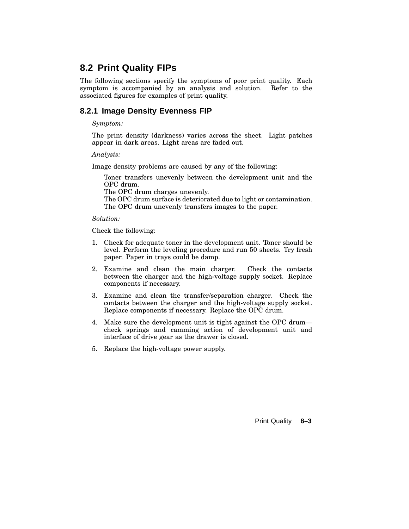## **8.2 Print Quality FIPs**

The following sections specify the symptoms of poor print quality. Each symptom is accompanied by an analysis and solution. Refer to the associated figures for examples of print quality.

## **8.2.1 Image Density Evenness FIP**

### *Symptom:*

The print density (darkness) varies across the sheet. Light patches appear in dark areas. Light areas are faded out.

*Analysis:*

Image density problems are caused by any of the following:

Toner transfers unevenly between the development unit and the OPC drum.

The OPC drum charges unevenly.

The OPC drum surface is deteriorated due to light or contamination. The OPC drum unevenly transfers images to the paper.

*Solution:*

Check the following:

- 1. Check for adequate toner in the development unit. Toner should be level. Perform the leveling procedure and run 50 sheets. Try fresh paper. Paper in trays could be damp.
- 2. Examine and clean the main charger. Check the contacts between the charger and the high-voltage supply socket. Replace components if necessary.
- 3. Examine and clean the transfer/separation charger. Check the contacts between the charger and the high-voltage supply socket. Replace components if necessary. Replace the OPC drum.
- 4. Make sure the development unit is tight against the OPC drum check springs and camming action of development unit and interface of drive gear as the drawer is closed.
- 5. Replace the high-voltage power supply.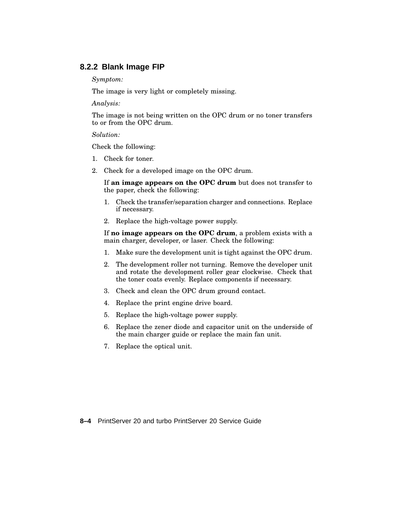### **8.2.2 Blank Image FIP**

*Symptom:*

The image is very light or completely missing.

*Analysis:*

The image is not being written on the OPC drum or no toner transfers to or from the OPC drum.

*Solution:*

Check the following:

- 1. Check for toner.
- 2. Check for a developed image on the OPC drum.

If **an image appears on the OPC drum** but does not transfer to the paper, check the following:

- 1. Check the transfer/separation charger and connections. Replace if necessary.
- 2. Replace the high-voltage power supply.

If **no image appears on the OPC drum**, a problem exists with a main charger, developer, or laser. Check the following:

- 1. Make sure the development unit is tight against the OPC drum.
- 2. The development roller not turning. Remove the developer unit and rotate the development roller gear clockwise. Check that the toner coats evenly. Replace components if necessary.
- 3. Check and clean the OPC drum ground contact.
- 4. Replace the print engine drive board.
- 5. Replace the high-voltage power supply.
- 6. Replace the zener diode and capacitor unit on the underside of the main charger guide or replace the main fan unit.
- 7. Replace the optical unit.

**8–4** PrintServer 20 and turbo PrintServer 20 Service Guide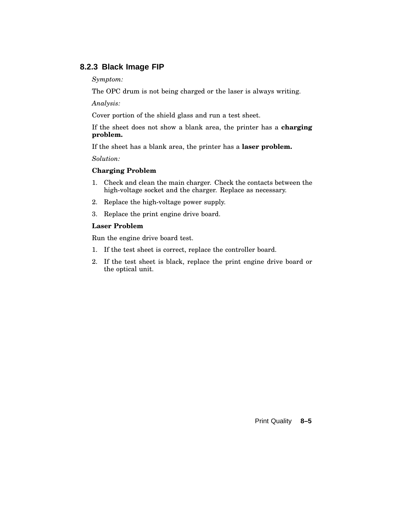### **8.2.3 Black Image FIP**

### *Symptom:*

The OPC drum is not being charged or the laser is always writing.

*Analysis:*

Cover portion of the shield glass and run a test sheet.

If the sheet does not show a blank area, the printer has a **charging problem.**

If the sheet has a blank area, the printer has a **laser problem.**

*Solution:*

### **Charging Problem**

- 1. Check and clean the main charger. Check the contacts between the high-voltage socket and the charger. Replace as necessary.
- 2. Replace the high-voltage power supply.
- 3. Replace the print engine drive board.

### **Laser Problem**

Run the engine drive board test.

- 1. If the test sheet is correct, replace the controller board.
- 2. If the test sheet is black, replace the print engine drive board or the optical unit.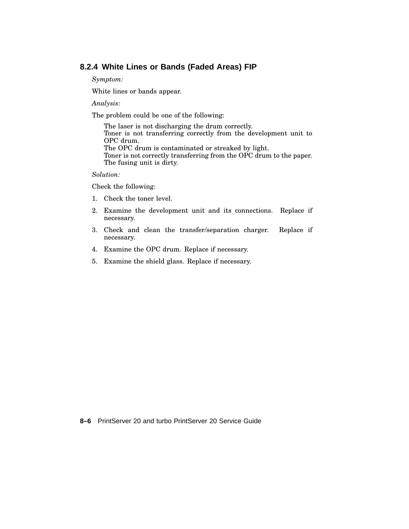### **8.2.4 White Lines or Bands (Faded Areas) FIP**

*Symptom:*

White lines or bands appear.

*Analysis:*

The problem could be one of the following:

The laser is not discharging the drum correctly. Toner is not transferring correctly from the development unit to OPC drum. The OPC drum is contaminated or streaked by light. Toner is not correctly transferring from the OPC drum to the paper. The fusing unit is dirty.

### *Solution:*

Check the following:

- 1. Check the toner level.
- 2. Examine the development unit and its connections. Replace if necessary.
- 3. Check and clean the transfer/separation charger. Replace if necessary.
- 4. Examine the OPC drum. Replace if necessary.
- 5. Examine the shield glass. Replace if necessary.

**8–6** PrintServer 20 and turbo PrintServer 20 Service Guide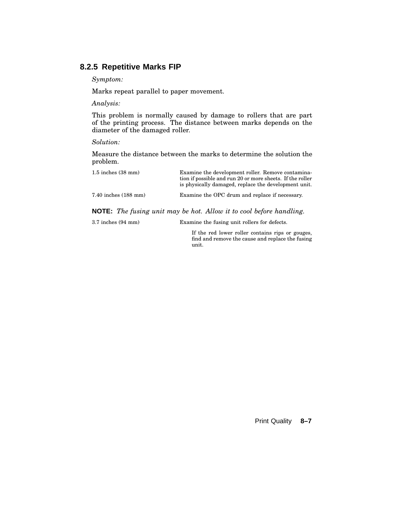## **8.2.5 Repetitive Marks FIP**

*Symptom:*

Marks repeat parallel to paper movement.

*Analysis:*

This problem is normally caused by damage to rollers that are part of the printing process. The distance between marks depends on the diameter of the damaged roller.

### *Solution:*

Measure the distance between the marks to determine the solution the problem.

| $1.5$ inches $(38 \text{ mm})$ | Examine the development roller. Remove contamina-<br>tion if possible and run 20 or more sheets. If the roller<br>is physically damaged, replace the development unit. |
|--------------------------------|------------------------------------------------------------------------------------------------------------------------------------------------------------------------|
| $7.40$ inches $(188$ mm)       | Examine the OPC drum and replace if necessary.                                                                                                                         |

**NOTE:** *The fusing unit may be hot. Allow it to cool before handling.*

| $3.7$ inches $(94 \text{ mm})$ | Examine the fusing unit rollers for defects. |
|--------------------------------|----------------------------------------------|
|                                |                                              |

If the red lower roller contains rips or gouges, find and remove the cause and replace the fusing unit.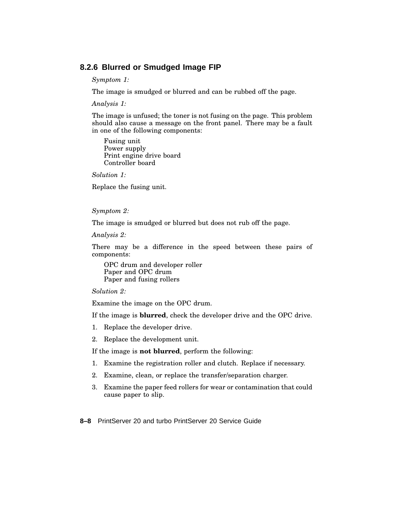### **8.2.6 Blurred or Smudged Image FIP**

*Symptom 1:*

The image is smudged or blurred and can be rubbed off the page.

*Analysis 1:*

The image is unfused; the toner is not fusing on the page. This problem should also cause a message on the front panel. There may be a fault in one of the following components:

Fusing unit Power supply Print engine drive board Controller board

*Solution 1:*

Replace the fusing unit.

### *Symptom 2:*

The image is smudged or blurred but does not rub off the page.

*Analysis 2:*

There may be a difference in the speed between these pairs of components:

OPC drum and developer roller Paper and OPC drum Paper and fusing rollers

*Solution 2:*

Examine the image on the OPC drum.

If the image is **blurred**, check the developer drive and the OPC drive.

- 1. Replace the developer drive.
- 2. Replace the development unit.

If the image is **not blurred**, perform the following:

- 1. Examine the registration roller and clutch. Replace if necessary.
- 2. Examine, clean, or replace the transfer/separation charger.
- 3. Examine the paper feed rollers for wear or contamination that could cause paper to slip.

**8–8** PrintServer 20 and turbo PrintServer 20 Service Guide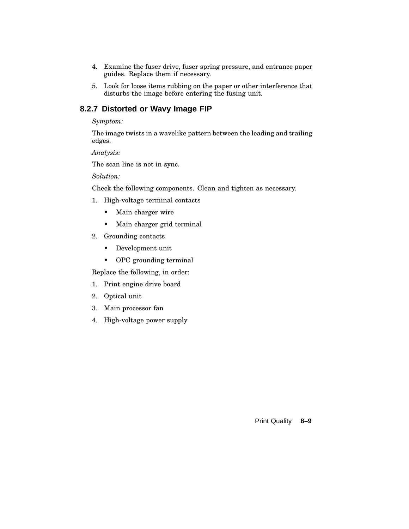- 4. Examine the fuser drive, fuser spring pressure, and entrance paper guides. Replace them if necessary.
- 5. Look for loose items rubbing on the paper or other interference that disturbs the image before entering the fusing unit.

### **8.2.7 Distorted or Wavy Image FIP**

### *Symptom:*

The image twists in a wavelike pattern between the leading and trailing edges.

*Analysis:*

The scan line is not in sync.

*Solution:*

Check the following components. Clean and tighten as necessary.

- 1. High-voltage terminal contacts
	- Main charger wire
	- Main charger grid terminal
- 2. Grounding contacts
	- Development unit
	- OPC grounding terminal

Replace the following, in order:

- 1. Print engine drive board
- 2. Optical unit
- 3. Main processor fan
- 4. High-voltage power supply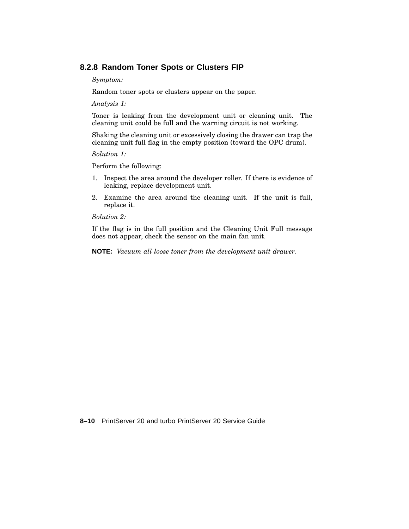### **8.2.8 Random Toner Spots or Clusters FIP**

*Symptom:*

Random toner spots or clusters appear on the paper.

*Analysis 1:*

Toner is leaking from the development unit or cleaning unit. The cleaning unit could be full and the warning circuit is not working.

Shaking the cleaning unit or excessively closing the drawer can trap the cleaning unit full flag in the empty position (toward the OPC drum).

*Solution 1:*

Perform the following:

- 1. Inspect the area around the developer roller. If there is evidence of leaking, replace development unit.
- 2. Examine the area around the cleaning unit. If the unit is full, replace it.

*Solution 2:*

If the flag is in the full position and the Cleaning Unit Full message does not appear, check the sensor on the main fan unit.

**NOTE:** *Vacuum all loose toner from the development unit drawer.*

**8–10** PrintServer 20 and turbo PrintServer 20 Service Guide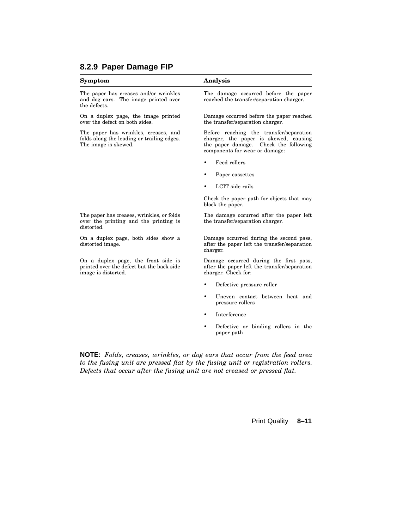### **Symptom Analysis**

The paper has creases and/or wrinkles and dog ears. The image printed over the defects.

On a duplex page, the image printed over the defect on both sides.

The paper has wrinkles, creases, and folds along the leading or trailing edges. The image is skewed.

The damage occurred before the paper reached the transfer/separation charger.

Damage occurred before the paper reached the transfer/separation charger.

Before reaching the transfer/separation charger, the paper is skewed, causing the paper damage. Check the following components for wear or damage:

- Feed rollers
- Paper cassettes
- LCIT side rails

Check the paper path for objects that may block the paper.

The damage occurred after the paper left the transfer/separation charger.

Damage occurred during the second pass, after the paper left the transfer/separation charger.

Damage occurred during the first pass, after the paper left the transfer/separation charger. Check for:

- Defective pressure roller
- Uneven contact between heat and pressure rollers
- Interference
- Defective or binding rollers in the paper path

**NOTE:** *Folds, creases, wrinkles, or dog ears that occur from the feed area to the fusing unit are pressed flat by the fusing unit or registration rollers. Defects that occur after the fusing unit are not creased or pressed flat.*

Print Quality **8–11**

The paper has creases, wrinkles, or folds over the printing and the printing is distorted.

On a duplex page, both sides show a distorted image.

On a duplex page, the front side is printed over the defect but the back side image is distorted.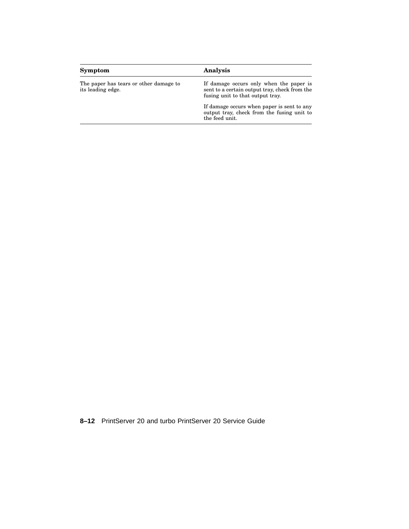| Symptom                                                     | Analysis                                                                                                                     |
|-------------------------------------------------------------|------------------------------------------------------------------------------------------------------------------------------|
| The paper has tears or other damage to<br>its leading edge. | If damage occurs only when the paper is<br>sent to a certain output tray, check from the<br>fusing unit to that output tray. |
|                                                             | If damage occurs when paper is sent to any<br>output tray, check from the fusing unit to<br>the feed unit.                   |

**8–12** PrintServer 20 and turbo PrintServer 20 Service Guide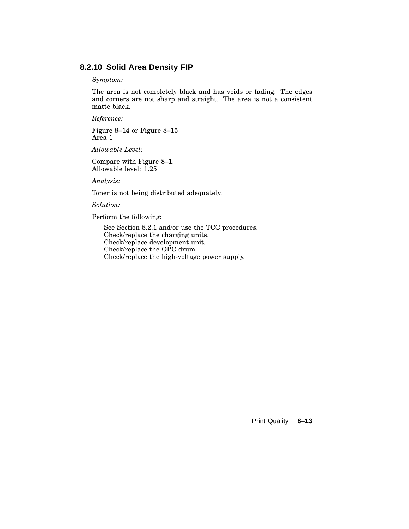### **8.2.10 Solid Area Density FIP**

### *Symptom:*

The area is not completely black and has voids or fading. The edges and corners are not sharp and straight. The area is not a consistent matte black.

*Reference:*

Figure 8–14 or Figure 8–15 Area 1

*Allowable Level:*

Compare with Figure 8–1. Allowable level: 1.25

*Analysis:*

Toner is not being distributed adequately.

*Solution:*

Perform the following:

See Section 8.2.1 and/or use the TCC procedures. Check/replace the charging units. Check/replace development unit. Check/replace the OPC drum. Check/replace the high-voltage power supply.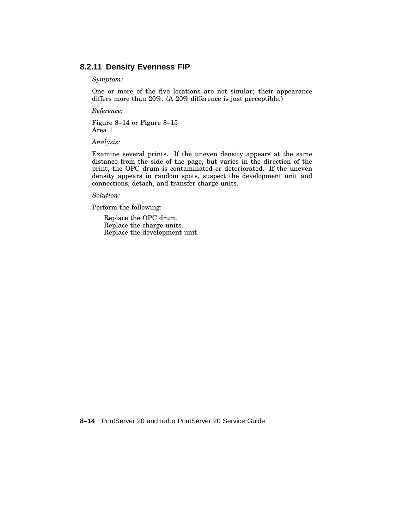### **8.2.11 Density Evenness FIP**

### *Symptom:*

One or more of the five locations are not similar; their appearance differs more than 20%. (A 20% difference is just perceptible.)

*Reference:*

Figure 8–14 or Figure 8–15 Area 1

*Analysis:*

Examine several prints. If the uneven density appears at the same distance from the side of the page, but varies in the direction of the print, the OPC drum is contaminated or deteriorated. If the uneven density appears in random spots, suspect the development unit and connections, detach, and transfer charge units.

*Solution:*

Perform the following:

Replace the OPC drum. Replace the charge units. Replace the development unit.

**8–14** PrintServer 20 and turbo PrintServer 20 Service Guide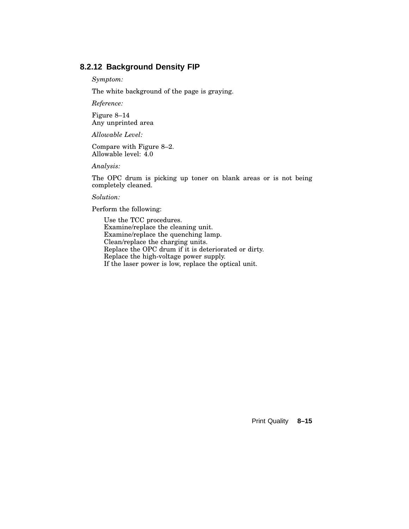## **8.2.12 Background Density FIP**

*Symptom:*

The white background of the page is graying.

*Reference:*

Figure 8–14 Any unprinted area

*Allowable Level:*

Compare with Figure 8–2. Allowable level: 4.0

*Analysis:*

The OPC drum is picking up toner on blank areas or is not being completely cleaned.

*Solution:*

Perform the following:

Use the TCC procedures. Examine/replace the cleaning unit. Examine/replace the quenching lamp. Clean/replace the charging units. Replace the OPC drum if it is deteriorated or dirty. Replace the high-voltage power supply. If the laser power is low, replace the optical unit.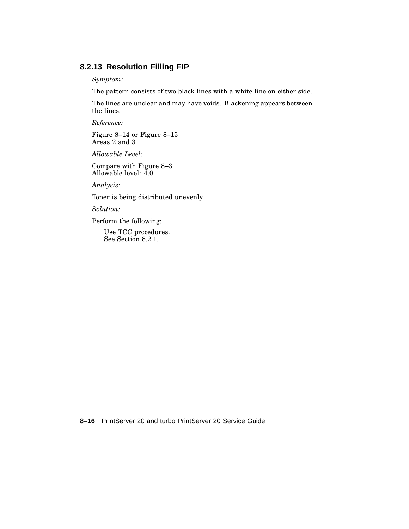## **8.2.13 Resolution Filling FIP**

*Symptom:*

The pattern consists of two black lines with a white line on either side.

The lines are unclear and may have voids. Blackening appears between the lines.

*Reference:*

Figure 8–14 or Figure 8–15 Areas 2 and 3

*Allowable Level:*

Compare with Figure 8–3. Allowable level: 4.0

*Analysis:*

Toner is being distributed unevenly.

*Solution:*

Perform the following:

Use TCC procedures. See Section 8.2.1.

**8–16** PrintServer 20 and turbo PrintServer 20 Service Guide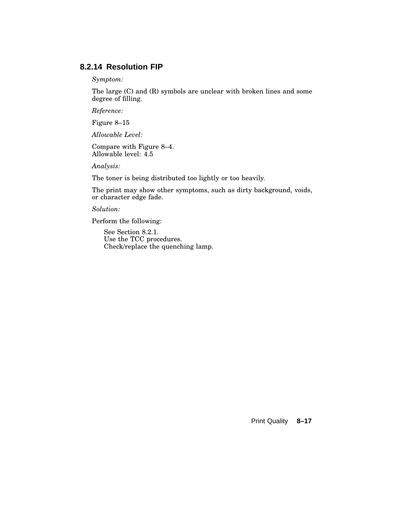## **8.2.14 Resolution FIP**

*Symptom:*

The large (C) and (R) symbols are unclear with broken lines and some degree of filling.

*Reference:*

Figure 8–15

*Allowable Level:*

Compare with Figure 8–4. Allowable level: 4.5

*Analysis:*

The toner is being distributed too lightly or too heavily.

The print may show other symptoms, such as dirty background, voids, or character edge fade.

*Solution:*

Perform the following:

See Section 8.2.1. Use the TCC procedures. Check/replace the quenching lamp.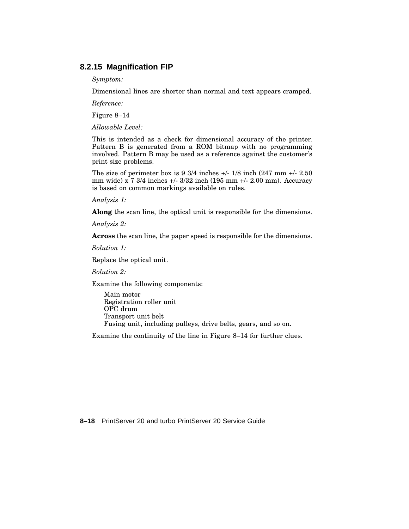### **8.2.15 Magnification FIP**

*Symptom:*

Dimensional lines are shorter than normal and text appears cramped.

*Reference:*

Figure 8–14

*Allowable Level:*

This is intended as a check for dimensional accuracy of the printer. Pattern B is generated from a ROM bitmap with no programming involved. Pattern B may be used as a reference against the customer's print size problems.

The size of perimeter box is  $9\frac{3}{4}$  inches  $\frac{+}{18}$  inch (247 mm  $\frac{+}{2.50}$ ) mm wide) x 7 3/4 inches +/- 3/32 inch (195 mm +/- 2.00 mm). Accuracy is based on common markings available on rules.

*Analysis 1:*

**Along** the scan line, the optical unit is responsible for the dimensions.

*Analysis 2:*

**Across** the scan line, the paper speed is responsible for the dimensions.

*Solution 1:*

Replace the optical unit.

*Solution 2:*

Examine the following components:

Main motor Registration roller unit OPC drum Transport unit belt Fusing unit, including pulleys, drive belts, gears, and so on.

Examine the continuity of the line in Figure 8–14 for further clues.

**8–18** PrintServer 20 and turbo PrintServer 20 Service Guide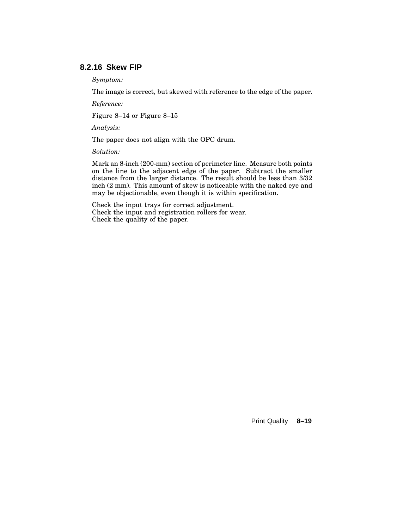## **8.2.16 Skew FIP**

*Symptom:*

The image is correct, but skewed with reference to the edge of the paper.

*Reference:*

Figure 8–14 or Figure 8–15

*Analysis:*

The paper does not align with the OPC drum.

*Solution:*

Mark an 8-inch (200-mm) section of perimeter line. Measure both points on the line to the adjacent edge of the paper. Subtract the smaller distance from the larger distance. The result should be less than 3/32 inch (2 mm). This amount of skew is noticeable with the naked eye and may be objectionable, even though it is within specification.

Check the input trays for correct adjustment. Check the input and registration rollers for wear. Check the quality of the paper.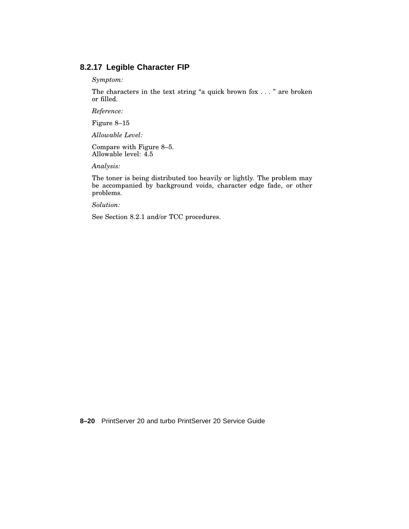## **8.2.17 Legible Character FIP**

*Symptom:*

The characters in the text string "a quick brown fox . . . " are broken or filled.

*Reference:*

Figure 8–15

*Allowable Level:*

Compare with Figure 8–5. Allowable level: 4.5

*Analysis:*

The toner is being distributed too heavily or lightly. The problem may be accompanied by background voids, character edge fade, or other problems.

*Solution:*

See Section 8.2.1 and/or TCC procedures.

**8–20** PrintServer 20 and turbo PrintServer 20 Service Guide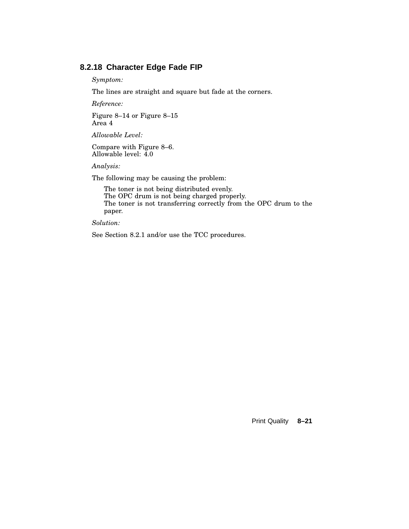### **8.2.18 Character Edge Fade FIP**

*Symptom:*

The lines are straight and square but fade at the corners.

*Reference:*

Figure 8–14 or Figure 8–15 Area 4

*Allowable Level:*

Compare with Figure 8–6. Allowable level: 4.0

*Analysis:*

The following may be causing the problem:

The toner is not being distributed evenly. The OPC drum is not being charged properly. The toner is not transferring correctly from the OPC drum to the paper.

*Solution:*

See Section 8.2.1 and/or use the TCC procedures.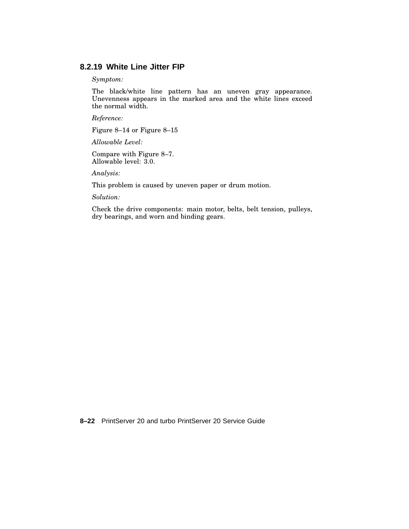### **8.2.19 White Line Jitter FIP**

*Symptom:*

The black/white line pattern has an uneven gray appearance. Unevenness appears in the marked area and the white lines exceed the normal width.

*Reference:*

Figure 8–14 or Figure 8–15

*Allowable Level:*

Compare with Figure 8–7. Allowable level: 3.0.

*Analysis:*

This problem is caused by uneven paper or drum motion.

*Solution:*

Check the drive components: main motor, belts, belt tension, pulleys, dry bearings, and worn and binding gears.

**8–22** PrintServer 20 and turbo PrintServer 20 Service Guide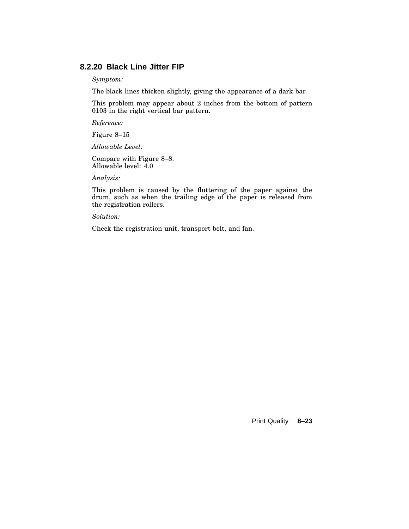### **8.2.20 Black Line Jitter FIP**

*Symptom:*

The black lines thicken slightly, giving the appearance of a dark bar.

This problem may appear about 2 inches from the bottom of pattern 0103 in the right vertical bar pattern.

*Reference:*

Figure 8–15

*Allowable Level:*

Compare with Figure 8–8. Allowable level: 4.0

*Analysis:*

This problem is caused by the fluttering of the paper against the drum, such as when the trailing edge of the paper is released from the registration rollers.

*Solution:*

Check the registration unit, transport belt, and fan.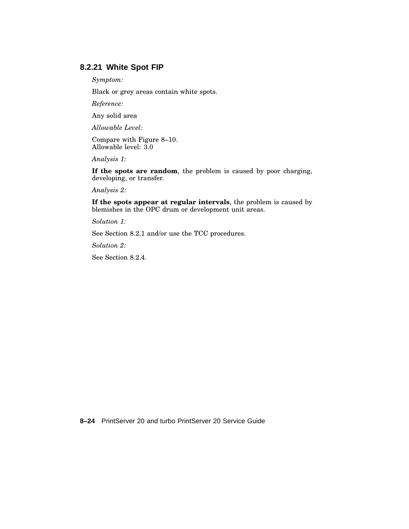### **8.2.21 White Spot FIP**

*Symptom:*

Black or grey areas contain white spots.

*Reference:*

Any solid area

*Allowable Level:*

Compare with Figure 8–10. Allowable level: 3.0

*Analysis 1:*

**If the spots are random**, the problem is caused by poor charging, developing, or transfer.

*Analysis 2:*

**If the spots appear at regular intervals**, the problem is caused by blemishes in the OPC drum or development unit areas.

*Solution 1:*

See Section 8.2.1 and/or use the TCC procedures.

*Solution 2:*

See Section 8.2.4.

**8–24** PrintServer 20 and turbo PrintServer 20 Service Guide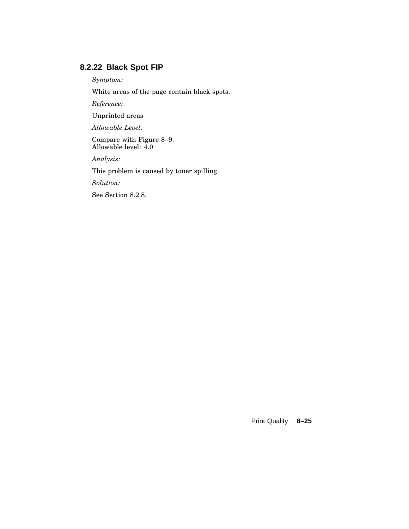## **8.2.22 Black Spot FIP**

*Symptom:*

White areas of the page contain black spots.

*Reference:*

Unprinted areas

*Allowable Level:*

Compare with Figure 8–9. Allowable level: 4.0

*Analysis:*

This problem is caused by toner spilling.

*Solution:*

See Section 8.2.8.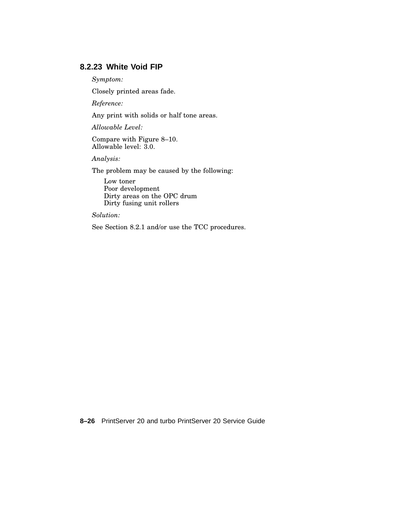## **8.2.23 White Void FIP**

*Symptom:*

Closely printed areas fade.

*Reference:*

Any print with solids or half tone areas.

*Allowable Level:*

Compare with Figure 8–10. Allowable level: 3.0.

*Analysis:*

The problem may be caused by the following:

Low toner Poor development Dirty areas on the OPC drum Dirty fusing unit rollers

*Solution:*

See Section 8.2.1 and/or use the TCC procedures.

**8–26** PrintServer 20 and turbo PrintServer 20 Service Guide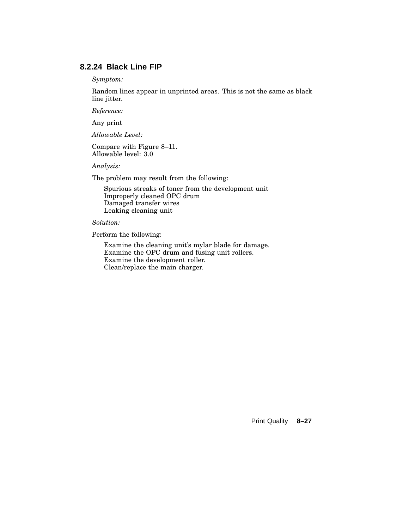### **8.2.24 Black Line FIP**

*Symptom:*

Random lines appear in unprinted areas. This is not the same as black line jitter.

*Reference:*

Any print

*Allowable Level:*

Compare with Figure 8–11. Allowable level: 3.0

*Analysis:*

The problem may result from the following:

Spurious streaks of toner from the development unit Improperly cleaned OPC drum Damaged transfer wires Leaking cleaning unit

*Solution:*

Perform the following:

Examine the cleaning unit's mylar blade for damage. Examine the OPC drum and fusing unit rollers. Examine the development roller. Clean/replace the main charger.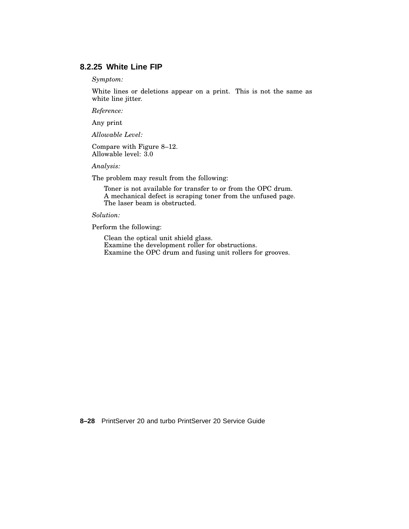## **8.2.25 White Line FIP**

*Symptom:*

White lines or deletions appear on a print. This is not the same as white line jitter.

*Reference:*

Any print

*Allowable Level:*

Compare with Figure 8–12. Allowable level: 3.0

*Analysis:*

The problem may result from the following:

Toner is not available for transfer to or from the OPC drum. A mechanical defect is scraping toner from the unfused page. The laser beam is obstructed.

*Solution:*

Perform the following:

Clean the optical unit shield glass. Examine the development roller for obstructions. Examine the OPC drum and fusing unit rollers for grooves.

**8–28** PrintServer 20 and turbo PrintServer 20 Service Guide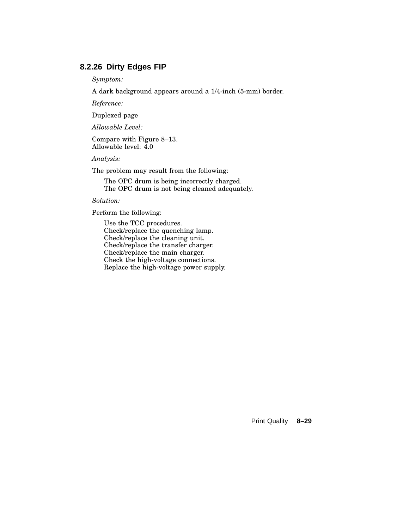## **8.2.26 Dirty Edges FIP**

*Symptom:*

A dark background appears around a 1/4-inch (5-mm) border.

*Reference:*

Duplexed page

*Allowable Level:*

Compare with Figure 8–13. Allowable level: 4.0

*Analysis:*

The problem may result from the following:

The OPC drum is being incorrectly charged. The OPC drum is not being cleaned adequately.

*Solution:*

Perform the following:

Use the TCC procedures. Check/replace the quenching lamp. Check/replace the cleaning unit. Check/replace the transfer charger. Check/replace the main charger. Check the high-voltage connections. Replace the high-voltage power supply.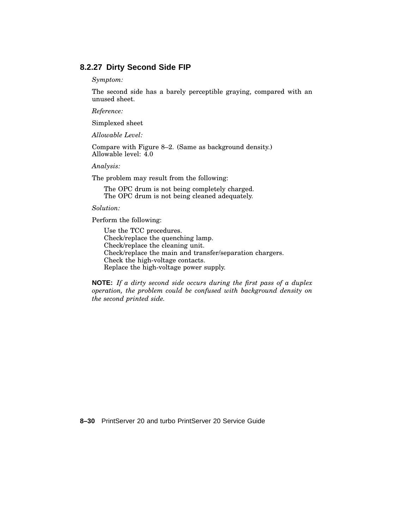### **8.2.27 Dirty Second Side FIP**

*Symptom:*

The second side has a barely perceptible graying, compared with an unused sheet.

*Reference:*

Simplexed sheet

*Allowable Level:*

Compare with Figure 8–2. (Same as background density.) Allowable level: 4.0

*Analysis:*

The problem may result from the following:

The OPC drum is not being completely charged. The OPC drum is not being cleaned adequately.

*Solution:*

Perform the following:

Use the TCC procedures. Check/replace the quenching lamp. Check/replace the cleaning unit. Check/replace the main and transfer/separation chargers. Check the high-voltage contacts. Replace the high-voltage power supply.

**NOTE:** *If a dirty second side occurs during the first pass of a duplex operation, the problem could be confused with background density on the second printed side.*

**8–30** PrintServer 20 and turbo PrintServer 20 Service Guide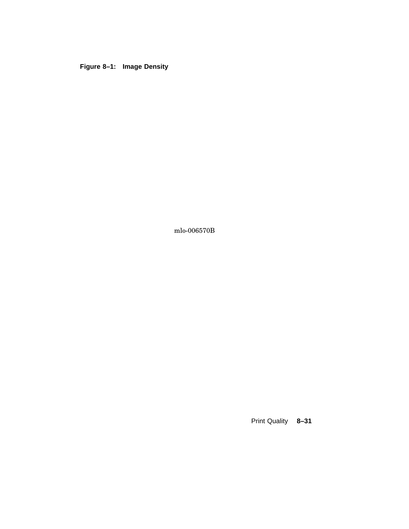**Figure 8–1: Image Density**

mlo-006570B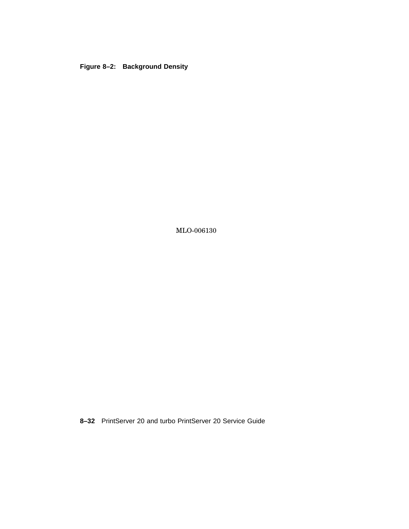#### **Figure 8–2: Background Density**

MLO-006130

**8–32** PrintServer 20 and turbo PrintServer 20 Service Guide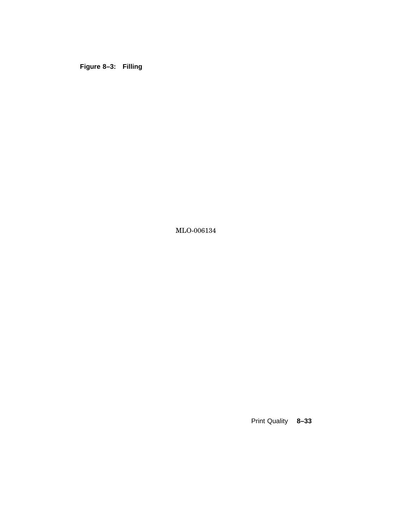**Figure 8–3: Filling**

MLO-006134

Print Quality **8–33**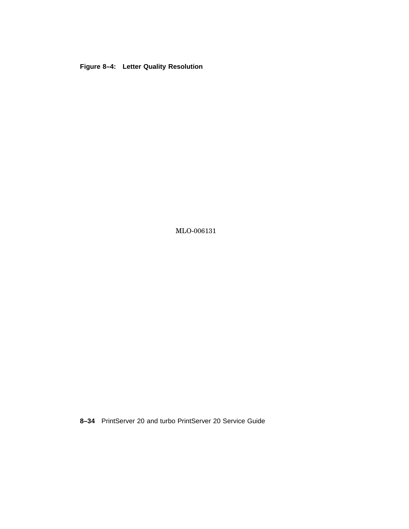**Figure 8–4: Letter Quality Resolution**

MLO-006131

**8–34** PrintServer 20 and turbo PrintServer 20 Service Guide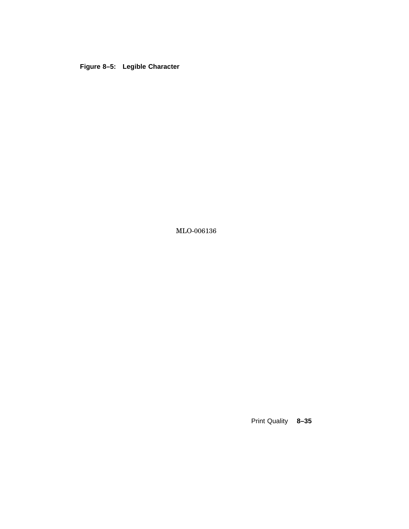**Figure 8–5: Legible Character**

MLO-006136

Print Quality **8–35**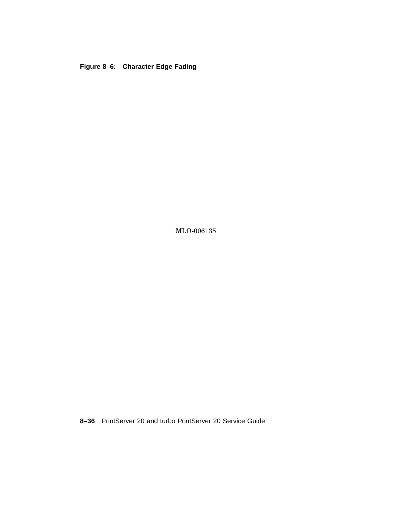**Figure 8–6: Character Edge Fading**

MLO-006135

**8–36** PrintServer 20 and turbo PrintServer 20 Service Guide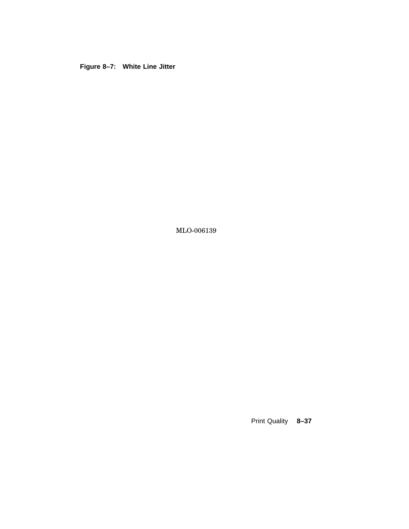**Figure 8–7: White Line Jitter**

MLO-006139

Print Quality **8–37**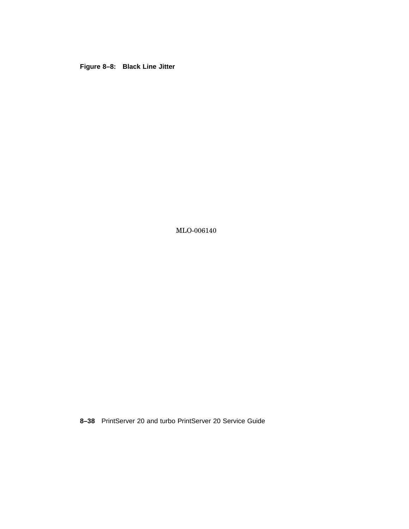**Figure 8–8: Black Line Jitter**

MLO-006140

**8–38** PrintServer 20 and turbo PrintServer 20 Service Guide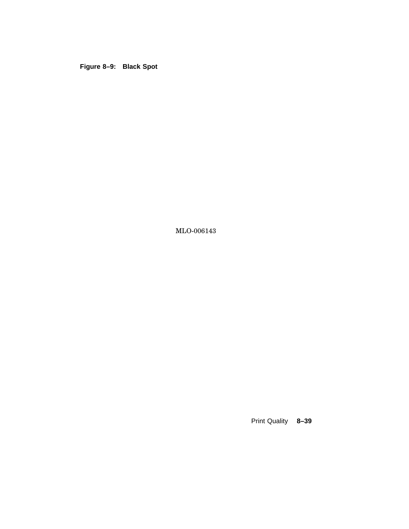**Figure 8–9: Black Spot**

MLO-006143

Print Quality **8–39**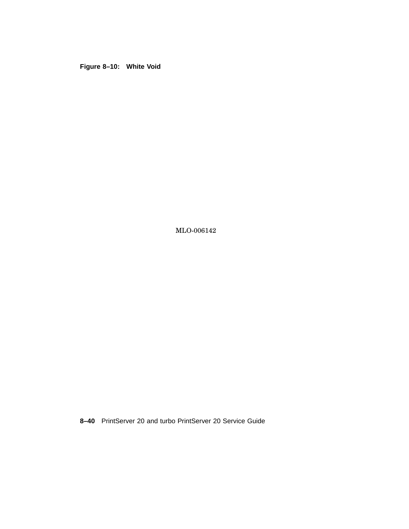**Figure 8–10: White Void**

MLO-006142

**8–40** PrintServer 20 and turbo PrintServer 20 Service Guide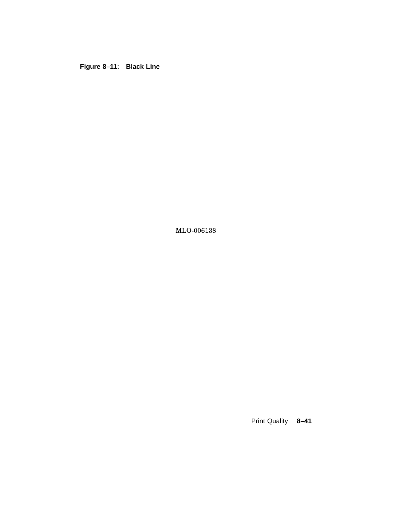**Figure 8–11: Black Line**

MLO-006138

Print Quality **8–41**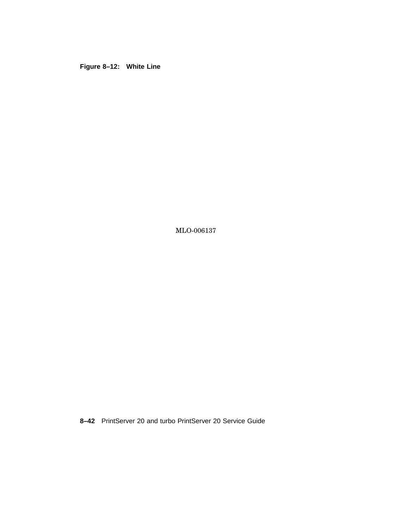**Figure 8–12: White Line**

MLO-006137

**8–42** PrintServer 20 and turbo PrintServer 20 Service Guide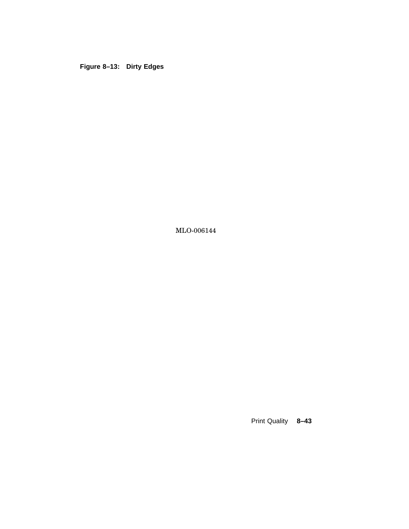**Figure 8–13: Dirty Edges**

MLO-006144

Print Quality **8–43**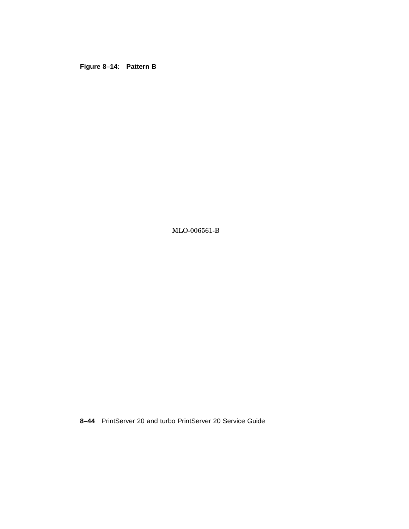**Figure 8–14: Pattern B**

MLO-006561-B

**8–44** PrintServer 20 and turbo PrintServer 20 Service Guide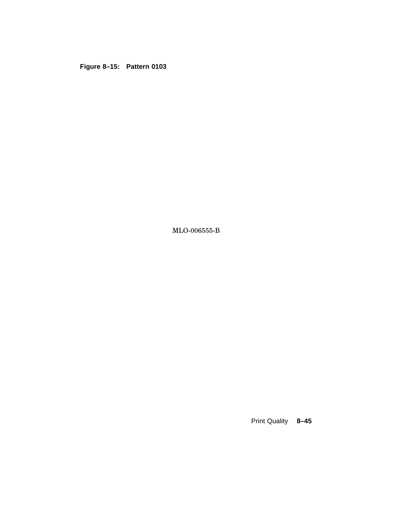**Figure 8–15: Pattern 0103**

MLO-006555-B

Print Quality **8–45**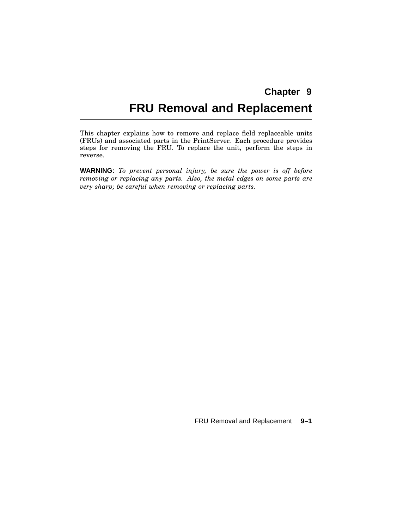# **FRU Removal and Replacement**

This chapter explains how to remove and replace field replaceable units (FRUs) and associated parts in the PrintServer. Each procedure provides steps for removing the FRU. To replace the unit, perform the steps in reverse.

**WARNING:** *To prevent personal injury, be sure the power is off before removing or replacing any parts. Also, the metal edges on some parts are very sharp; be careful when removing or replacing parts.*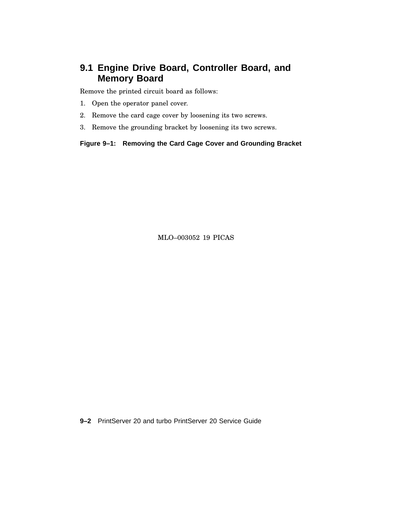### **9.1 Engine Drive Board, Controller Board, and Memory Board**

Remove the printed circuit board as follows:

- 1. Open the operator panel cover.
- 2. Remove the card cage cover by loosening its two screws.
- 3. Remove the grounding bracket by loosening its two screws.

**Figure 9–1: Removing the Card Cage Cover and Grounding Bracket**

MLO–003052 19 PICAS

**9–2** PrintServer 20 and turbo PrintServer 20 Service Guide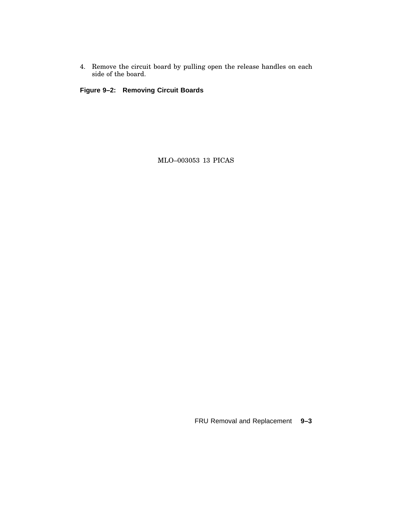4. Remove the circuit board by pulling open the release handles on each side of the board.

**Figure 9–2: Removing Circuit Boards**

MLO–003053 13 PICAS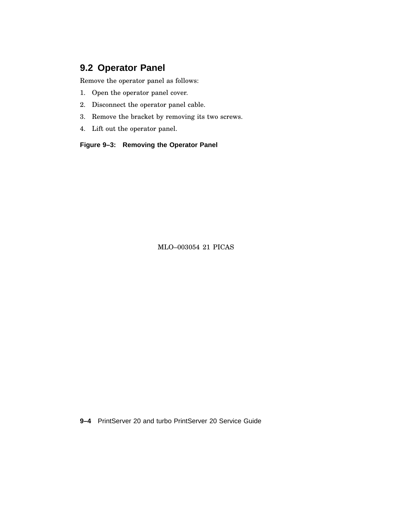### **9.2 Operator Panel**

Remove the operator panel as follows:

- 1. Open the operator panel cover.
- 2. Disconnect the operator panel cable.
- 3. Remove the bracket by removing its two screws.
- 4. Lift out the operator panel.

**Figure 9–3: Removing the Operator Panel**

MLO–003054 21 PICAS

**9–4** PrintServer 20 and turbo PrintServer 20 Service Guide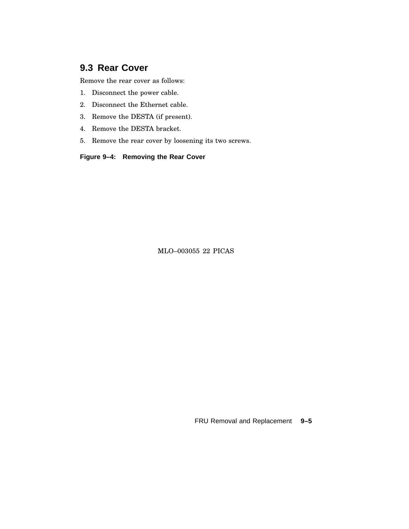### **9.3 Rear Cover**

Remove the rear cover as follows:

- 1. Disconnect the power cable.
- 2. Disconnect the Ethernet cable.
- 3. Remove the DESTA (if present).
- 4. Remove the DESTA bracket.
- 5. Remove the rear cover by loosening its two screws.

**Figure 9–4: Removing the Rear Cover**

MLO–003055 22 PICAS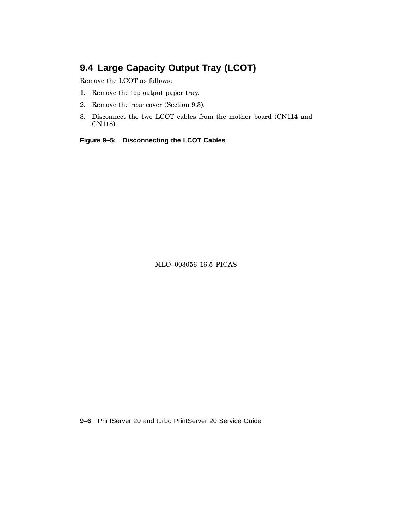# **9.4 Large Capacity Output Tray (LCOT)**

Remove the LCOT as follows:

- 1. Remove the top output paper tray.
- 2. Remove the rear cover (Section 9.3).
- 3. Disconnect the two LCOT cables from the mother board (CN114 and CN118).

**Figure 9–5: Disconnecting the LCOT Cables**

MLO–003056 16.5 PICAS

**9–6** PrintServer 20 and turbo PrintServer 20 Service Guide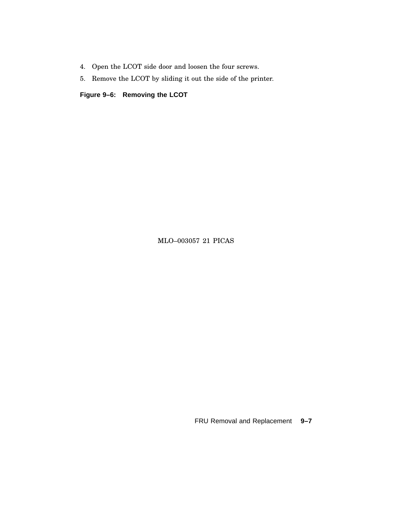- 4. Open the LCOT side door and loosen the four screws.
- 5. Remove the LCOT by sliding it out the side of the printer.

**Figure 9–6: Removing the LCOT**

MLO–003057 21 PICAS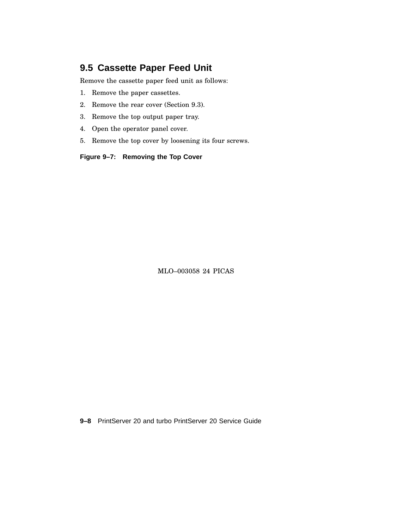#### **9.5 Cassette Paper Feed Unit**

Remove the cassette paper feed unit as follows:

- 1. Remove the paper cassettes.
- 2. Remove the rear cover (Section 9.3).
- 3. Remove the top output paper tray.
- 4. Open the operator panel cover.
- 5. Remove the top cover by loosening its four screws.

**Figure 9–7: Removing the Top Cover**

MLO–003058 24 PICAS

**9–8** PrintServer 20 and turbo PrintServer 20 Service Guide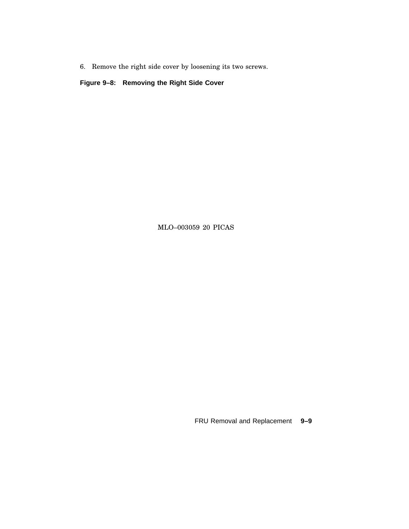6. Remove the right side cover by loosening its two screws.

**Figure 9–8: Removing the Right Side Cover**

MLO–003059 20 PICAS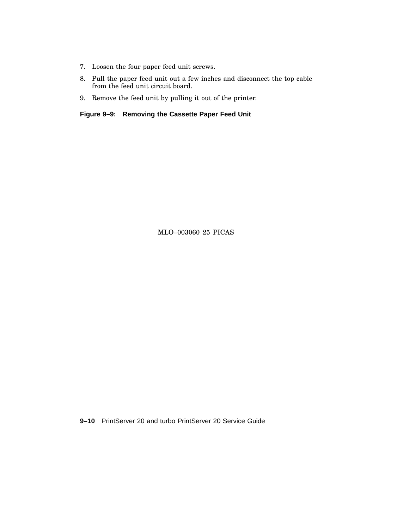- 7. Loosen the four paper feed unit screws.
- 8. Pull the paper feed unit out a few inches and disconnect the top cable from the feed unit circuit board.
- 9. Remove the feed unit by pulling it out of the printer.

**Figure 9–9: Removing the Cassette Paper Feed Unit**

MLO–003060 25 PICAS

**9–10** PrintServer 20 and turbo PrintServer 20 Service Guide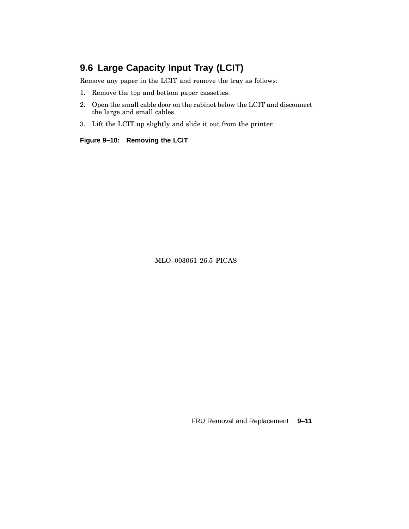# **9.6 Large Capacity Input Tray (LCIT)**

Remove any paper in the LCIT and remove the tray as follows:

- 1. Remove the top and bottom paper cassettes.
- 2. Open the small cable door on the cabinet below the LCIT and disconnect the large and small cables.
- 3. Lift the LCIT up slightly and slide it out from the printer.

**Figure 9–10: Removing the LCIT**

MLO–003061 26.5 PICAS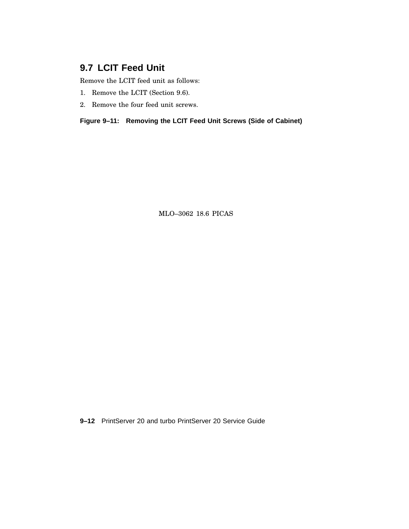### **9.7 LCIT Feed Unit**

Remove the LCIT feed unit as follows:

- 1. Remove the LCIT (Section 9.6).
- 2. Remove the four feed unit screws.

**Figure 9–11: Removing the LCIT Feed Unit Screws (Side of Cabinet)**

MLO–3062 18.6 PICAS

**9–12** PrintServer 20 and turbo PrintServer 20 Service Guide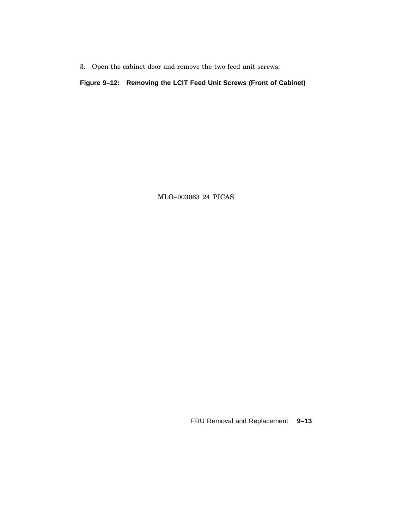3. Open the cabinet door and remove the two feed unit screws.

#### **Figure 9–12: Removing the LCIT Feed Unit Screws (Front of Cabinet)**

MLO–003063 24 PICAS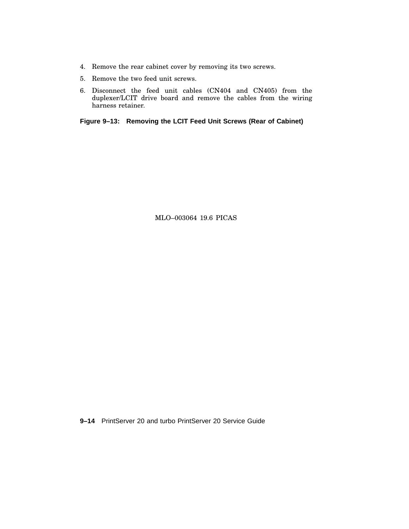- 4. Remove the rear cabinet cover by removing its two screws.
- 5. Remove the two feed unit screws.
- 6. Disconnect the feed unit cables (CN404 and CN405) from the duplexer/LCIT drive board and remove the cables from the wiring harness retainer.

**Figure 9–13: Removing the LCIT Feed Unit Screws (Rear of Cabinet)**

MLO–003064 19.6 PICAS

**9–14** PrintServer 20 and turbo PrintServer 20 Service Guide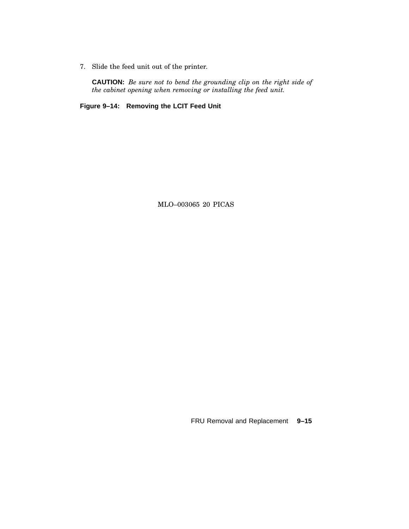7. Slide the feed unit out of the printer.

**CAUTION:** *Be sure not to bend the grounding clip on the right side of the cabinet opening when removing or installing the feed unit.*

**Figure 9–14: Removing the LCIT Feed Unit**

MLO–003065 20 PICAS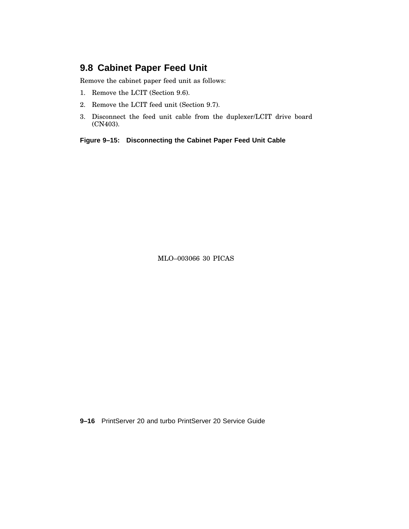#### **9.8 Cabinet Paper Feed Unit**

Remove the cabinet paper feed unit as follows:

- 1. Remove the LCIT (Section 9.6).
- 2. Remove the LCIT feed unit (Section 9.7).
- 3. Disconnect the feed unit cable from the duplexer/LCIT drive board (CN403).

**Figure 9–15: Disconnecting the Cabinet Paper Feed Unit Cable**

MLO–003066 30 PICAS

**9–16** PrintServer 20 and turbo PrintServer 20 Service Guide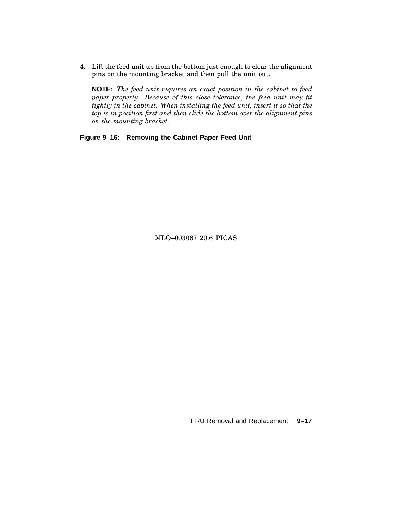4. Lift the feed unit up from the bottom just enough to clear the alignment pins on the mounting bracket and then pull the unit out.

**NOTE:** *The feed unit requires an exact position in the cabinet to feed paper properly. Because of this close tolerance, the feed unit may fit tightly in the cabinet. When installing the feed unit, insert it so that the top is in position first and then slide the bottom over the alignment pins on the mounting bracket.*

**Figure 9–16: Removing the Cabinet Paper Feed Unit**

MLO–003067 20.6 PICAS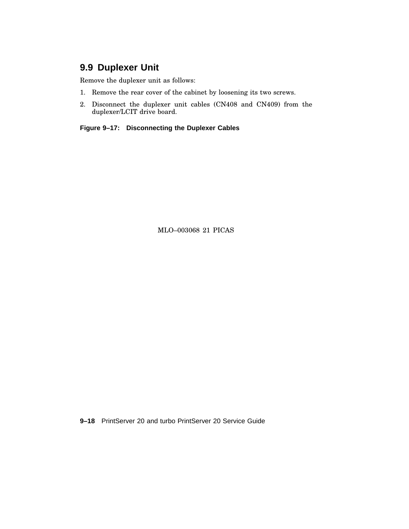# **9.9 Duplexer Unit**

Remove the duplexer unit as follows:

- 1. Remove the rear cover of the cabinet by loosening its two screws.
- 2. Disconnect the duplexer unit cables (CN408 and CN409) from the duplexer/LCIT drive board.

**Figure 9–17: Disconnecting the Duplexer Cables**

MLO–003068 21 PICAS

**9–18** PrintServer 20 and turbo PrintServer 20 Service Guide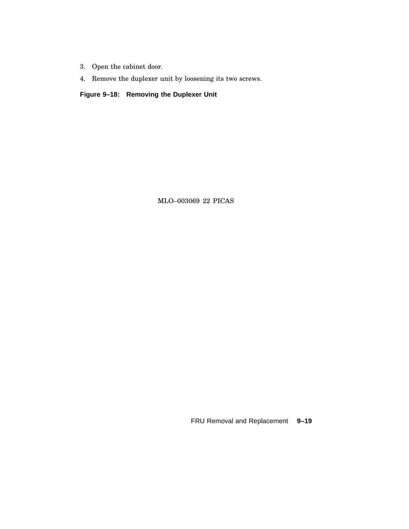- 3. Open the cabinet door.
- 4. Remove the duplexer unit by loosening its two screws.

**Figure 9–18: Removing the Duplexer Unit**

MLO–003069 22 PICAS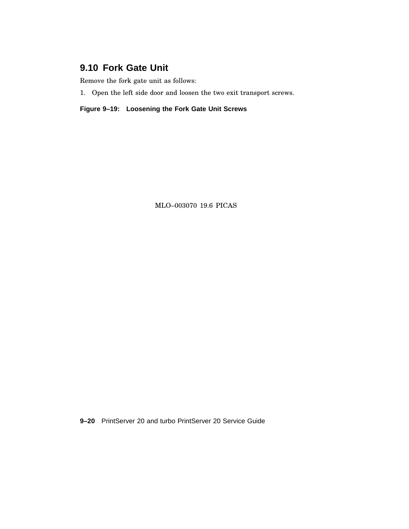### **9.10 Fork Gate Unit**

Remove the fork gate unit as follows:

1. Open the left side door and loosen the two exit transport screws.

**Figure 9–19: Loosening the Fork Gate Unit Screws**

MLO–003070 19.6 PICAS

**9–20** PrintServer 20 and turbo PrintServer 20 Service Guide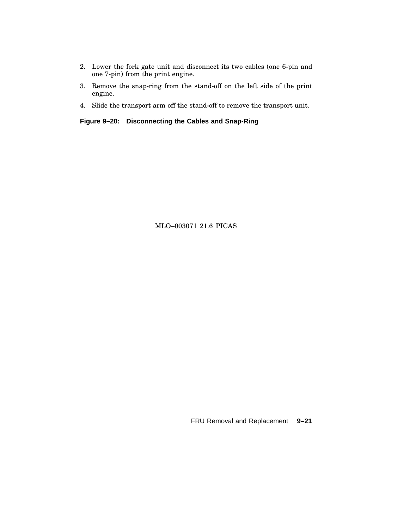- 2. Lower the fork gate unit and disconnect its two cables (one 6-pin and one 7-pin) from the print engine.
- 3. Remove the snap-ring from the stand-off on the left side of the print engine.
- 4. Slide the transport arm off the stand-off to remove the transport unit.

**Figure 9–20: Disconnecting the Cables and Snap-Ring**

MLO–003071 21.6 PICAS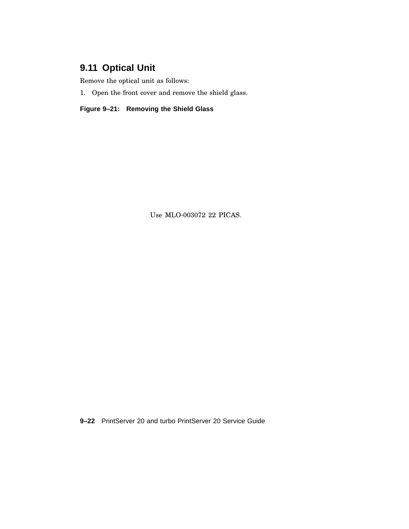# **9.11 Optical Unit**

Remove the optical unit as follows:

1. Open the front cover and remove the shield glass.

**Figure 9–21: Removing the Shield Glass**

Use MLO-003072 22 PICAS.

**9–22** PrintServer 20 and turbo PrintServer 20 Service Guide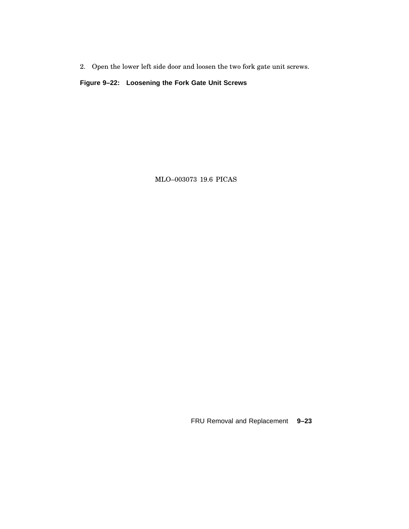2. Open the lower left side door and loosen the two fork gate unit screws.

**Figure 9–22: Loosening the Fork Gate Unit Screws**

MLO–003073 19.6 PICAS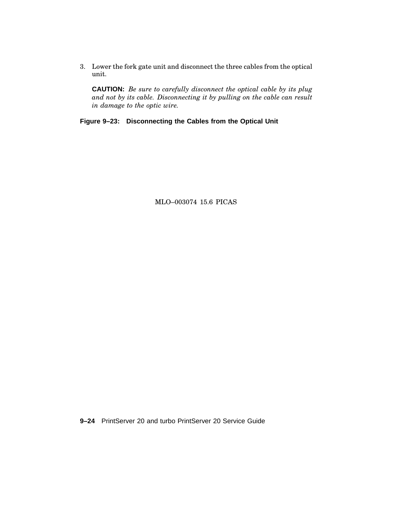3. Lower the fork gate unit and disconnect the three cables from the optical unit.

**CAUTION:** *Be sure to carefully disconnect the optical cable by its plug and not by its cable. Disconnecting it by pulling on the cable can result in damage to the optic wire.*

**Figure 9–23: Disconnecting the Cables from the Optical Unit**

MLO–003074 15.6 PICAS

**9–24** PrintServer 20 and turbo PrintServer 20 Service Guide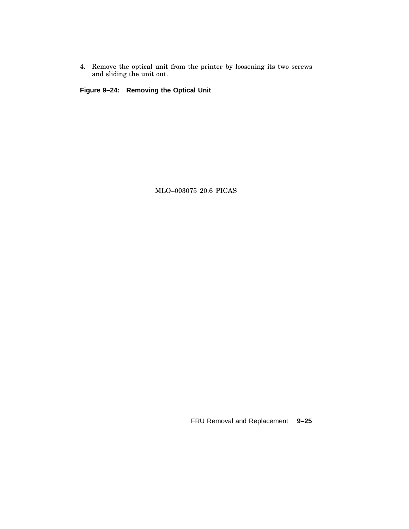4. Remove the optical unit from the printer by loosening its two screws and sliding the unit out.

**Figure 9–24: Removing the Optical Unit**

MLO–003075 20.6 PICAS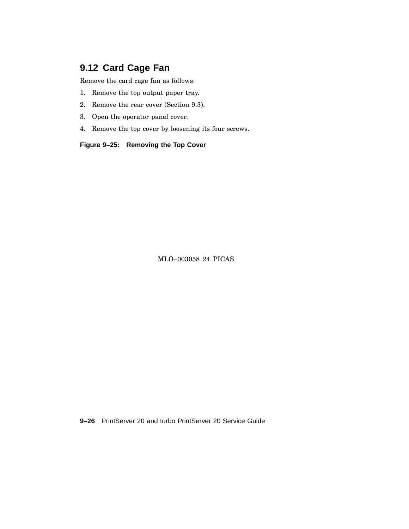# **9.12 Card Cage Fan**

Remove the card cage fan as follows:

- 1. Remove the top output paper tray.
- 2. Remove the rear cover (Section 9.3).
- 3. Open the operator panel cover.
- 4. Remove the top cover by loosening its four screws.

**Figure 9–25: Removing the Top Cover**

MLO–003058 24 PICAS

**9–26** PrintServer 20 and turbo PrintServer 20 Service Guide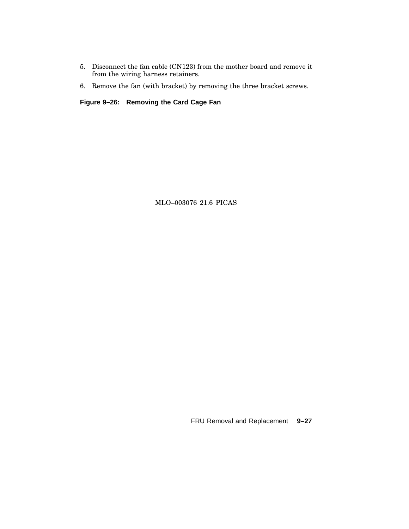- 5. Disconnect the fan cable (CN123) from the mother board and remove it from the wiring harness retainers.
- 6. Remove the fan (with bracket) by removing the three bracket screws.

**Figure 9–26: Removing the Card Cage Fan**

MLO–003076 21.6 PICAS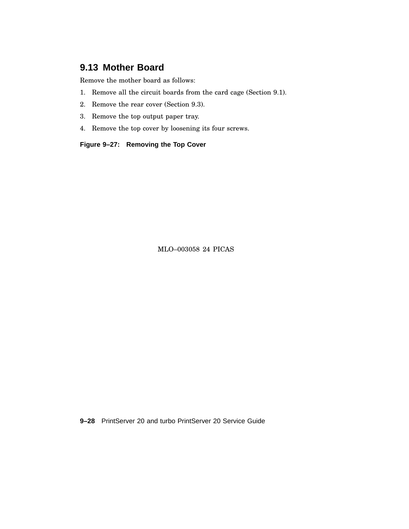# **9.13 Mother Board**

Remove the mother board as follows:

- 1. Remove all the circuit boards from the card cage (Section 9.1).
- 2. Remove the rear cover (Section 9.3).
- 3. Remove the top output paper tray.
- 4. Remove the top cover by loosening its four screws.

**Figure 9–27: Removing the Top Cover**

MLO–003058 24 PICAS

**9–28** PrintServer 20 and turbo PrintServer 20 Service Guide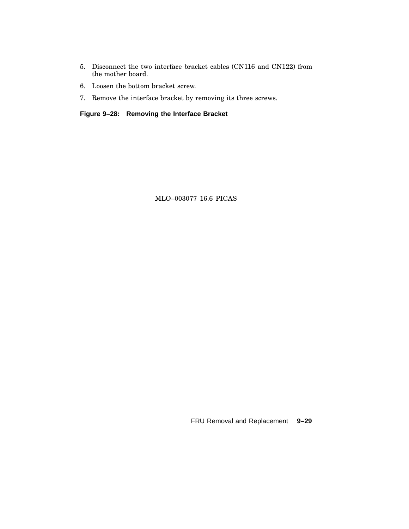- 5. Disconnect the two interface bracket cables (CN116 and CN122) from the mother board.
- 6. Loosen the bottom bracket screw.
- 7. Remove the interface bracket by removing its three screws.

**Figure 9–28: Removing the Interface Bracket**

MLO–003077 16.6 PICAS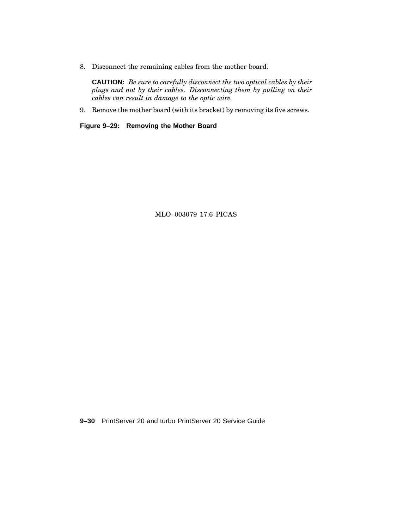8. Disconnect the remaining cables from the mother board.

**CAUTION:** *Be sure to carefully disconnect the two optical cables by their plugs and not by their cables. Disconnecting them by pulling on their cables can result in damage to the optic wire.*

9. Remove the mother board (with its bracket) by removing its five screws.

**Figure 9–29: Removing the Mother Board**

MLO–003079 17.6 PICAS

**9–30** PrintServer 20 and turbo PrintServer 20 Service Guide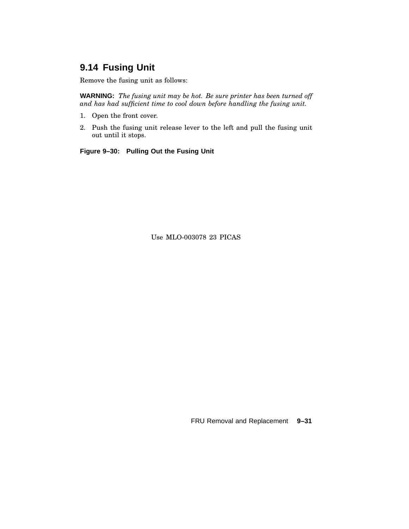# **9.14 Fusing Unit**

Remove the fusing unit as follows:

**WARNING:** *The fusing unit may be hot. Be sure printer has been turned off and has had sufficient time to cool down before handling the fusing unit.*

- 1. Open the front cover.
- 2. Push the fusing unit release lever to the left and pull the fusing unit out until it stops.

**Figure 9–30: Pulling Out the Fusing Unit**

Use MLO-003078 23 PICAS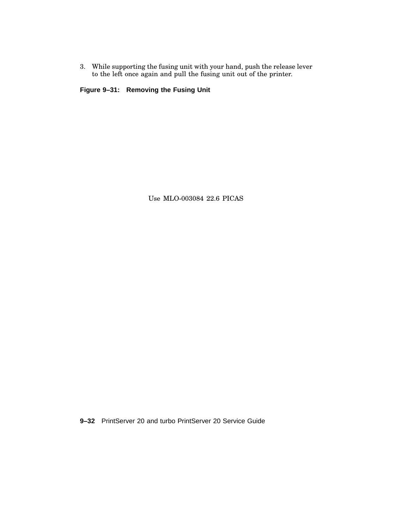3. While supporting the fusing unit with your hand, push the release lever to the left once again and pull the fusing unit out of the printer.

**Figure 9–31: Removing the Fusing Unit**

Use MLO-003084 22.6 PICAS

**9–32** PrintServer 20 and turbo PrintServer 20 Service Guide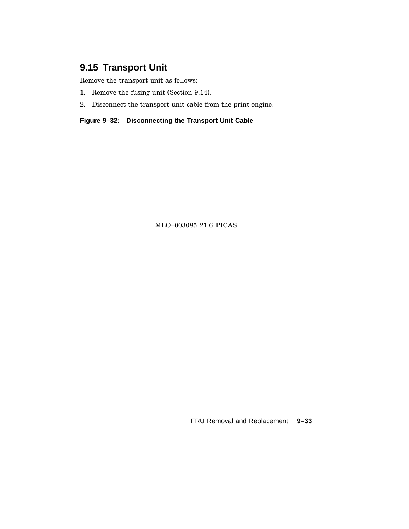# **9.15 Transport Unit**

Remove the transport unit as follows:

- 1. Remove the fusing unit (Section 9.14).
- 2. Disconnect the transport unit cable from the print engine.

**Figure 9–32: Disconnecting the Transport Unit Cable**

MLO–003085 21.6 PICAS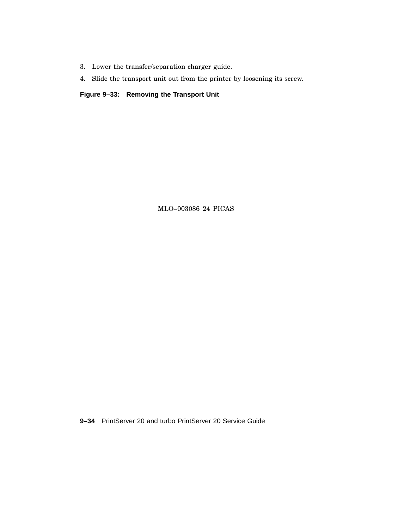- 3. Lower the transfer/separation charger guide.
- 4. Slide the transport unit out from the printer by loosening its screw.

**Figure 9–33: Removing the Transport Unit**

MLO–003086 24 PICAS

**9–34** PrintServer 20 and turbo PrintServer 20 Service Guide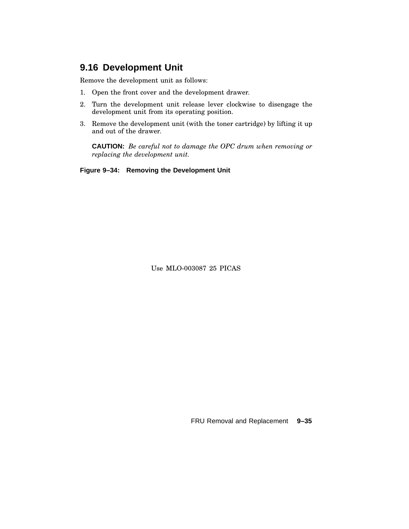#### **9.16 Development Unit**

Remove the development unit as follows:

- 1. Open the front cover and the development drawer.
- 2. Turn the development unit release lever clockwise to disengage the development unit from its operating position.
- 3. Remove the development unit (with the toner cartridge) by lifting it up and out of the drawer.

**CAUTION:** *Be careful not to damage the OPC drum when removing or replacing the development unit.*

**Figure 9–34: Removing the Development Unit**

Use MLO-003087 25 PICAS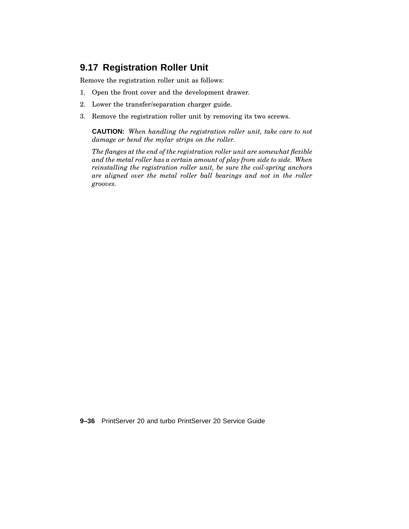## **9.17 Registration Roller Unit**

Remove the registration roller unit as follows:

- 1. Open the front cover and the development drawer.
- 2. Lower the transfer/separation charger guide.
- 3. Remove the registration roller unit by removing its two screws.

**CAUTION:** *When handling the registration roller unit, take care to not damage or bend the mylar strips on the roller.*

*The flanges at the end of the registration roller unit are somewhat flexible and the metal roller has a certain amount of play from side to side. When reinstalling the registration roller unit, be sure the coil-spring anchors are aligned over the metal roller ball bearings and not in the roller grooves.*

**9–36** PrintServer 20 and turbo PrintServer 20 Service Guide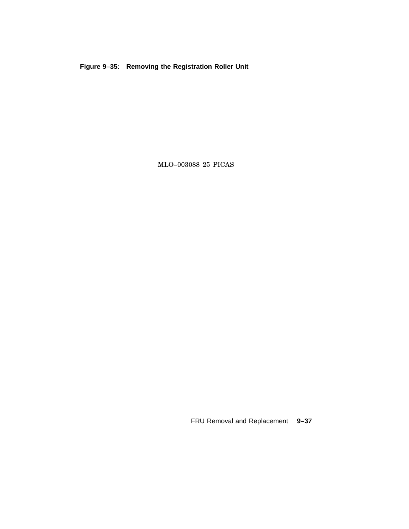**Figure 9–35: Removing the Registration Roller Unit**

MLO–003088 25 PICAS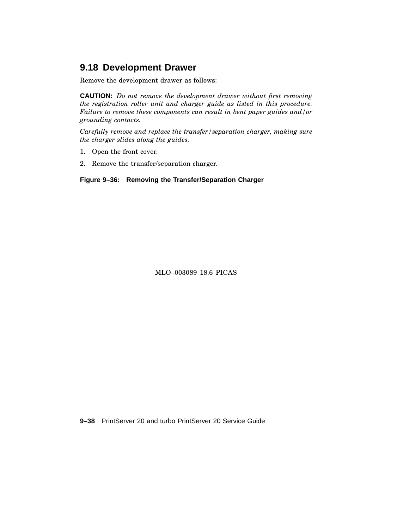# **9.18 Development Drawer**

Remove the development drawer as follows:

**CAUTION:** *Do not remove the development drawer without first removing the registration roller unit and charger guide as listed in this procedure. Failure to remove these components can result in bent paper guides and/or grounding contacts.*

*Carefully remove and replace the transfer/separation charger, making sure the charger slides along the guides.*

- 1. Open the front cover.
- 2. Remove the transfer/separation charger.

**Figure 9–36: Removing the Transfer/Separation Charger**

MLO–003089 18.6 PICAS

**9–38** PrintServer 20 and turbo PrintServer 20 Service Guide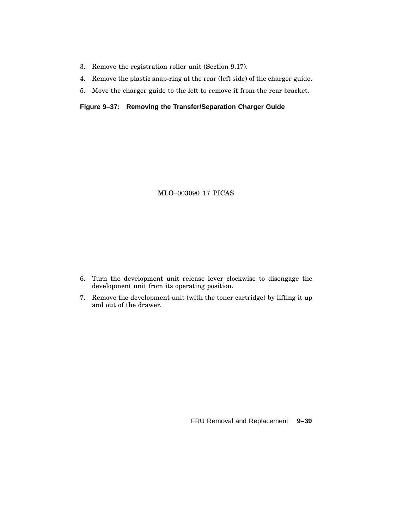- 3. Remove the registration roller unit (Section 9.17).
- 4. Remove the plastic snap-ring at the rear (left side) of the charger guide.
- 5. Move the charger guide to the left to remove it from the rear bracket.

#### **Figure 9–37: Removing the Transfer/Separation Charger Guide**

MLO–003090 17 PICAS

- 6. Turn the development unit release lever clockwise to disengage the development unit from its operating position.
- 7. Remove the development unit (with the toner cartridge) by lifting it up and out of the drawer.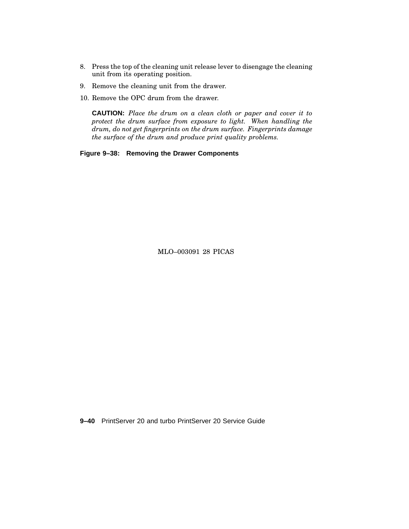- 8. Press the top of the cleaning unit release lever to disengage the cleaning unit from its operating position.
- 9. Remove the cleaning unit from the drawer.
- 10. Remove the OPC drum from the drawer.

**CAUTION:** *Place the drum on a clean cloth or paper and cover it to protect the drum surface from exposure to light. When handling the drum, do not get fingerprints on the drum surface. Fingerprints damage the surface of the drum and produce print quality problems.*

**Figure 9–38: Removing the Drawer Components**

MLO–003091 28 PICAS

**9–40** PrintServer 20 and turbo PrintServer 20 Service Guide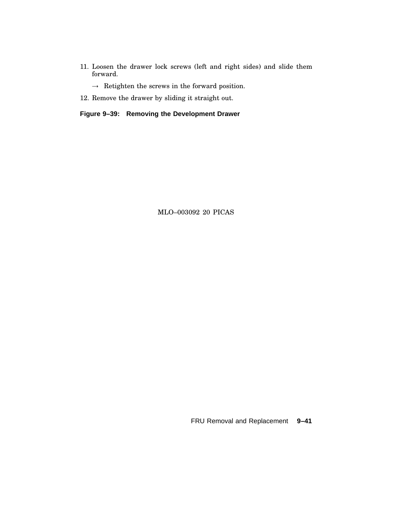11. Loosen the drawer lock screws (left and right sides) and slide them forward.

 $\rightarrow$  Retighten the screws in the forward position.

12. Remove the drawer by sliding it straight out.

**Figure 9–39: Removing the Development Drawer**

MLO–003092 20 PICAS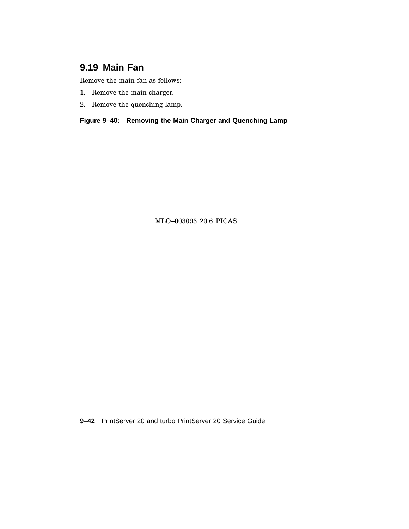# **9.19 Main Fan**

Remove the main fan as follows:

- 1. Remove the main charger.
- 2. Remove the quenching lamp.

**Figure 9–40: Removing the Main Charger and Quenching Lamp**

MLO–003093 20.6 PICAS

**9–42** PrintServer 20 and turbo PrintServer 20 Service Guide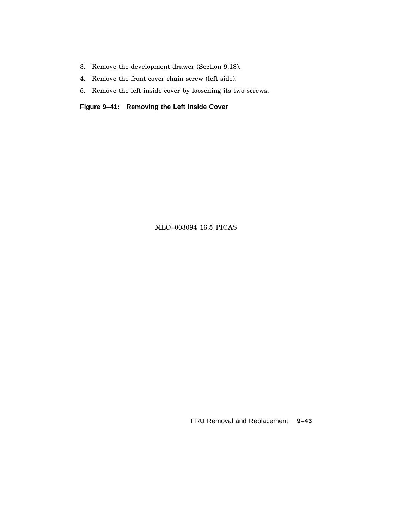- 3. Remove the development drawer (Section 9.18).
- 4. Remove the front cover chain screw (left side).
- 5. Remove the left inside cover by loosening its two screws.

**Figure 9–41: Removing the Left Inside Cover**

MLO–003094 16.5 PICAS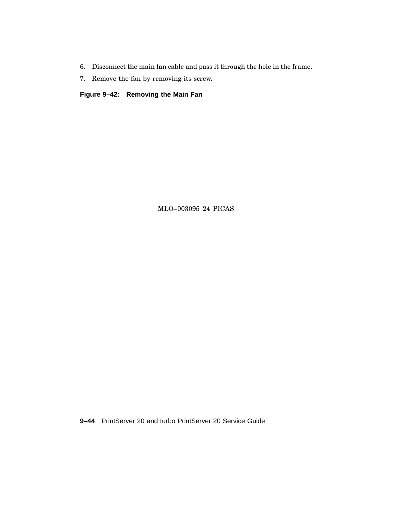- 6. Disconnect the main fan cable and pass it through the hole in the frame.
- 7. Remove the fan by removing its screw.

**Figure 9–42: Removing the Main Fan**

MLO–003095 24 PICAS

**9–44** PrintServer 20 and turbo PrintServer 20 Service Guide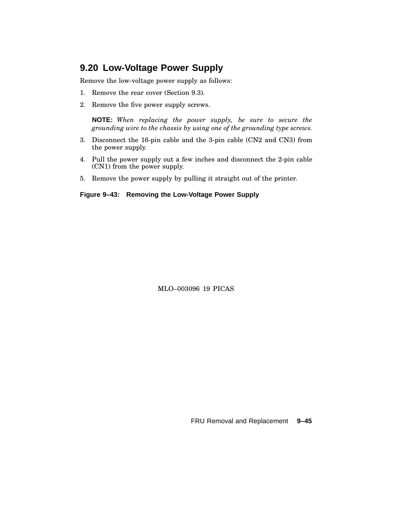#### **9.20 Low-Voltage Power Supply**

Remove the low-voltage power supply as follows:

- 1. Remove the rear cover (Section 9.3).
- 2. Remove the five power supply screws.

**NOTE:** *When replacing the power supply, be sure to secure the grounding wire to the chassis by using one of the grounding type screws.*

- 3. Disconnect the 16-pin cable and the 3-pin cable (CN2 and CN3) from the power supply.
- 4. Pull the power supply out a few inches and disconnect the 2-pin cable (CN1) from the power supply.
- 5. Remove the power supply by pulling it straight out of the printer.

#### **Figure 9–43: Removing the Low-Voltage Power Supply**

MLO–003096 19 PICAS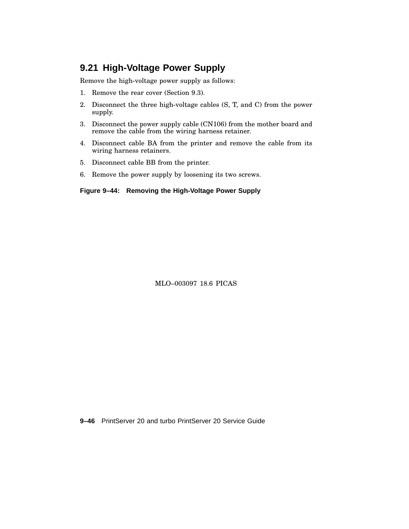### **9.21 High-Voltage Power Supply**

Remove the high-voltage power supply as follows:

- 1. Remove the rear cover (Section 9.3).
- 2. Disconnect the three high-voltage cables (S, T, and C) from the power supply.
- 3. Disconnect the power supply cable (CN106) from the mother board and remove the cable from the wiring harness retainer.
- 4. Disconnect cable BA from the printer and remove the cable from its wiring harness retainers.
- 5. Disconnect cable BB from the printer.
- 6. Remove the power supply by loosening its two screws.

#### **Figure 9–44: Removing the High-Voltage Power Supply**

MLO–003097 18.6 PICAS

**9–46** PrintServer 20 and turbo PrintServer 20 Service Guide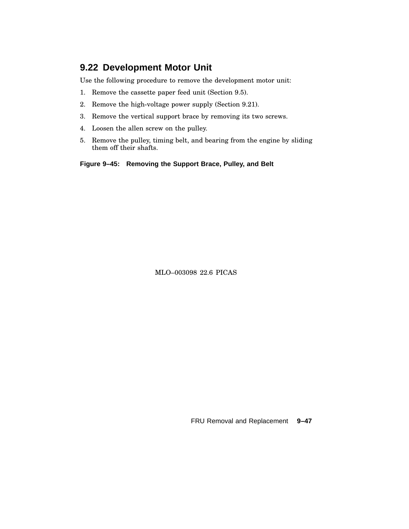### **9.22 Development Motor Unit**

Use the following procedure to remove the development motor unit:

- 1. Remove the cassette paper feed unit (Section 9.5).
- 2. Remove the high-voltage power supply (Section 9.21).
- 3. Remove the vertical support brace by removing its two screws.
- 4. Loosen the allen screw on the pulley.
- 5. Remove the pulley, timing belt, and bearing from the engine by sliding them off their shafts.

**Figure 9–45: Removing the Support Brace, Pulley, and Belt**

MLO–003098 22.6 PICAS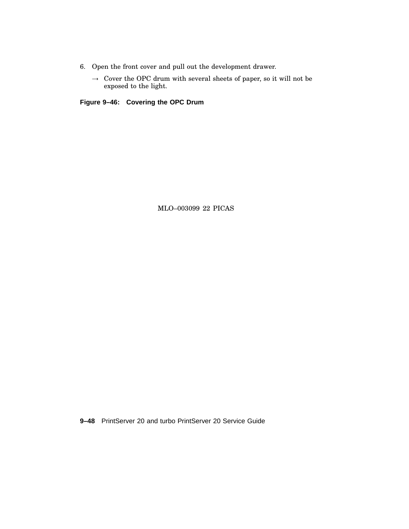- 6. Open the front cover and pull out the development drawer.
	- $\rightarrow~$  Cover the OPC drum with several sheets of paper, so it will not be exposed to the light.

**Figure 9–46: Covering the OPC Drum**

MLO–003099 22 PICAS

**9–48** PrintServer 20 and turbo PrintServer 20 Service Guide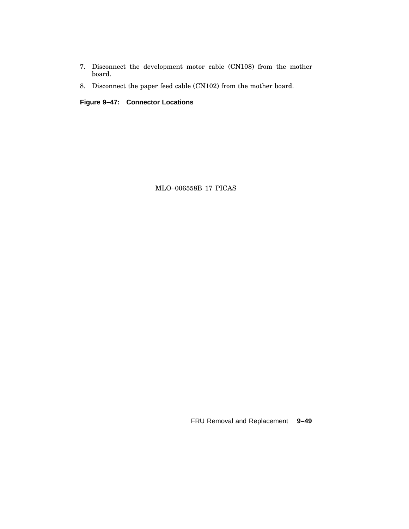- 7. Disconnect the development motor cable (CN108) from the mother board.
- 8. Disconnect the paper feed cable (CN102) from the mother board.

**Figure 9–47: Connector Locations**

MLO–006558B 17 PICAS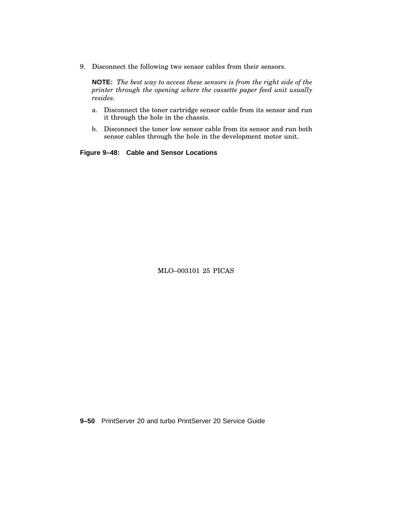9. Disconnect the following two sensor cables from their sensors.

**NOTE:** *The best way to access these sensors is from the right side of the printer through the opening where the cassette paper feed unit usually resides.*

- a. Disconnect the toner cartridge sensor cable from its sensor and run it through the hole in the chassis.
- b. Disconnect the toner low sensor cable from its sensor and run both sensor cables through the hole in the development motor unit.

**Figure 9–48: Cable and Sensor Locations**

MLO–003101 25 PICAS

**9–50** PrintServer 20 and turbo PrintServer 20 Service Guide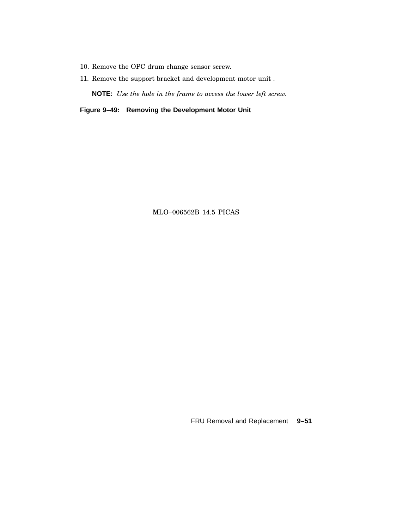- 10. Remove the OPC drum change sensor screw.
- 11. Remove the support bracket and development motor unit .

**NOTE:** *Use the hole in the frame to access the lower left screw.*

**Figure 9–49: Removing the Development Motor Unit**

MLO–006562B 14.5 PICAS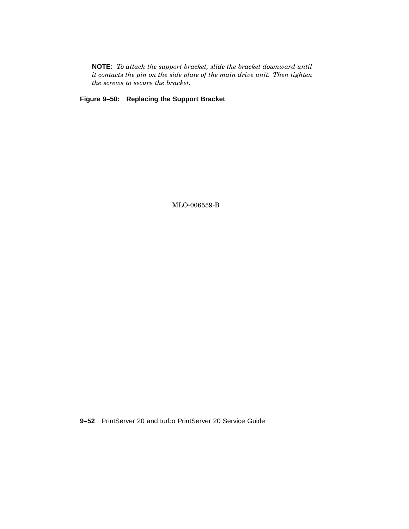**NOTE:** *To attach the support bracket, slide the bracket downward until it contacts the pin on the side plate of the main drive unit. Then tighten the screws to secure the bracket.*

**Figure 9–50: Replacing the Support Bracket**

MLO-006559-B

**9–52** PrintServer 20 and turbo PrintServer 20 Service Guide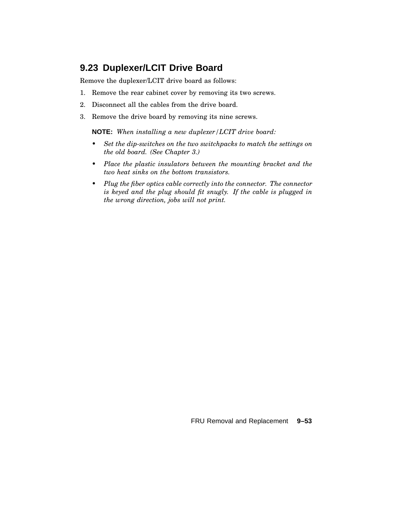## **9.23 Duplexer/LCIT Drive Board**

Remove the duplexer/LCIT drive board as follows:

- 1. Remove the rear cabinet cover by removing its two screws.
- 2. Disconnect all the cables from the drive board.
- 3. Remove the drive board by removing its nine screws.

**NOTE:** *When installing a new duplexer/LCIT drive board:*

- *• Set the dip-switches on the two switchpacks to match the settings on the old board. (See Chapter 3.)*
- *• Place the plastic insulators between the mounting bracket and the two heat sinks on the bottom transistors.*
- *• Plug the fiber optics cable correctly into the connector. The connector is keyed and the plug should fit snugly. If the cable is plugged in the wrong direction, jobs will not print.*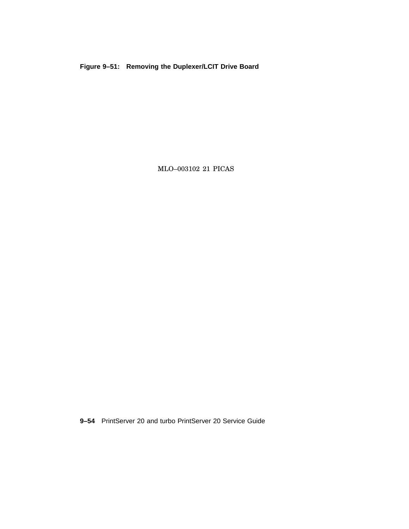**Figure 9–51: Removing the Duplexer/LCIT Drive Board**

MLO–003102 21 PICAS

**9–54** PrintServer 20 and turbo PrintServer 20 Service Guide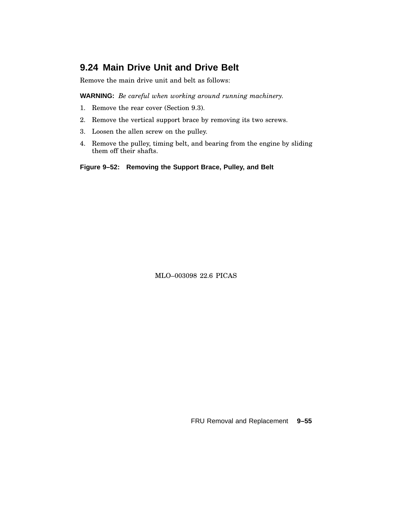# **9.24 Main Drive Unit and Drive Belt**

Remove the main drive unit and belt as follows:

**WARNING:** *Be careful when working around running machinery.*

- 1. Remove the rear cover (Section 9.3).
- 2. Remove the vertical support brace by removing its two screws.
- 3. Loosen the allen screw on the pulley.
- 4. Remove the pulley, timing belt, and bearing from the engine by sliding them off their shafts.

**Figure 9–52: Removing the Support Brace, Pulley, and Belt**

MLO–003098 22.6 PICAS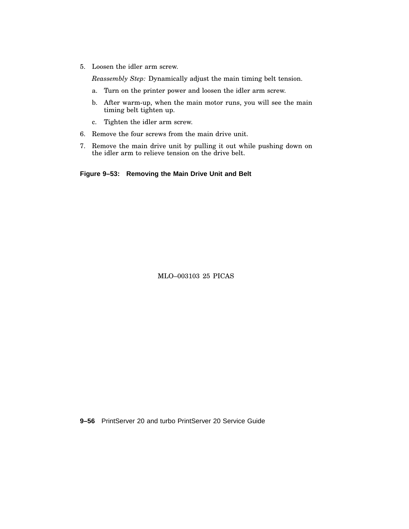5. Loosen the idler arm screw.

*Reassembly Step:* Dynamically adjust the main timing belt tension.

- a. Turn on the printer power and loosen the idler arm screw.
- b. After warm-up, when the main motor runs, you will see the main timing belt tighten up.
- c. Tighten the idler arm screw.
- 6. Remove the four screws from the main drive unit.
- 7. Remove the main drive unit by pulling it out while pushing down on the idler arm to relieve tension on the drive belt.

**Figure 9–53: Removing the Main Drive Unit and Belt**

MLO–003103 25 PICAS

**9–56** PrintServer 20 and turbo PrintServer 20 Service Guide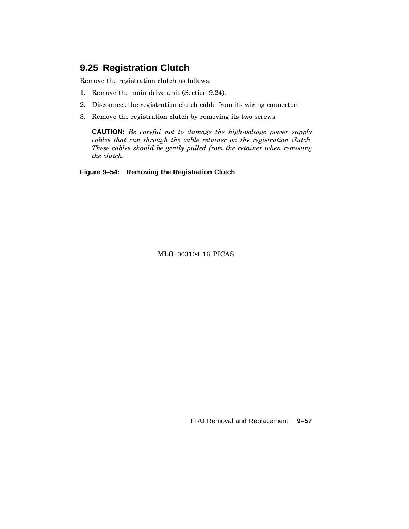### **9.25 Registration Clutch**

Remove the registration clutch as follows:

- 1. Remove the main drive unit (Section 9.24).
- 2. Disconnect the registration clutch cable from its wiring connector.
- 3. Remove the registration clutch by removing its two screws.

**CAUTION:** *Be careful not to damage the high-voltage power supply cables that run through the cable retainer on the registration clutch. These cables should be gently pulled from the retainer when removing the clutch.*

**Figure 9–54: Removing the Registration Clutch**

MLO–003104 16 PICAS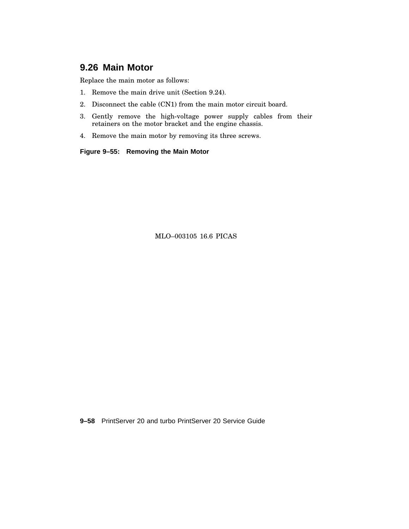# **9.26 Main Motor**

Replace the main motor as follows:

- 1. Remove the main drive unit (Section 9.24).
- 2. Disconnect the cable (CN1) from the main motor circuit board.
- 3. Gently remove the high-voltage power supply cables from their retainers on the motor bracket and the engine chassis.
- 4. Remove the main motor by removing its three screws.

**Figure 9–55: Removing the Main Motor**

MLO–003105 16.6 PICAS

**9–58** PrintServer 20 and turbo PrintServer 20 Service Guide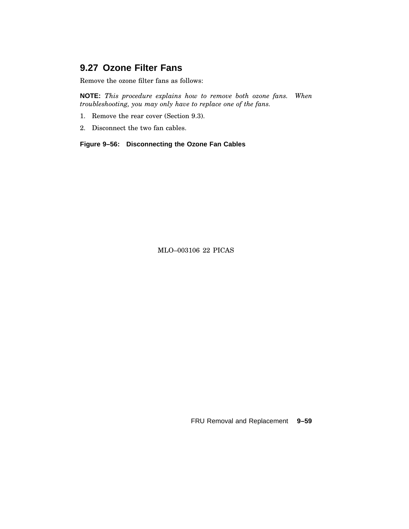# **9.27 Ozone Filter Fans**

Remove the ozone filter fans as follows:

**NOTE:** *This procedure explains how to remove both ozone fans. When troubleshooting, you may only have to replace one of the fans.*

- 1. Remove the rear cover (Section 9.3).
- 2. Disconnect the two fan cables.

**Figure 9–56: Disconnecting the Ozone Fan Cables**

MLO–003106 22 PICAS

FRU Removal and Replacement **9–59**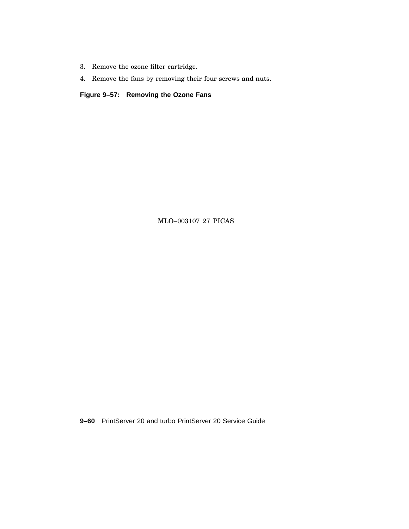- 3. Remove the ozone filter cartridge.
- 4. Remove the fans by removing their four screws and nuts.

**Figure 9–57: Removing the Ozone Fans**

MLO–003107 27 PICAS

**9–60** PrintServer 20 and turbo PrintServer 20 Service Guide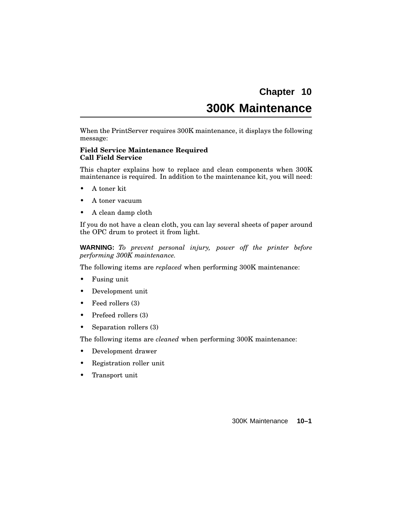# **Chapter 10 300K Maintenance**

When the PrintServer requires 300K maintenance, it displays the following message:

#### **Field Service Maintenance Required Call Field Service**

This chapter explains how to replace and clean components when 300K maintenance is required. In addition to the maintenance kit, you will need:

- A toner kit
- A toner vacuum
- A clean damp cloth

If you do not have a clean cloth, you can lay several sheets of paper around the OPC drum to protect it from light.

**WARNING:** *To prevent personal injury, power off the printer before performing 300K maintenance.*

The following items are *replaced* when performing 300K maintenance:

- Fusing unit
- Development unit
- Feed rollers (3)
- Prefeed rollers (3)
- Separation rollers (3)

The following items are *cleaned* when performing 300K maintenance:

- Development drawer
- Registration roller unit
- Transport unit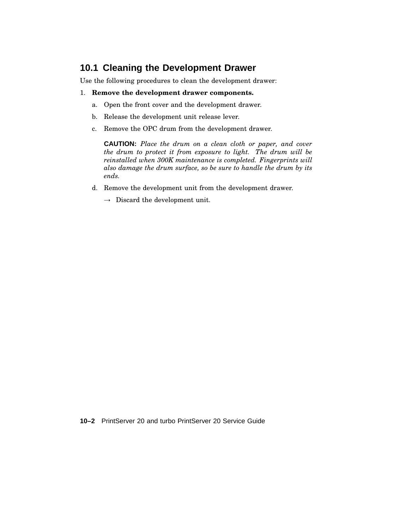# **10.1 Cleaning the Development Drawer**

Use the following procedures to clean the development drawer:

#### 1. **Remove the development drawer components.**

- a. Open the front cover and the development drawer.
- b. Release the development unit release lever.
- c. Remove the OPC drum from the development drawer.

**CAUTION:** *Place the drum on a clean cloth or paper, and cover the drum to protect it from exposure to light. The drum will be reinstalled when 300K maintenance is completed. Fingerprints will also damage the drum surface, so be sure to handle the drum by its ends.*

- d. Remove the development unit from the development drawer.
	- $\rightarrow$  Discard the development unit.

**10–2** PrintServer 20 and turbo PrintServer 20 Service Guide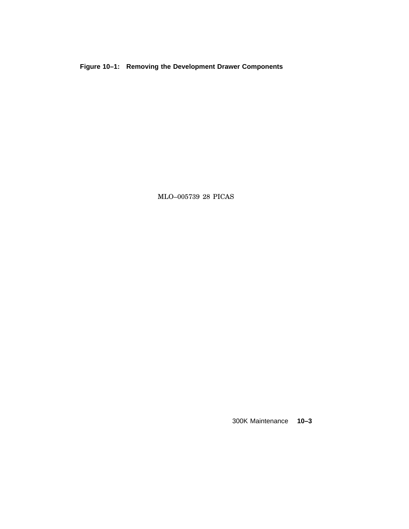**Figure 10–1: Removing the Development Drawer Components**

MLO–005739 28 PICAS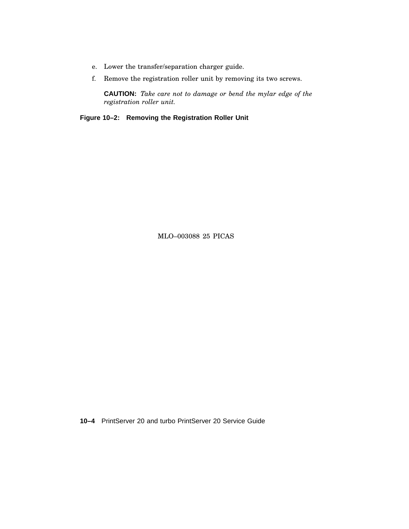- e. Lower the transfer/separation charger guide.
- f. Remove the registration roller unit by removing its two screws.

**CAUTION:** *Take care not to damage or bend the mylar edge of the registration roller unit.*

**Figure 10–2: Removing the Registration Roller Unit**

MLO–003088 25 PICAS

**10–4** PrintServer 20 and turbo PrintServer 20 Service Guide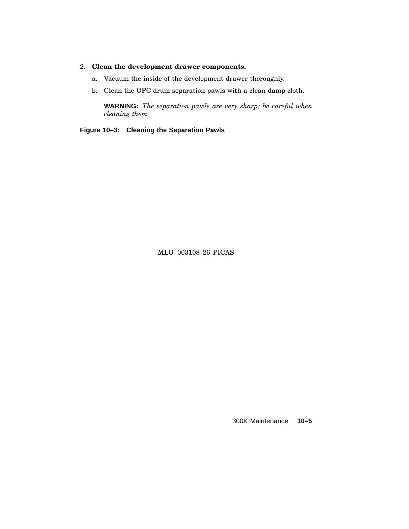#### 2. **Clean the development drawer components.**

- a. Vacuum the inside of the development drawer thoroughly.
- b. Clean the OPC drum separation pawls with a clean damp cloth.

**WARNING:** *The separation pawls are very sharp; be careful when cleaning them.*

**Figure 10–3: Cleaning the Separation Pawls**

MLO–003108 26 PICAS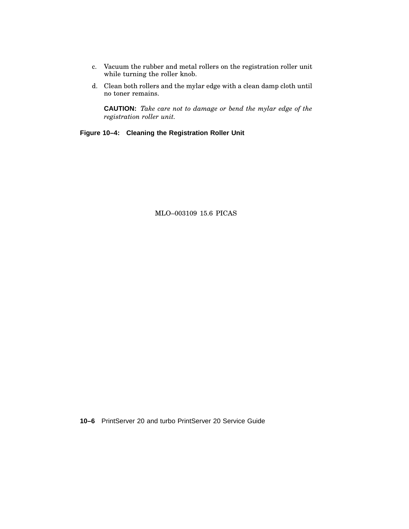- c. Vacuum the rubber and metal rollers on the registration roller unit while turning the roller knob.
- d. Clean both rollers and the mylar edge with a clean damp cloth until no toner remains.

**CAUTION:** *Take care not to damage or bend the mylar edge of the registration roller unit.*

**Figure 10–4: Cleaning the Registration Roller Unit**

MLO–003109 15.6 PICAS

**10–6** PrintServer 20 and turbo PrintServer 20 Service Guide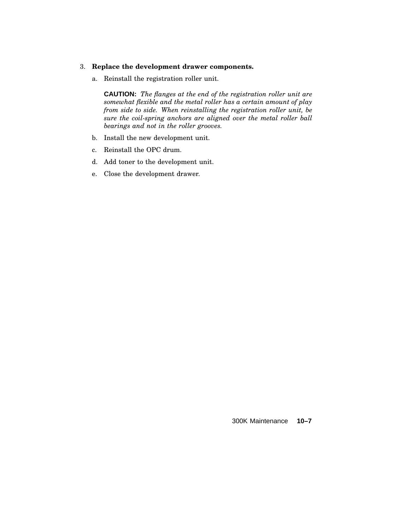#### 3. **Replace the development drawer components.**

a. Reinstall the registration roller unit.

**CAUTION:** *The flanges at the end of the registration roller unit are somewhat flexible and the metal roller has a certain amount of play from side to side. When reinstalling the registration roller unit, be sure the coil-spring anchors are aligned over the metal roller ball bearings and not in the roller grooves.*

- b. Install the new development unit.
- c. Reinstall the OPC drum.
- d. Add toner to the development unit.
- e. Close the development drawer.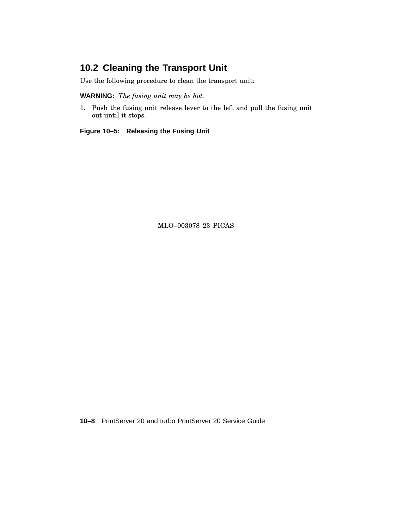# **10.2 Cleaning the Transport Unit**

Use the following procedure to clean the transport unit:

**WARNING:** *The fusing unit may be hot.*

1. Push the fusing unit release lever to the left and pull the fusing unit out until it stops.

**Figure 10–5: Releasing the Fusing Unit**

MLO–003078 23 PICAS

**10–8** PrintServer 20 and turbo PrintServer 20 Service Guide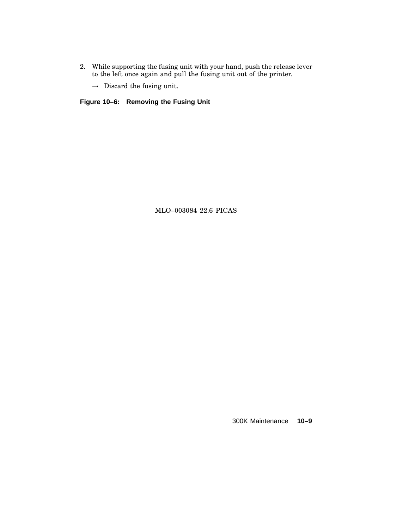- 2. While supporting the fusing unit with your hand, push the release lever to the left once again and pull the fusing unit out of the printer.
	- $\rightarrow$  Discard the fusing unit.

**Figure 10–6: Removing the Fusing Unit**

MLO–003084 22.6 PICAS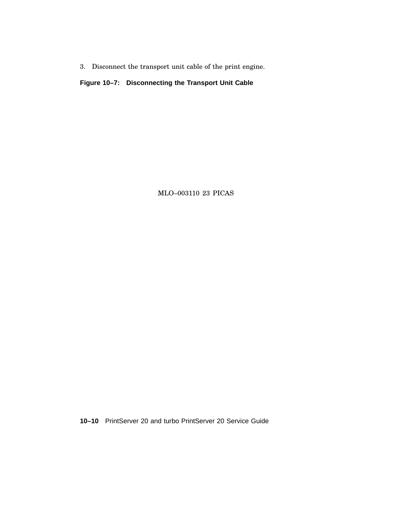3. Disconnect the transport unit cable of the print engine.

**Figure 10–7: Disconnecting the Transport Unit Cable**

MLO–003110 23 PICAS

**10–10** PrintServer 20 and turbo PrintServer 20 Service Guide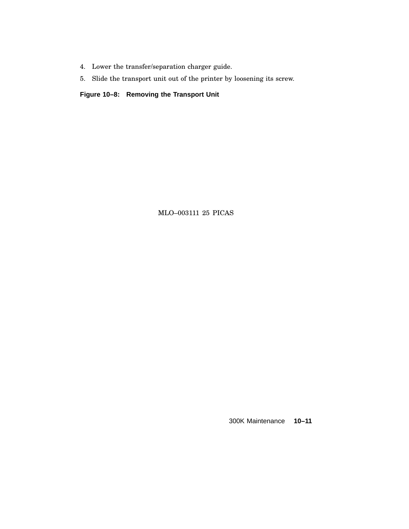- 4. Lower the transfer/separation charger guide.
- 5. Slide the transport unit out of the printer by loosening its screw.

**Figure 10–8: Removing the Transport Unit**

MLO–003111 25 PICAS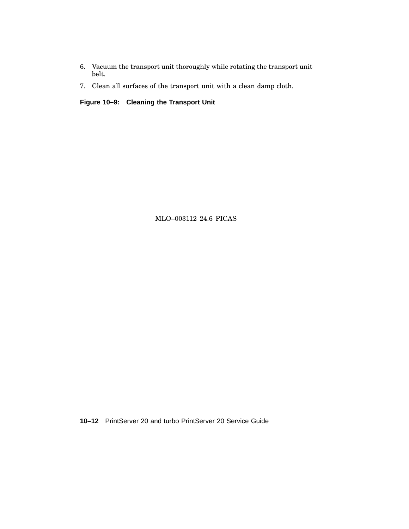- 6. Vacuum the transport unit thoroughly while rotating the transport unit belt.
- 7. Clean all surfaces of the transport unit with a clean damp cloth.

**Figure 10–9: Cleaning the Transport Unit**

MLO–003112 24.6 PICAS

**10–12** PrintServer 20 and turbo PrintServer 20 Service Guide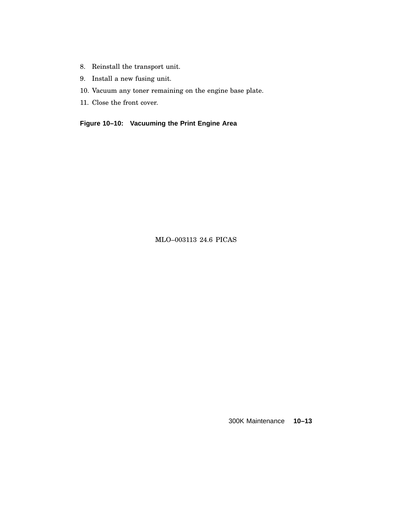- 8. Reinstall the transport unit.
- 9. Install a new fusing unit.
- 10. Vacuum any toner remaining on the engine base plate.
- 11. Close the front cover.

**Figure 10–10: Vacuuming the Print Engine Area**

MLO–003113 24.6 PICAS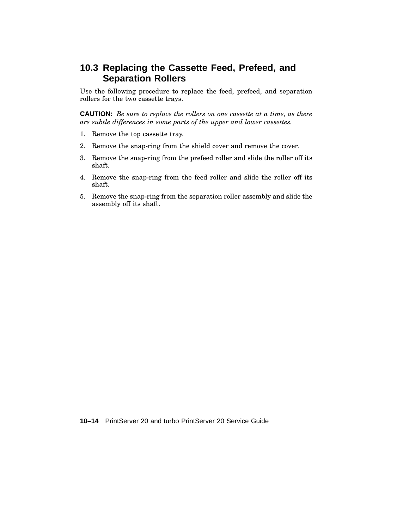# **10.3 Replacing the Cassette Feed, Prefeed, and Separation Rollers**

Use the following procedure to replace the feed, prefeed, and separation rollers for the two cassette trays.

**CAUTION:** *Be sure to replace the rollers on one cassette at a time, as there are subtle differences in some parts of the upper and lower cassettes.*

- 1. Remove the top cassette tray.
- 2. Remove the snap-ring from the shield cover and remove the cover.
- 3. Remove the snap-ring from the prefeed roller and slide the roller off its shaft.
- 4. Remove the snap-ring from the feed roller and slide the roller off its shaft.
- 5. Remove the snap-ring from the separation roller assembly and slide the assembly off its shaft.

**10–14** PrintServer 20 and turbo PrintServer 20 Service Guide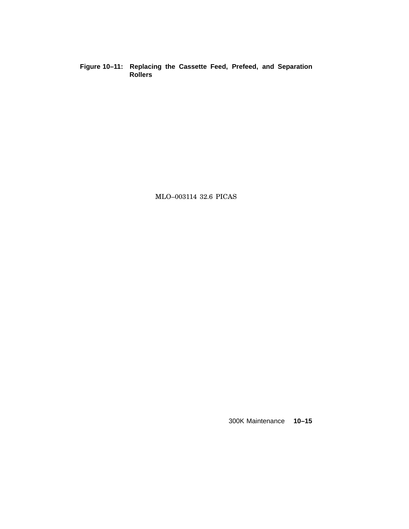**Figure 10–11: Replacing the Cassette Feed, Prefeed, and Separation Rollers**

MLO–003114 32.6 PICAS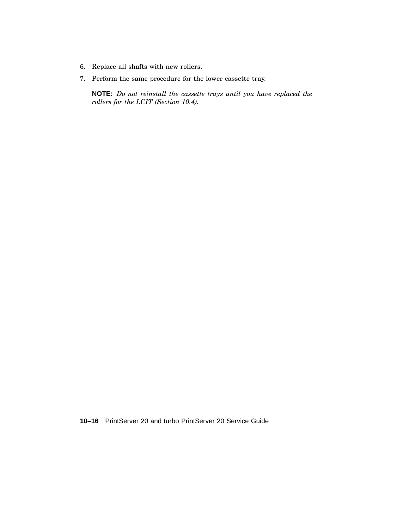- 6. Replace all shafts with new rollers.
- 7. Perform the same procedure for the lower cassette tray.

**NOTE:** *Do not reinstall the cassette trays until you have replaced the rollers for the LCIT (Section 10.4).*

**10–16** PrintServer 20 and turbo PrintServer 20 Service Guide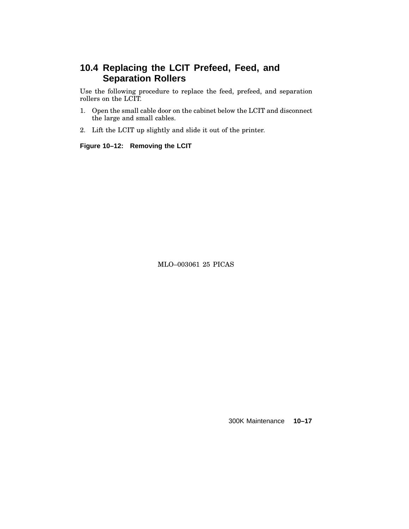# **10.4 Replacing the LCIT Prefeed, Feed, and Separation Rollers**

Use the following procedure to replace the feed, prefeed, and separation rollers on the LCIT.

- 1. Open the small cable door on the cabinet below the LCIT and disconnect the large and small cables.
- 2. Lift the LCIT up slightly and slide it out of the printer.

**Figure 10–12: Removing the LCIT**

MLO–003061 25 PICAS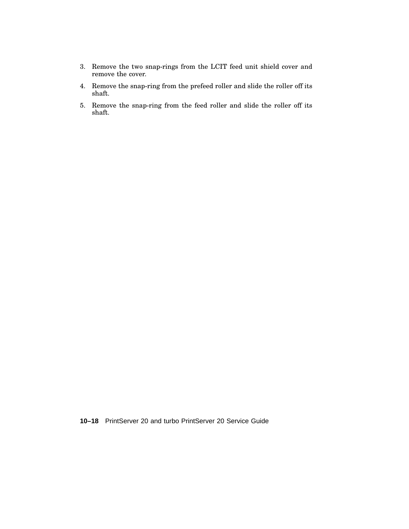- 3. Remove the two snap-rings from the LCIT feed unit shield cover and remove the cover.
- 4. Remove the snap-ring from the prefeed roller and slide the roller off its shaft.
- 5. Remove the snap-ring from the feed roller and slide the roller off its shaft.

**10–18** PrintServer 20 and turbo PrintServer 20 Service Guide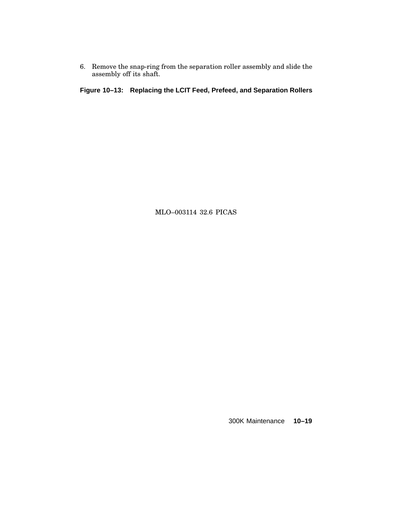6. Remove the snap-ring from the separation roller assembly and slide the assembly off its shaft.

**Figure 10–13: Replacing the LCIT Feed, Prefeed, and Separation Rollers**

MLO–003114 32.6 PICAS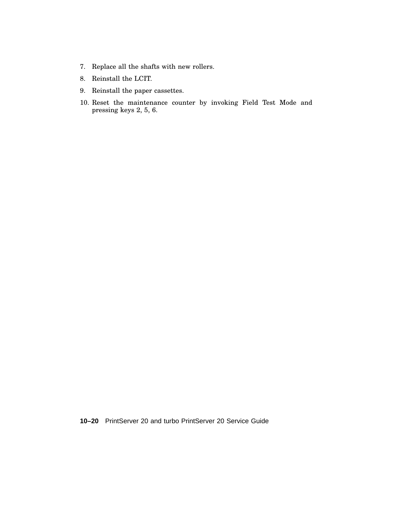- 7. Replace all the shafts with new rollers.
- 8. Reinstall the LCIT.
- 9. Reinstall the paper cassettes.
- 10. Reset the maintenance counter by invoking Field Test Mode and pressing keys 2, 5, 6.

**10–20** PrintServer 20 and turbo PrintServer 20 Service Guide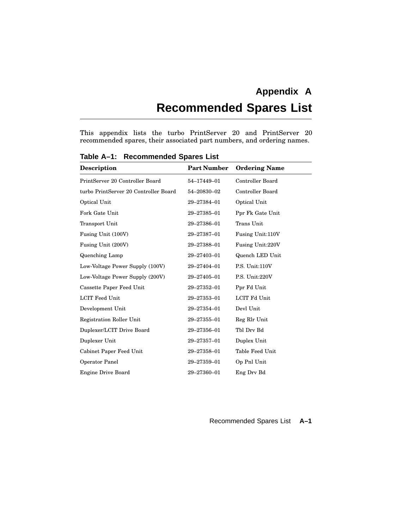# **Appendix A Recommended Spares List**

This appendix lists the turbo PrintServer 20 and PrintServer 20 recommended spares, their associated part numbers, and ordering names.

| <b>Description</b>                    | <b>Part Number</b> | <b>Ordering Name</b> |
|---------------------------------------|--------------------|----------------------|
| PrintServer 20 Controller Board       | 54-17449-01        | Controller Board     |
| turbo PrintServer 20 Controller Board | 54-20830-02        | Controller Board     |
| Optical Unit                          | 29-27384-01        | Optical Unit         |
| Fork Gate Unit                        | 29-27385-01        | Ppr Fk Gate Unit     |
| Transport Unit                        | 29-27386-01        | Trans Unit           |
| Fusing Unit (100V)                    | 29-27387-01        | Fusing Unit:110V     |
| Fusing Unit (200V)                    | 29-27388-01        | Fusing Unit:220V     |
| Quenching Lamp                        | 29-27403-01        | Quench LED Unit      |
| Low-Voltage Power Supply (100V)       | 29-27404-01        | P.S. Unit:110V       |
| Low-Voltage Power Supply (200V)       | 29-27405-01        | P.S. Unit:220V       |
| Cassette Paper Feed Unit              | 29-27352-01        | Ppr Fd Unit          |
| <b>LCIT Feed Unit</b>                 | 29-27353-01        | LCIT Fd Unit         |
| Development Unit                      | 29-27354-01        | Devl Unit            |
| Registration Roller Unit              | 29-27355-01        | Reg Rlr Unit         |
| Duplexer/LCIT Drive Board             | 29-27356-01        | Tbl Drv Bd           |
| Duplexer Unit                         | 29-27357-01        | Duplex Unit          |
| Cabinet Paper Feed Unit               | 29-27358-01        | Table Feed Unit      |
| Operator Panel                        | 29-27359-01        | Op Pnl Unit          |
| <b>Engine Drive Board</b>             | 29-27360-01        | Eng Dry Bd           |

**Table A–1: Recommended Spares List**

Recommended Spares List **A–1**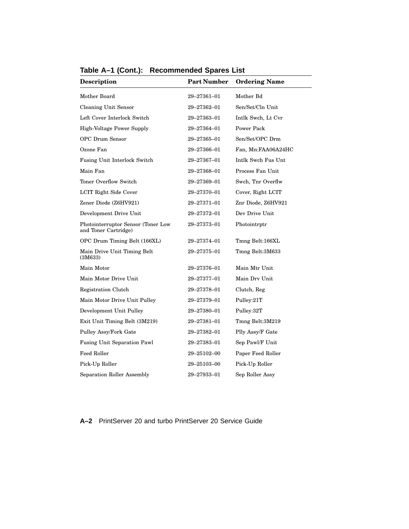| Description                                                | <b>Part Number</b> | <b>Ordering Name</b> |
|------------------------------------------------------------|--------------------|----------------------|
| Mother Board                                               | 29-27361-01        | Mother Bd            |
| <b>Cleaning Unit Sensor</b>                                | 29–27362–01        | Sen/Set/Cln Unit     |
| Left Cover Interlock Switch                                | 29-27363-01        | Intlk Swch, Lt Cvr   |
| High-Voltage Power Supply                                  | 29-27364-01        | <b>Power Pack</b>    |
| <b>OPC Drum Sensor</b>                                     | 29–27365–01        | Sen/Set/OPC Drm      |
| Ozone Fan                                                  | 29-27366-01        | Fan, Mn:FAA06A24HC   |
| <b>Fusing Unit Interlock Switch</b>                        | 29–27367–01        | Intlk Swch Fus Unt   |
| Main Fan                                                   | 29-27368-01        | Process Fan Unit     |
| Toner Overflow Switch                                      | 29–27369–01        | Swch, Tnr Overflw    |
| LCIT Right Side Cover                                      | 29-27370-01        | Cover, Right LCIT    |
| Zener Diode (Z6HV921)                                      | 29-27371-01        | Znr Diode, Z6HV921   |
| Development Drive Unit                                     | 29-27372-01        | Dev Drive Unit       |
| Photointerruptor Sensor (Toner Low<br>and Toner Cartridge) | 29-27373-01        | Photointrptr         |
| OPC Drum Timing Belt (166XL)                               | 29-27374-01        | Tmng Belt:166XL      |
| Main Drive Unit Timing Belt<br>(3M633)                     | 29-27375-01        | Tmng Belt:3M633      |
| Main Motor                                                 | 29-27376-01        | Main Mtr Unit        |
| Main Motor Drive Unit                                      | 29-27377-01        | Main Drv Unit        |
| Registration Clutch                                        | 29-27378-01        | Clutch, Reg          |
| Main Motor Drive Unit Pulley                               | 29-27379-01        | Pulley:21T           |
| Development Unit Pulley                                    | 29–27380–01        | Pulley:32T           |
| Exit Unit Timing Belt (3M219)                              | 29-27381-01        | Tmng Belt:3M219      |
| Pulley Assy/Fork Gate                                      | 29–27382–01        | Plly Assy/F Gate     |
| <b>Fusing Unit Separation Pawl</b>                         | 29-27383-01        | Sep Pawl/F Unit      |
| <b>Feed Roller</b>                                         | 29–25102–00        | Paper Feed Roller    |
| Pick-Up Roller                                             | 29–25103–00        | Pick-Up Roller       |
| Separation Roller Assembly                                 | 29-27933-01        | Sep Roller Assy      |

**Table A–1 (Cont.): Recommended Spares List**

**A–2** PrintServer 20 and turbo PrintServer 20 Service Guide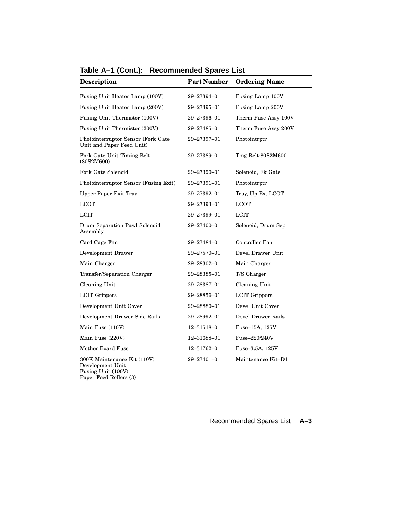| Description                                                                                     | <b>Part Number</b> | <b>Ordering Name</b> |
|-------------------------------------------------------------------------------------------------|--------------------|----------------------|
| Fusing Unit Heater Lamp (100V)                                                                  | 29–27394–01        | Fusing Lamp 100V     |
| Fusing Unit Heater Lamp (200V)                                                                  | 29-27395-01        | Fusing Lamp 200V     |
| Fusing Unit Thermistor (100V)                                                                   | 29–27396–01        | Therm Fuse Assy 100V |
| Fusing Unit Thermistor (200V)                                                                   | 29–27485–01        | Therm Fuse Assy 200V |
| Photointerruptor Sensor (Fork Gate<br>Unit and Paper Feed Unit)                                 | 29–27397–01        | Photointrptr         |
| Fork Gate Unit Timing Belt<br>(80S2M600)                                                        | 29–27389–01        | Tmg Belt:80S2M600    |
| Fork Gate Solenoid                                                                              | 29–27390–01        | Solenoid, Fk Gate    |
| Photointerruptor Sensor (Fusing Exit)                                                           | 29–27391–01        | Photointrptr         |
| <b>Upper Paper Exit Tray</b>                                                                    | 29–27392–01        | Tray, Up Ex, LCOT    |
| <b>LCOT</b>                                                                                     | 29–27393–01        | LCOT                 |
| <b>LCIT</b>                                                                                     | 29–27399–01        | <b>LCIT</b>          |
| Drum Separation Pawl Solenoid<br>Assembly                                                       | 29-27400-01        | Solenoid, Drum Sep   |
| Card Cage Fan                                                                                   | 29–27484–01        | Controller Fan       |
| Development Drawer                                                                              | 29–27570–01        | Devel Drawer Unit    |
| Main Charger                                                                                    | 29-28302-01        | Main Charger         |
| Transfer/Separation Charger                                                                     | 29–28385–01        | T/S Charger          |
| Cleaning Unit                                                                                   | 29–28387–01        | Cleaning Unit        |
| <b>LCIT Grippers</b>                                                                            | 29-28856-01        | <b>LCIT Grippers</b> |
| Development Unit Cover                                                                          | 29–28880–01        | Devel Unit Cover     |
| Development Drawer Side Rails                                                                   | 29-28992-01        | Devel Drawer Rails   |
| Main Fuse (110V)                                                                                | 12-31518-01        | Fuse-15A, 125V       |
| Main Fuse (220V)                                                                                | 12-31688-01        | Fuse-220/240V        |
| Mother Board Fuse                                                                               | 12-31762-01        | Fuse-3.5A, 125V      |
| 300K Maintenance Kit (110V)<br>Development Unit<br>Fusing Unit (100V)<br>Paper Feed Rollers (3) | 29-27401-01        | Maintenance Kit-D1   |

**Table A–1 (Cont.): Recommended Spares List**

Recommended Spares List **A–3**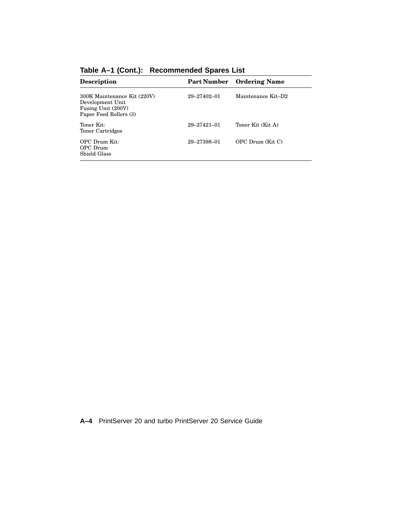| <b>Description</b>                                                                              | <b>Part Number</b> | <b>Ordering Name</b> |
|-------------------------------------------------------------------------------------------------|--------------------|----------------------|
| 300K Maintenance Kit (220V)<br>Development Unit<br>Fusing Unit (200V)<br>Paper Feed Rollers (3) | 29-27402-01        | Maintenance Kit-D2   |
| Toner Kit:<br>Toner Cartridges                                                                  | $29 - 27421 - 01$  | Toner Kit (Kit A)    |
| OPC Drum Kit:<br>OPC Drum<br>Shield Glass                                                       | 29-27398-01        | OPC Drum (Kit C)     |

**Table A–1 (Cont.): Recommended Spares List**

**A–4** PrintServer 20 and turbo PrintServer 20 Service Guide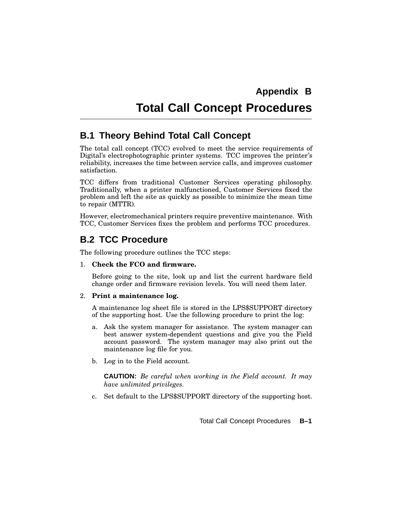# **Total Call Concept Procedures**

# **B.1 Theory Behind Total Call Concept**

The total call concept (TCC) evolved to meet the service requirements of Digital's electrophotographic printer systems. TCC improves the printer's reliability, increases the time between service calls, and improves customer satisfaction.

TCC differs from traditional Customer Services operating philosophy. Traditionally, when a printer malfunctioned, Customer Services fixed the problem and left the site as quickly as possible to minimize the mean time to repair (MTTR).

However, electromechanical printers require preventive maintenance. With TCC, Customer Services fixes the problem and performs TCC procedures.

# **B.2 TCC Procedure**

The following procedure outlines the TCC steps:

#### 1. **Check the FCO and firmware.**

Before going to the site, look up and list the current hardware field change order and firmware revision levels. You will need them later.

#### 2. **Print a maintenance log.**

A maintenance log sheet file is stored in the LPS\$SUPPORT directory of the supporting host. Use the following procedure to print the log:

- a. Ask the system manager for assistance. The system manager can best answer system-dependent questions and give you the Field account password. The system manager may also print out the maintenance log file for you.
- b. Log in to the Field account.

**CAUTION:** *Be careful when working in the Field account. It may have unlimited privileges.*

c. Set default to the LPS\$SUPPORT directory of the supporting host.

Total Call Concept Procedures **B–1**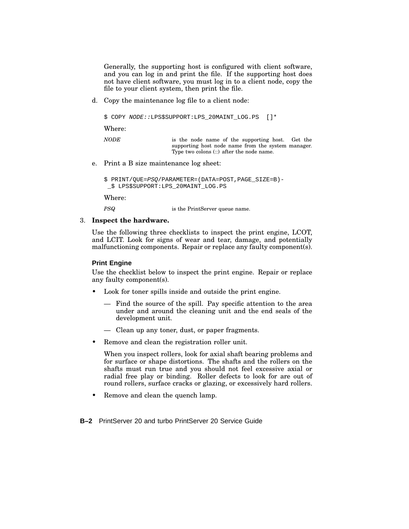Generally, the supporting host is configured with client software, and you can log in and print the file. If the supporting host does not have client software, you must log in to a client node, copy the file to your client system, then print the file.

d. Copy the maintenance log file to a client node:

```
$ COPY NODE::LPS$SUPPORT:LPS 20MAINT LOG.PS []*
```
Where:

*NODE* is the node name of the supporting host. Get the supporting host node name from the system manager. Type two colons (::) after the node name.

e. Print a B size maintenance log sheet:

```
$ PRINT/QUE=PSQ/PARAMETER=(DATA=POST,PAGE_SIZE=B)-
_$ LPS$SUPPORT:LPS_20MAINT_LOG.PS
```
Where:

*PSQ* is the PrintServer queue name.

#### 3. **Inspect the hardware.**

Use the following three checklists to inspect the print engine, LCOT, and LCIT. Look for signs of wear and tear, damage, and potentially malfunctioning components. Repair or replace any faulty component(s).

#### **Print Engine**

Use the checklist below to inspect the print engine. Repair or replace any faulty component(s).

- Look for toner spills inside and outside the print engine.
	- Find the source of the spill. Pay specific attention to the area under and around the cleaning unit and the end seals of the development unit.
	- Clean up any toner, dust, or paper fragments.
- Remove and clean the registration roller unit.

When you inspect rollers, look for axial shaft bearing problems and for surface or shape distortions. The shafts and the rollers on the shafts must run true and you should not feel excessive axial or radial free play or binding. Roller defects to look for are out of round rollers, surface cracks or glazing, or excessively hard rollers.

• Remove and clean the quench lamp.

**B–2** PrintServer 20 and turbo PrintServer 20 Service Guide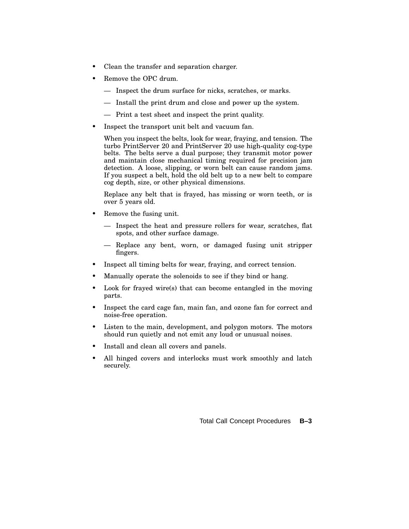- Clean the transfer and separation charger.
- Remove the OPC drum.
	- Inspect the drum surface for nicks, scratches, or marks.
	- Install the print drum and close and power up the system.
	- Print a test sheet and inspect the print quality.
- Inspect the transport unit belt and vacuum fan.

When you inspect the belts, look for wear, fraying, and tension. The turbo PrintServer 20 and PrintServer 20 use high-quality cog-type belts. The belts serve a dual purpose; they transmit motor power and maintain close mechanical timing required for precision jam detection. A loose, slipping, or worn belt can cause random jams. If you suspect a belt, hold the old belt up to a new belt to compare cog depth, size, or other physical dimensions.

Replace any belt that is frayed, has missing or worn teeth, or is over 5 years old.

- Remove the fusing unit.
	- Inspect the heat and pressure rollers for wear, scratches, flat spots, and other surface damage.
	- Replace any bent, worn, or damaged fusing unit stripper fingers.
- Inspect all timing belts for wear, fraying, and correct tension.
- Manually operate the solenoids to see if they bind or hang.
- Look for frayed wire(s) that can become entangled in the moving parts.
- Inspect the card cage fan, main fan, and ozone fan for correct and noise-free operation.
- Listen to the main, development, and polygon motors. The motors should run quietly and not emit any loud or unusual noises.
- Install and clean all covers and panels.
- All hinged covers and interlocks must work smoothly and latch securely.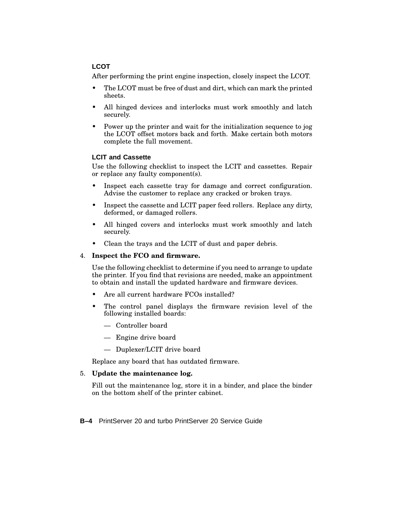#### **LCOT**

After performing the print engine inspection, closely inspect the LCOT.

- The LCOT must be free of dust and dirt, which can mark the printed sheets.
- All hinged devices and interlocks must work smoothly and latch securely.
- Power up the printer and wait for the initialization sequence to jog the LCOT offset motors back and forth. Make certain both motors complete the full movement.

#### **LCIT and Cassette**

Use the following checklist to inspect the LCIT and cassettes. Repair or replace any faulty component(s).

- Inspect each cassette tray for damage and correct configuration. Advise the customer to replace any cracked or broken trays.
- Inspect the cassette and LCIT paper feed rollers. Replace any dirty, deformed, or damaged rollers.
- All hinged covers and interlocks must work smoothly and latch securely.
- Clean the trays and the LCIT of dust and paper debris.

#### 4. **Inspect the FCO and firmware.**

Use the following checklist to determine if you need to arrange to update the printer. If you find that revisions are needed, make an appointment to obtain and install the updated hardware and firmware devices.

- Are all current hardware FCOs installed?
- The control panel displays the firmware revision level of the following installed boards:
	- Controller board
	- Engine drive board
	- Duplexer/LCIT drive board

Replace any board that has outdated firmware.

#### 5. **Update the maintenance log.**

Fill out the maintenance log, store it in a binder, and place the binder on the bottom shelf of the printer cabinet.

**B–4** PrintServer 20 and turbo PrintServer 20 Service Guide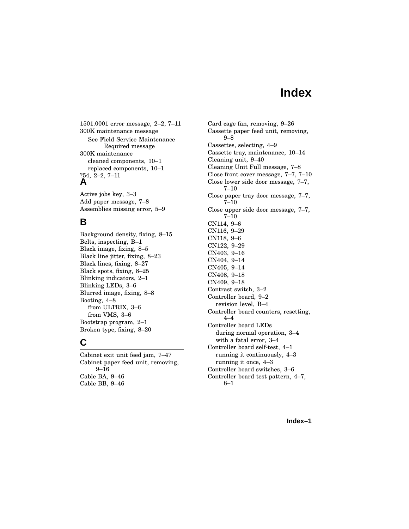# **Index**

1501.0001 error message, 2–2, 7–11 300K maintenance message See Field Service Maintenance Required message 300K maintenance cleaned components, 10–1 replaced components, 10–1 ?54, 2–2, 7–11 **A**

Active jobs key, 3–3 Add paper message, 7–8 Assemblies missing error, 5–9

#### **B**

Background density, fixing, 8–15 Belts, inspecting, B–1 Black image, fixing, 8–5 Black line jitter, fixing, 8–23 Black lines, fixing, 8–27 Black spots, fixing, 8–25 Blinking indicators, 2–1 Blinking LEDs, 3–6 Blurred image, fixing, 8–8 Booting, 4–8 from ULTRIX, 3–6 from VMS, 3–6 Bootstrap program, 2–1 Broken type, fixing, 8–20

#### **C**

Cabinet exit unit feed jam, 7–47 Cabinet paper feed unit, removing, 9–16 Cable BA, 9–46 Cable BB, 9–46

Card cage fan, removing, 9–26 Cassette paper feed unit, removing, 9–8 Cassettes, selecting, 4–9 Cassette tray, maintenance, 10–14 Cleaning unit, 9–40 Cleaning Unit Full message, 7–8 Close front cover message, 7–7, 7–10 Close lower side door message, 7–7, 7–10 Close paper tray door message, 7–7, 7–10 Close upper side door message, 7–7, 7–10 CN114, 9–6 CN116, 9–29 CN118, 9–6 CN122, 9–29 CN403, 9–16 CN404, 9–14 CN405, 9–14 CN408, 9–18 CN409, 9–18 Contrast switch, 3–2 Controller board, 9–2 revision level, B–4 Controller board counters, resetting, 4–4 Controller board LEDs during normal operation, 3–4 with a fatal error, 3–4 Controller board self-test, 4–1 running it continuously, 4–3 running it once, 4–3 Controller board switches, 3–6 Controller board test pattern, 4–7, 8–1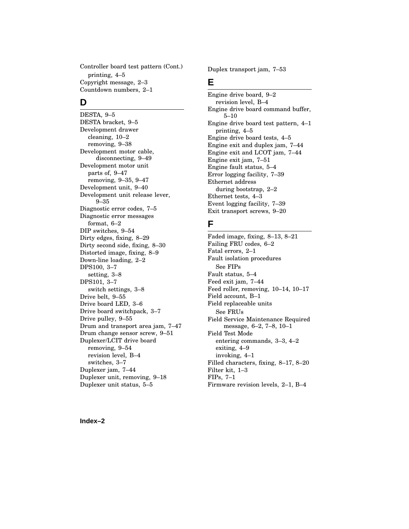Controller board test pattern (Cont.) printing, 4–5 Copyright message, 2–3 Countdown numbers, 2–1

#### **D**

DESTA, 9–5 DESTA bracket, 9–5 Development drawer cleaning, 10–2 removing, 9–38 Development motor cable, disconnecting, 9–49 Development motor unit parts of, 9–47 removing, 9–35, 9–47 Development unit, 9–40 Development unit release lever, 9–35 Diagnostic error codes, 7–5 Diagnostic error messages format, 6–2 DIP switches, 9–54 Dirty edges, fixing, 8–29 Dirty second side, fixing, 8–30 Distorted image, fixing, 8–9 Down-line loading, 2–2 DPS100, 3–7 setting, 3–8 DPS101, 3–7 switch settings, 3–8 Drive belt, 9–55 Drive board LED, 3–6 Drive board switchpack, 3–7 Drive pulley, 9–55 Drum and transport area jam, 7–47 Drum change sensor screw, 9–51 Duplexer/LCIT drive board removing, 9–54 revision level, B–4 switches, 3–7 Duplexer jam, 7–44 Duplexer unit, removing, 9–18 Duplexer unit status, 5–5

Duplex transport jam, 7–53

## **E**

Engine drive board, 9–2 revision level, B–4 Engine drive board command buffer, 5–10 Engine drive board test pattern, 4–1 printing, 4–5 Engine drive board tests, 4–5 Engine exit and duplex jam, 7–44 Engine exit and LCOT jam, 7–44 Engine exit jam, 7–51 Engine fault status, 5–4 Error logging facility, 7–39 Ethernet address during bootstrap, 2–2 Ethernet tests, 4–3 Event logging facility, 7–39 Exit transport screws, 9–20

## **F**

Faded image, fixing, 8–13, 8–21 Failing FRU codes, 6–2 Fatal errors, 2–1 Fault isolation procedures See FIPs Fault status, 5–4 Feed exit jam, 7–44 Feed roller, removing, 10–14, 10–17 Field account, B–1 Field replaceable units See FRUs Field Service Maintenance Required message, 6–2, 7–8, 10–1 Field Test Mode entering commands, 3–3, 4–2 exiting, 4–9 invoking, 4–1 Filled characters, fixing, 8–17, 8–20 Filter kit, 1–3 FIPs, 7–1 Firmware revision levels, 2–1, B–4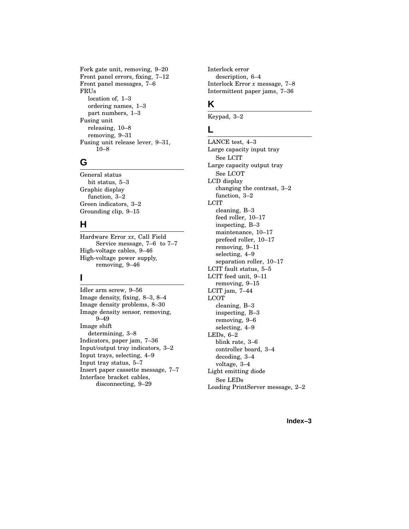Fork gate unit, removing, 9–20 Front panel errors, fixing, 7–12 Front panel messages, 7–6 FRUs location of, 1–3 ordering names, 1–3 part numbers, 1–3 Fusing unit releasing, 10–8 removing, 9–31 Fusing unit release lever, 9–31, 10–8

## **G**

General status bit status, 5–3 Graphic display function, 3–2 Green indicators, 3–2 Grounding clip, 9–15

## **H**

Hardware Error *xx*, Call Field Service message, 7–6 to 7–7 High-voltage cables, 9–46 High-voltage power supply, removing, 9–46

## **I**

Idler arm screw, 9–56 Image density, fixing, 8–3, 8–4 Image density problems, 8–30 Image density sensor, removing, 9–49 Image shift determining, 3–8 Indicators, paper jam, 7–36 Input/output tray indicators, 3–2 Input trays, selecting, 4–9 Input tray status, 5–7 Insert paper cassette message, 7–7 Interface bracket cables, disconnecting, 9–29

Interlock error description, 6–4 Interlock Error *x* message, 7–8 Intermittent paper jams, 7–36

# **K**

Keypad, 3–2

#### **L**

LANCE test, 4–3 Large capacity input tray See LCIT Large capacity output tray See LCOT LCD display changing the contrast, 3–2 function, 3–2 LCIT cleaning, B–3 feed roller, 10–17 inspecting, B–3 maintenance, 10–17 prefeed roller, 10–17 removing, 9–11 selecting, 4–9 separation roller, 10–17 LCIT fault status, 5–5 LCIT feed unit, 9–11 removing, 9–15 LCIT jam, 7–44 LCOT cleaning, B–3 inspecting, B–3 removing, 9–6 selecting, 4–9 LEDs, 6–2 blink rate, 3–6 controller board, 3–4 decoding, 3–4 voltage, 3–4 Light emitting diode See LEDs Loading PrintServer message, 2–2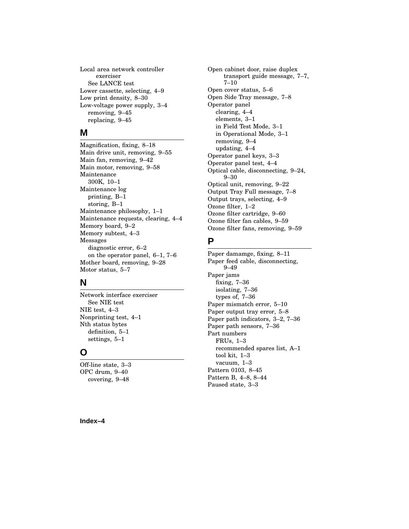Local area network controller exerciser See LANCE test Lower cassette, selecting, 4–9 Low print density, 8–30 Low-voltage power supply, 3–4 removing, 9–45 replacing, 9–45

## **M**

Magnification, fixing, 8–18 Main drive unit, removing, 9–55 Main fan, removing, 9–42 Main motor, removing, 9–58 Maintenance 300K, 10–1 Maintenance log printing, B–1 storing, B–1 Maintenance philosophy, 1–1 Maintenance requests, clearing, 4–4 Memory board, 9–2 Memory subtest, 4–3 Messages diagnostic error, 6–2 on the operator panel, 6–1, 7–6 Mother board, removing, 9–28 Motor status, 5–7

## **N**

Network interface exerciser See NIE test NIE test, 4–3 Nonprinting test, 4–1 Nth status bytes definition, 5–1 settings, 5–1

## **O**

Off-line state, 3–3 OPC drum, 9–40 covering, 9–48

Open cabinet door, raise duplex transport guide message, 7–7, 7–10 Open cover status, 5–6 Open Side Tray message, 7–8 Operator panel clearing, 4–4 elements, 3–1 in Field Test Mode, 3–1 in Operational Mode, 3–1 removing, 9–4 updating, 4–4 Operator panel keys, 3–3 Operator panel test, 4–4 Optical cable, disconnecting, 9–24, 9–30 Optical unit, removing, 9–22 Output Tray Full message, 7–8 Output trays, selecting, 4–9 Ozone filter, 1–2 Ozone filter cartridge, 9–60 Ozone filter fan cables, 9–59 Ozone filter fans, removing, 9–59

## **P**

Paper damamge, fixing, 8–11 Paper feed cable, disconnecting, 9–49 Paper jams fixing, 7–36 isolating, 7–36 types of, 7–36 Paper mismatch error, 5–10 Paper output tray error, 5–8 Paper path indicators, 3–2, 7–36 Paper path sensors, 7–36 Part numbers FRUs, 1–3 recommended spares list, A–1 tool kit, 1–3 vacuum, 1–3 Pattern 0103, 8–45 Pattern B, 4–8, 8–44 Paused state, 3–3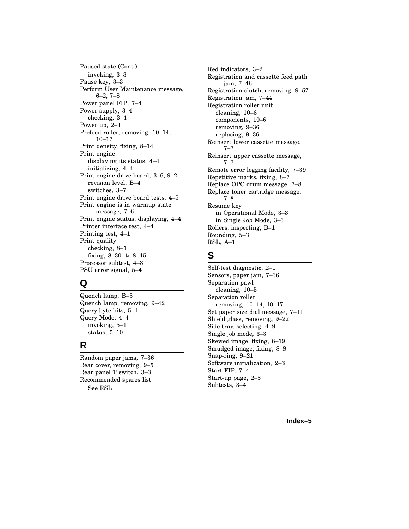Paused state (Cont.) invoking, 3–3 Pause key, 3–3 Perform User Maintenance message, 6–2, 7–8 Power panel FIP, 7–4 Power supply, 3–4 checking, 3–4 Power up, 2–1 Prefeed roller, removing, 10–14, 10–17 Print density, fixing, 8–14 Print engine displaying its status, 4–4 initializing, 4–4 Print engine drive board, 3–6, 9–2 revision level, B–4 switches, 3–7 Print engine drive board tests, 4–5 Print engine is in warmup state message, 7–6 Print engine status, displaying, 4–4 Printer interface test, 4–4 Printing test, 4–1 Print quality checking, 8–1 fixing, 8–30 to 8–45 Processor subtest, 4–3 PSU error signal, 5–4

## **Q**

Quench lamp, B–3 Quench lamp, removing, 9–42 Query byte bits, 5–1 Query Mode, 4–4 invoking, 5–1 status, 5–10

## **R**

Random paper jams, 7–36 Rear cover, removing, 9–5 Rear panel T switch, 3–3 Recommended spares list See RSL

Red indicators, 3–2 Registration and cassette feed path jam, 7–46 Registration clutch, removing, 9–57 Registration jam, 7–44 Registration roller unit cleaning, 10–6 components, 10–6 removing, 9–36 replacing, 9–36 Reinsert lower cassette message, 7–7 Reinsert upper cassette message, 7–7 Remote error logging facility, 7–39 Repetitive marks, fixing, 8–7 Replace OPC drum message, 7–8 Replace toner cartridge message, 7–8 Resume key in Operational Mode, 3–3 in Single Job Mode, 3–3 Rollers, inspecting, B–1 Rounding, 5–3 RSL, A–1

# **S**

Self-test diagnostic, 2–1 Sensors, paper jam, 7–36 Separation pawl cleaning, 10–5 Separation roller removing, 10–14, 10–17 Set paper size dial message, 7–11 Shield glass, removing, 9–22 Side tray, selecting, 4–9 Single job mode, 3–3 Skewed image, fixing, 8–19 Smudged image, fixing, 8–8 Snap-ring, 9–21 Software initialization, 2–3 Start FIP, 7–4 Start-up page, 2–3 Subtests, 3–4